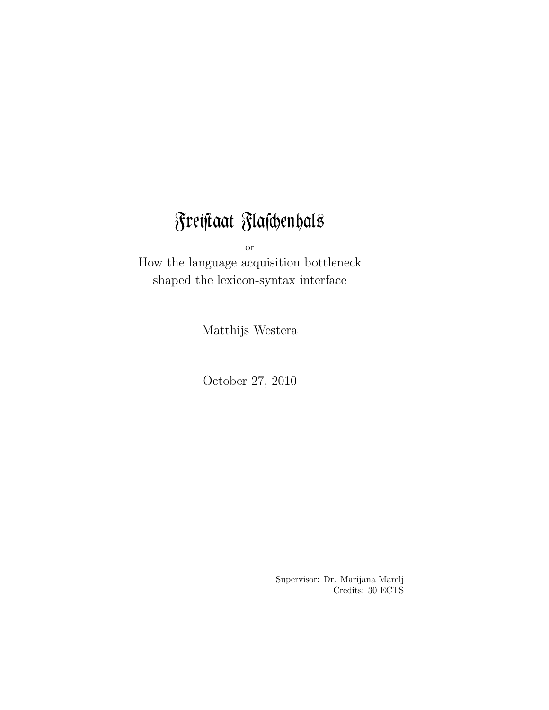# Freistaat Flaschenhals

or

How the language acquisition bottleneck shaped the lexicon-syntax interface

Matthijs Westera

October 27, 2010

Supervisor: Dr. Marijana Marelj Credits: 30 ECTS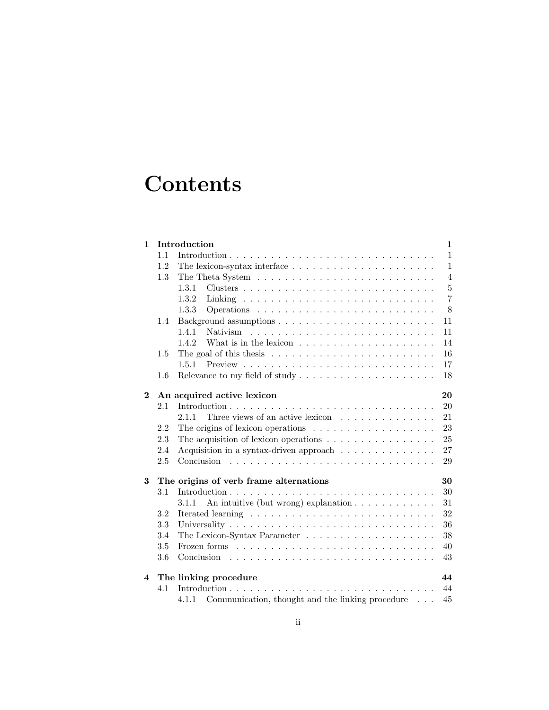## **Contents**

| $\mathbf{1}$ |     | Introduction                                                                   | $\mathbf{1}$   |
|--------------|-----|--------------------------------------------------------------------------------|----------------|
|              | 1.1 |                                                                                | $\mathbf{1}$   |
|              | 1.2 | The lexicon-syntax interface $\dots \dots \dots \dots \dots \dots \dots \dots$ | $\mathbf{1}$   |
|              | 1.3 |                                                                                | $\overline{4}$ |
|              |     | 1.3.1                                                                          | $\bf 5$        |
|              |     | 1.3.2                                                                          | $\overline{7}$ |
|              |     | 1.3.3                                                                          | 8              |
|              | 1.4 |                                                                                | 11             |
|              |     | 1.4.1                                                                          | 11             |
|              |     | 1.4.2                                                                          | 14             |
|              | 1.5 |                                                                                | 16             |
|              |     | 1.5.1                                                                          | 17             |
|              | 1.6 |                                                                                | 18             |
| $\bf{2}$     |     | An acquired active lexicon                                                     | 20             |
|              | 2.1 |                                                                                | 20             |
|              |     | Three views of an active lexicon $\ldots \ldots \ldots \ldots$<br>2.1.1        | 21             |
|              | 2.2 |                                                                                | 23             |
|              | 2.3 | The acquisition of lexicon operations $\ldots \ldots \ldots \ldots \ldots$     | 25             |
|              | 2.4 | Acquisition in a syntax-driven approach                                        | 27             |
|              | 2.5 |                                                                                | 29             |
| 3            |     | The origins of verb frame alternations                                         | 30             |
|              | 3.1 |                                                                                | 30             |
|              |     | An intuitive (but wrong) explanation $\ldots \ldots \ldots \ldots$<br>3.1.1    | 31             |
|              | 3.2 |                                                                                | 32             |
|              | 3.3 |                                                                                | 36             |
|              | 3.4 |                                                                                | 38             |
|              | 3.5 |                                                                                | 40             |
|              | 3.6 | Conclusion                                                                     | 43             |
| 4            |     | The linking procedure                                                          | 44             |
|              | 4.1 |                                                                                | 44             |
|              |     | Communication, thought and the linking procedure<br>4.1.1                      | 45             |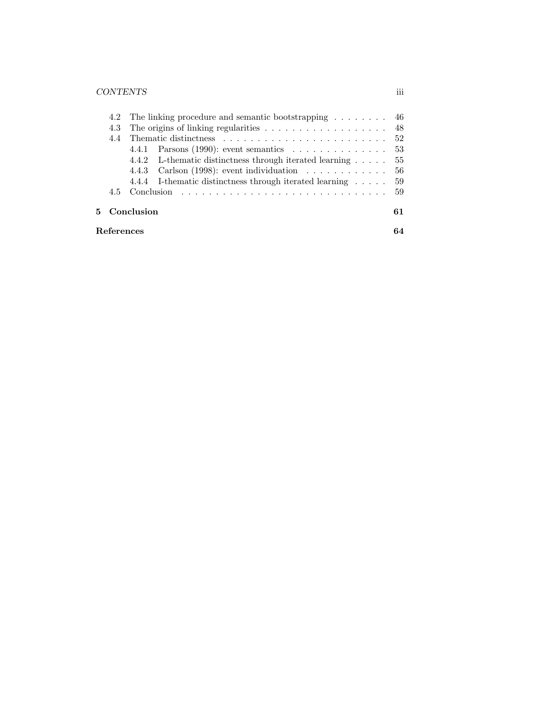### CONTENTS iii

| References |                                                                                |    |  |  |
|------------|--------------------------------------------------------------------------------|----|--|--|
|            | 5 Conclusion                                                                   | 61 |  |  |
|            |                                                                                |    |  |  |
|            | 4.4.4 I-thematic distinctness through iterated learning 59                     |    |  |  |
|            | 4.4.3 Carlson (1998): event individuation $\dots \dots \dots \dots \dots$ 56   |    |  |  |
|            | 4.4.2 L-thematic distinctness through iterated learning $\dots$ 55             |    |  |  |
|            | 4.4.1 Parsons (1990): event semantics $\dots \dots \dots \dots \dots \dots$ 53 |    |  |  |
| 4.4        |                                                                                |    |  |  |
| 4.3        |                                                                                |    |  |  |
|            | 4.2 The linking procedure and semantic bootstrapping  46                       |    |  |  |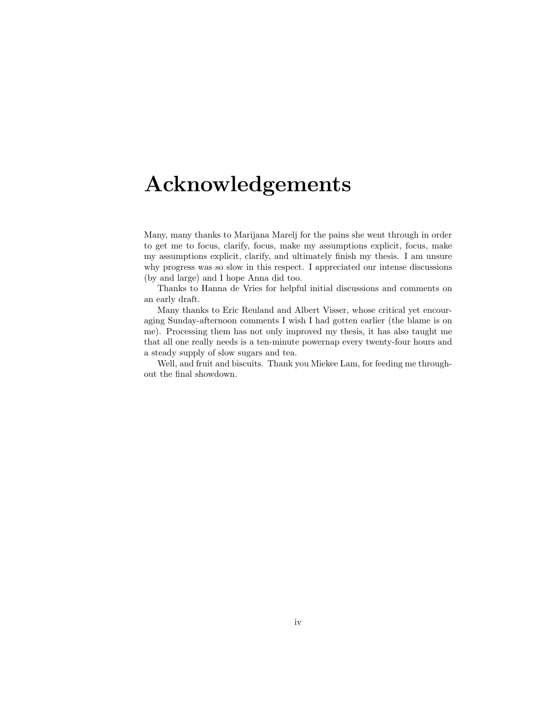## Acknowledgements

Many, many thanks to Marijana Marelj for the pains she went through in order to get me to focus, clarify, focus, make my assumptions explicit, focus, make my assumptions explicit, clarify, and ultimately finish my thesis. I am unsure why progress was so slow in this respect. I appreciated our intense discussions (by and large) and I hope Anna did too.

Thanks to Hanna de Vries for helpful initial discussions and comments on an early draft.

Many thanks to Eric Reuland and Albert Visser, whose critical yet encouraging Sunday-afternoon comments I wish I had gotten earlier (the blame is on me). Processing them has not only improved my thesis, it has also taught me that all one really needs is a ten-minute powernap every twenty-four hours and a steady supply of slow sugars and tea.

Well, and fruit and biscuits. Thank you Miekee Lam, for feeding me throughout the final showdown.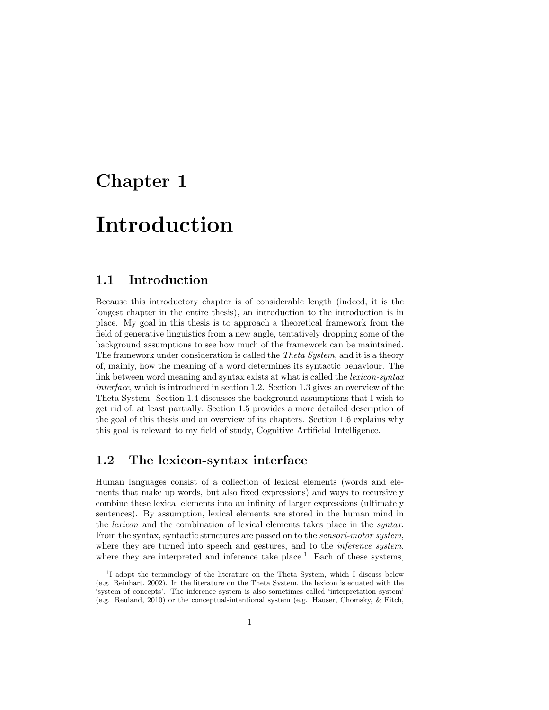## Chapter 1

## Introduction

## 1.1 Introduction

Because this introductory chapter is of considerable length (indeed, it is the longest chapter in the entire thesis), an introduction to the introduction is in place. My goal in this thesis is to approach a theoretical framework from the field of generative linguistics from a new angle, tentatively dropping some of the background assumptions to see how much of the framework can be maintained. The framework under consideration is called the *Theta System*, and it is a theory of, mainly, how the meaning of a word determines its syntactic behaviour. The link between word meaning and syntax exists at what is called the *lexicon-syntax* interface, which is introduced in section 1.2. Section 1.3 gives an overview of the Theta System. Section 1.4 discusses the background assumptions that I wish to get rid of, at least partially. Section 1.5 provides a more detailed description of the goal of this thesis and an overview of its chapters. Section 1.6 explains why this goal is relevant to my field of study, Cognitive Artificial Intelligence.

## 1.2 The lexicon-syntax interface

Human languages consist of a collection of lexical elements (words and elements that make up words, but also fixed expressions) and ways to recursively combine these lexical elements into an infinity of larger expressions (ultimately sentences). By assumption, lexical elements are stored in the human mind in the lexicon and the combination of lexical elements takes place in the syntax. From the syntax, syntactic structures are passed on to the sensori-motor system, where they are turned into speech and gestures, and to the *inference system*, where they are interpreted and inference take place.<sup>1</sup> Each of these systems,

<sup>&</sup>lt;sup>1</sup>I adopt the terminology of the literature on the Theta System, which I discuss below (e.g. Reinhart, 2002). In the literature on the Theta System, the lexicon is equated with the 'system of concepts'. The inference system is also sometimes called 'interpretation system' (e.g. Reuland, 2010) or the conceptual-intentional system (e.g. Hauser, Chomsky, & Fitch,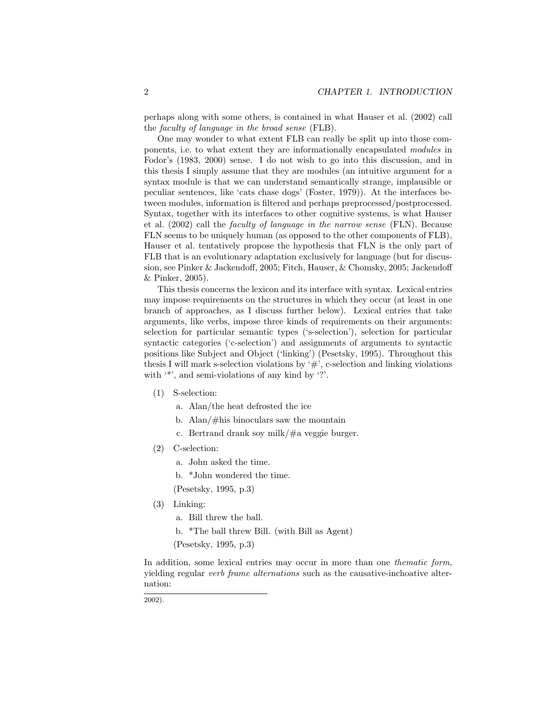perhaps along with some others, is contained in what Hauser et al. (2002) call the faculty of language in the broad sense (FLB).

One may wonder to what extent FLB can really be split up into those components, i.e. to what extent they are informationally encapsulated modules in Fodor's (1983, 2000) sense. I do not wish to go into this discussion, and in this thesis I simply assume that they are modules (an intuitive argument for a syntax module is that we can understand semantically strange, implausible or peculiar sentences, like 'cats chase dogs' (Foster, 1979)). At the interfaces between modules, information is filtered and perhaps preprocessed/postprocessed. Syntax, together with its interfaces to other cognitive systems, is what Hauser et al. (2002) call the faculty of language in the narrow sense (FLN). Because FLN seems to be uniquely human (as opposed to the other components of FLB), Hauser et al. tentatively propose the hypothesis that FLN is the only part of FLB that is an evolutionary adaptation exclusively for language (but for discussion, see Pinker & Jackendoff, 2005; Fitch, Hauser, & Chomsky, 2005; Jackendoff & Pinker, 2005).

This thesis concerns the lexicon and its interface with syntax. Lexical entries may impose requirements on the structures in which they occur (at least in one branch of approaches, as I discuss further below). Lexical entries that take arguments, like verbs, impose three kinds of requirements on their arguments: selection for particular semantic types ('s-selection'), selection for particular syntactic categories ('c-selection') and assignments of arguments to syntactic positions like Subject and Object ('linking') (Pesetsky, 1995). Throughout this thesis I will mark s-selection violations by  $\sharp$ , c-selection and linking violations with  $'$ , and semi-violations of any kind by '?'.

- (1) S-selection:
	- a. Alan/the heat defrosted the ice
	- b. Alan/#his binoculars saw the mountain
	- c. Bertrand drank soy milk/#a veggie burger.
- (2) C-selection:
	- a. John asked the time.
	- b. \*John wondered the time.

(Pesetsky, 1995, p.3)

- (3) Linking:
	- a. Bill threw the ball.
	- b. \*The ball threw Bill. (with Bill as Agent)
	- (Pesetsky, 1995, p.3)

In addition, some lexical entries may occur in more than one *thematic form*, yielding regular verb frame alternations such as the causative-inchoative alternation:

2002).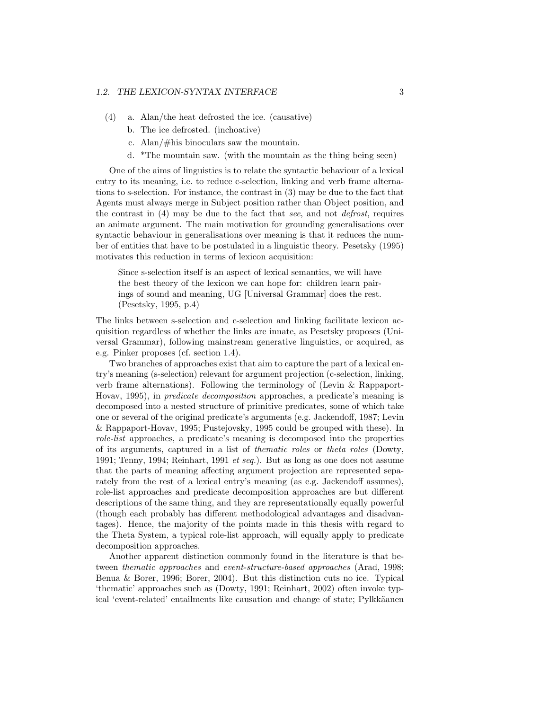- (4) a. Alan/the heat defrosted the ice. (causative)
	- b. The ice defrosted. (inchoative)
	- c. Alan/#his binoculars saw the mountain.
	- d. \*The mountain saw. (with the mountain as the thing being seen)

One of the aims of linguistics is to relate the syntactic behaviour of a lexical entry to its meaning, i.e. to reduce c-selection, linking and verb frame alternations to s-selection. For instance, the contrast in (3) may be due to the fact that Agents must always merge in Subject position rather than Object position, and the contrast in (4) may be due to the fact that see, and not defrost, requires an animate argument. The main motivation for grounding generalisations over syntactic behaviour in generalisations over meaning is that it reduces the number of entities that have to be postulated in a linguistic theory. Pesetsky (1995) motivates this reduction in terms of lexicon acquisition:

Since s-selection itself is an aspect of lexical semantics, we will have the best theory of the lexicon we can hope for: children learn pairings of sound and meaning, UG [Universal Grammar] does the rest. (Pesetsky, 1995, p.4)

The links between s-selection and c-selection and linking facilitate lexicon acquisition regardless of whether the links are innate, as Pesetsky proposes (Universal Grammar), following mainstream generative linguistics, or acquired, as e.g. Pinker proposes (cf. section 1.4).

Two branches of approaches exist that aim to capture the part of a lexical entry's meaning (s-selection) relevant for argument projection (c-selection, linking, verb frame alternations). Following the terminology of (Levin & Rappaport-Hovav, 1995), in predicate decomposition approaches, a predicate's meaning is decomposed into a nested structure of primitive predicates, some of which take one or several of the original predicate's arguments (e.g. Jackendoff, 1987; Levin & Rappaport-Hovav, 1995; Pustejovsky, 1995 could be grouped with these). In role-list approaches, a predicate's meaning is decomposed into the properties of its arguments, captured in a list of thematic roles or theta roles (Dowty, 1991; Tenny, 1994; Reinhart, 1991 et seq.). But as long as one does not assume that the parts of meaning affecting argument projection are represented separately from the rest of a lexical entry's meaning (as e.g. Jackendoff assumes), role-list approaches and predicate decomposition approaches are but different descriptions of the same thing, and they are representationally equally powerful (though each probably has different methodological advantages and disadvantages). Hence, the majority of the points made in this thesis with regard to the Theta System, a typical role-list approach, will equally apply to predicate decomposition approaches.

Another apparent distinction commonly found in the literature is that between thematic approaches and event-structure-based approaches (Arad, 1998; Benua & Borer, 1996; Borer, 2004). But this distinction cuts no ice. Typical 'thematic' approaches such as (Dowty, 1991; Reinhart, 2002) often invoke typical 'event-related' entailments like causation and change of state; Pylkkäanen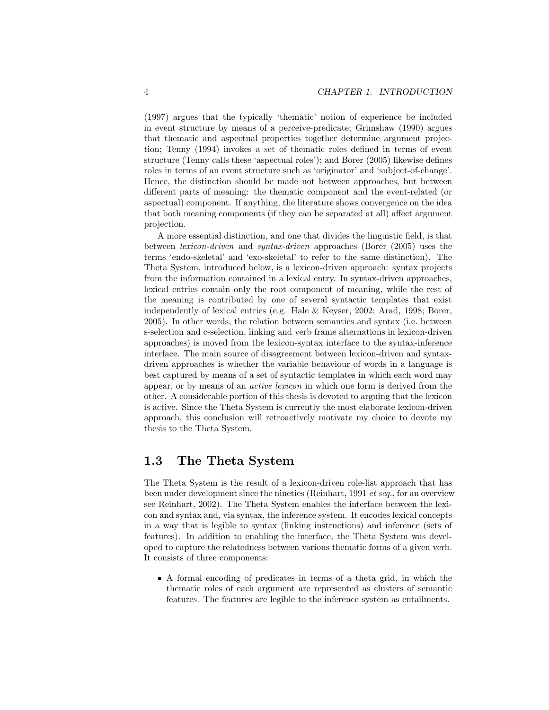(1997) argues that the typically 'thematic' notion of experience be included in event structure by means of a perceive-predicate; Grimshaw (1990) argues that thematic and aspectual properties together determine argument projection; Tenny (1994) invokes a set of thematic roles defined in terms of event structure (Tenny calls these 'aspectual roles'); and Borer (2005) likewise defines roles in terms of an event structure such as 'originator' and 'subject-of-change'. Hence, the distinction should be made not between approaches, but between different parts of meaning: the thematic component and the event-related (or aspectual) component. If anything, the literature shows convergence on the idea that both meaning components (if they can be separated at all) affect argument projection.

A more essential distinction, and one that divides the linguistic field, is that between lexicon-driven and syntax-driven approaches (Borer (2005) uses the terms 'endo-skeletal' and 'exo-skeletal' to refer to the same distinction). The Theta System, introduced below, is a lexicon-driven approach: syntax projects from the information contained in a lexical entry. In syntax-driven approaches, lexical entries contain only the root component of meaning, while the rest of the meaning is contributed by one of several syntactic templates that exist independently of lexical entries (e.g. Hale & Keyser, 2002; Arad, 1998; Borer, 2005). In other words, the relation between semantics and syntax (i.e. between s-selection and c-selection, linking and verb frame alternations in lexicon-driven approaches) is moved from the lexicon-syntax interface to the syntax-inference interface. The main source of disagreement between lexicon-driven and syntaxdriven approaches is whether the variable behaviour of words in a language is best captured by means of a set of syntactic templates in which each word may appear, or by means of an active lexicon in which one form is derived from the other. A considerable portion of this thesis is devoted to arguing that the lexicon is active. Since the Theta System is currently the most elaborate lexicon-driven approach, this conclusion will retroactively motivate my choice to devote my thesis to the Theta System.

## 1.3 The Theta System

The Theta System is the result of a lexicon-driven role-list approach that has been under development since the nineties (Reinhart, 1991 et seq., for an overview see Reinhart, 2002). The Theta System enables the interface between the lexicon and syntax and, via syntax, the inference system. It encodes lexical concepts in a way that is legible to syntax (linking instructions) and inference (sets of features). In addition to enabling the interface, the Theta System was developed to capture the relatedness between various thematic forms of a given verb. It consists of three components:

• A formal encoding of predicates in terms of a theta grid, in which the thematic roles of each argument are represented as clusters of semantic features. The features are legible to the inference system as entailments.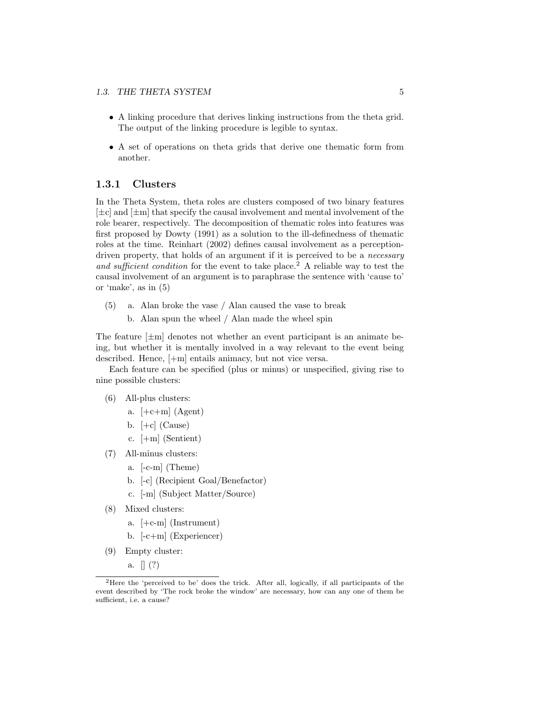- A linking procedure that derives linking instructions from the theta grid. The output of the linking procedure is legible to syntax.
- A set of operations on theta grids that derive one thematic form from another.

#### 1.3.1 Clusters

In the Theta System, theta roles are clusters composed of two binary features  $[\pm c]$  and  $[\pm m]$  that specify the causal involvement and mental involvement of the role bearer, respectively. The decomposition of thematic roles into features was first proposed by Dowty (1991) as a solution to the ill-definedness of thematic roles at the time. Reinhart (2002) defines causal involvement as a perceptiondriven property, that holds of an argument if it is perceived to be a *necessary* and sufficient condition for the event to take place.<sup>2</sup> A reliable way to test the causal involvement of an argument is to paraphrase the sentence with 'cause to' or 'make', as in (5)

- (5) a. Alan broke the vase / Alan caused the vase to break
	- b. Alan spun the wheel / Alan made the wheel spin

The feature  $[\pm m]$  denotes not whether an event participant is an animate being, but whether it is mentally involved in a way relevant to the event being described. Hence, [+m] entails animacy, but not vice versa.

Each feature can be specified (plus or minus) or unspecified, giving rise to nine possible clusters:

- (6) All-plus clusters:
	- a.  $[-c+m]$  (Agent)
	- b.  $[-c]$  (Cause)
	- c. [+m] (Sentient)
- (7) All-minus clusters:
	- a. [-c-m] (Theme)
	- b. [-c] (Recipient Goal/Benefactor)
	- c. [-m] (Subject Matter/Source)
- (8) Mixed clusters:
	- a. [+c-m] (Instrument)
	- b. [-c+m] (Experiencer)
- (9) Empty cluster:
	- a.  $\lceil (?) \rceil$

<sup>2</sup>Here the 'perceived to be' does the trick. After all, logically, if all participants of the event described by 'The rock broke the window' are necessary, how can any one of them be sufficient, i.e. a cause?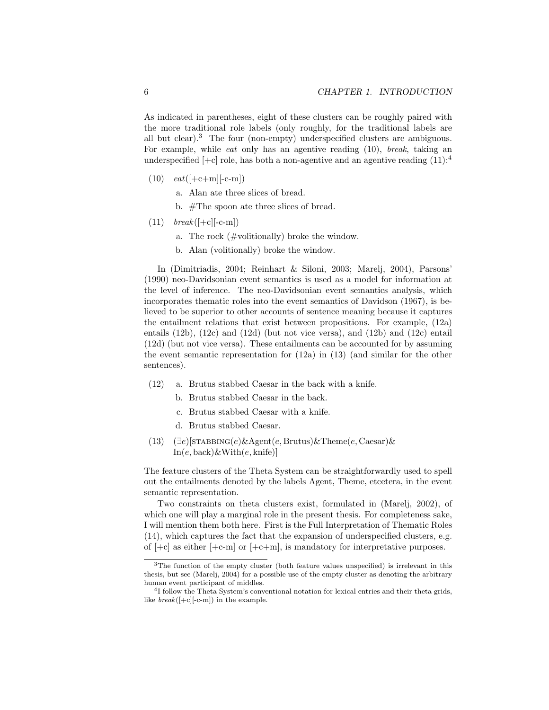As indicated in parentheses, eight of these clusters can be roughly paired with the more traditional role labels (only roughly, for the traditional labels are all but clear).<sup>3</sup> The four (non-empty) underspecified clusters are ambiguous. For example, while *eat* only has an agentive reading (10), *break*, taking an underspecified  $[-c]$  role, has both a non-agentive and an agentive reading  $(11):^4$ 

- $(10)$   $eat([-c+m][-c-m])$ 
	- a. Alan ate three slices of bread.
	- b. #The spoon ate three slices of bread.
- $(11)$  break([+c][-c-m])
	- a. The rock (#volitionally) broke the window.
	- b. Alan (volitionally) broke the window.

In (Dimitriadis, 2004; Reinhart & Siloni, 2003; Marelj, 2004), Parsons' (1990) neo-Davidsonian event semantics is used as a model for information at the level of inference. The neo-Davidsonian event semantics analysis, which incorporates thematic roles into the event semantics of Davidson (1967), is believed to be superior to other accounts of sentence meaning because it captures the entailment relations that exist between propositions. For example, (12a) entails  $(12b)$ ,  $(12c)$  and  $(12d)$  (but not vice versa), and  $(12b)$  and  $(12c)$  entail (12d) (but not vice versa). These entailments can be accounted for by assuming the event semantic representation for (12a) in (13) (and similar for the other sentences).

- (12) a. Brutus stabbed Caesar in the back with a knife.
	- b. Brutus stabbed Caesar in the back.
	- c. Brutus stabbed Caesar with a knife.
	- d. Brutus stabbed Caesar.
- (13)  $(\exists e)$ [STABBING $(e)$ &Agent $(e, Brutus)$ &Theme $(e, Caesar)$ &  $In(e, back) \& With(e, knife)$

The feature clusters of the Theta System can be straightforwardly used to spell out the entailments denoted by the labels Agent, Theme, etcetera, in the event semantic representation.

Two constraints on theta clusters exist, formulated in (Marelj, 2002), of which one will play a marginal role in the present thesis. For completeness sake, I will mention them both here. First is the Full Interpretation of Thematic Roles (14), which captures the fact that the expansion of underspecified clusters, e.g. of  $[-c]$  as either  $[-c-m]$  or  $[-c+m]$ , is mandatory for interpretative purposes.

<sup>3</sup>The function of the empty cluster (both feature values unspecified) is irrelevant in this thesis, but see (Marelj, 2004) for a possible use of the empty cluster as denoting the arbitrary human event participant of middles.

<sup>4</sup> I follow the Theta System's conventional notation for lexical entries and their theta grids, like  $break([-c-m])$  in the example.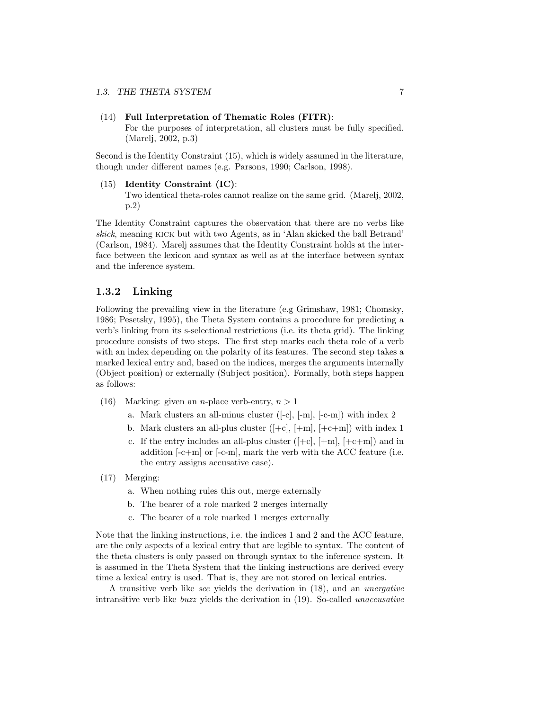#### (14) Full Interpretation of Thematic Roles (FITR):

For the purposes of interpretation, all clusters must be fully specified. (Marelj, 2002, p.3)

Second is the Identity Constraint (15), which is widely assumed in the literature, though under different names (e.g. Parsons, 1990; Carlson, 1998).

#### (15) Identity Constraint (IC): Two identical theta-roles cannot realize on the same grid. (Marelj, 2002, p.2)

The Identity Constraint captures the observation that there are no verbs like skick, meaning kick but with two Agents, as in 'Alan skicked the ball Betrand' (Carlson, 1984). Marelj assumes that the Identity Constraint holds at the interface between the lexicon and syntax as well as at the interface between syntax and the inference system.

#### 1.3.2 Linking

Following the prevailing view in the literature (e.g Grimshaw, 1981; Chomsky, 1986; Pesetsky, 1995), the Theta System contains a procedure for predicting a verb's linking from its s-selectional restrictions (i.e. its theta grid). The linking procedure consists of two steps. The first step marks each theta role of a verb with an index depending on the polarity of its features. The second step takes a marked lexical entry and, based on the indices, merges the arguments internally (Object position) or externally (Subject position). Formally, both steps happen as follows:

- (16) Marking: given an *n*-place verb-entry,  $n > 1$ 
	- a. Mark clusters an all-minus cluster ([-c], [-m], [-c-m]) with index 2
	- b. Mark clusters an all-plus cluster  $([-c], [+m], [+c+m])$  with index 1
	- c. If the entry includes an all-plus cluster  $([-c], [+m], [+c+m])$  and in addition [-c+m] or [-c-m], mark the verb with the ACC feature (i.e. the entry assigns accusative case).
- (17) Merging:
	- a. When nothing rules this out, merge externally
	- b. The bearer of a role marked 2 merges internally
	- c. The bearer of a role marked 1 merges externally

Note that the linking instructions, i.e. the indices 1 and 2 and the ACC feature, are the only aspects of a lexical entry that are legible to syntax. The content of the theta clusters is only passed on through syntax to the inference system. It is assumed in the Theta System that the linking instructions are derived every time a lexical entry is used. That is, they are not stored on lexical entries.

A transitive verb like see yields the derivation in (18), and an unergative intransitive verb like buzz yields the derivation in (19). So-called unaccusative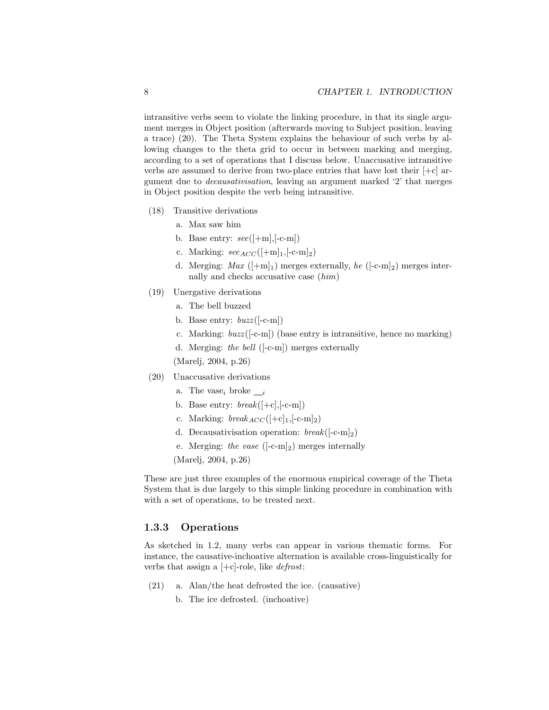intransitive verbs seem to violate the linking procedure, in that its single argument merges in Object position (afterwards moving to Subject position, leaving a trace) (20). The Theta System explains the behaviour of such verbs by allowing changes to the theta grid to occur in between marking and merging, according to a set of operations that I discuss below. Unaccusative intransitive verbs are assumed to derive from two-place entries that have lost their  $[+c]$  argument due to decausativisation, leaving an argument marked '2' that merges in Object position despite the verb being intransitive.

- (18) Transitive derivations
	- a. Max saw him
	- b. Base entry:  $see([+m], [-c-m])$
	- c. Marking:  $\sec_{ACC}([+m]_1, [-c-m]_2)$
	- d. Merging:  $Max$  ([+m]<sub>1</sub>) merges externally, he ([-c-m]<sub>2</sub>) merges internally and checks accusative case (him)
- (19) Unergative derivations
	- a. The bell buzzed
	- b. Base entry:  $buzz([-c-m])$
	- c. Marking: buzz ([-c-m]) (base entry is intransitive, hence no marking)
	- d. Merging: the bell ([-c-m]) merges externally

(Marelj, 2004, p.26)

- (20) Unaccusative derivations
	- a. The vase<sub>i</sub> broke  $\_\_i$
	- b. Base entry:  $break([+c], [-c-m])$
	- c. Marking:  $break_{ACC}([+c]_1,[-c-m]_2)$
	- d. Decausativisation operation:  $break([-c-m]_2)$
	- e. Merging: the vase  $([-c-m]_2)$  merges internally

(Marelj, 2004, p.26)

These are just three examples of the enormous empirical coverage of the Theta System that is due largely to this simple linking procedure in combination with with a set of operations, to be treated next.

#### 1.3.3 Operations

As sketched in 1.2, many verbs can appear in various thematic forms. For instance, the causative-inchoative alternation is available cross-linguistically for verbs that assign a  $[+c]$ -role, like *defrost*:

- (21) a. Alan/the heat defrosted the ice. (causative)
	- b. The ice defrosted. (inchoative)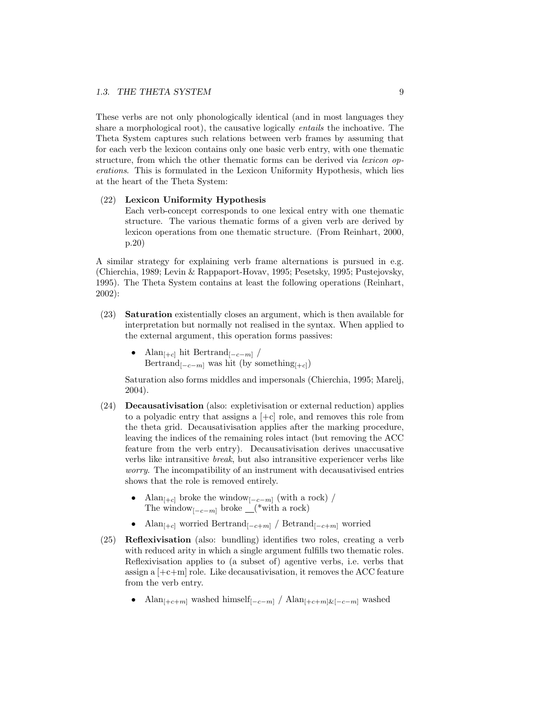These verbs are not only phonologically identical (and in most languages they share a morphological root), the causative logically *entails* the inchoative. The Theta System captures such relations between verb frames by assuming that for each verb the lexicon contains only one basic verb entry, with one thematic structure, from which the other thematic forms can be derived via *lexicon op*erations. This is formulated in the Lexicon Uniformity Hypothesis, which lies at the heart of the Theta System:

#### (22) Lexicon Uniformity Hypothesis

Each verb-concept corresponds to one lexical entry with one thematic structure. The various thematic forms of a given verb are derived by lexicon operations from one thematic structure. (From Reinhart, 2000, p.20)

A similar strategy for explaining verb frame alternations is pursued in e.g. (Chierchia, 1989; Levin & Rappaport-Hovav, 1995; Pesetsky, 1995; Pustejovsky, 1995). The Theta System contains at least the following operations (Reinhart, 2002):

- (23) Saturation existentially closes an argument, which is then available for interpretation but normally not realised in the syntax. When applied to the external argument, this operation forms passives:
	- Alan<sub> $[-c]$ </sub> hit Bertrand $[-c-m]$  / Bertrand<sub>[-c-m]</sub> was hit (by something<sub>[+c]</sub>)

Saturation also forms middles and impersonals (Chierchia, 1995; Marelj, 2004).

- (24) Decausativisation (also: expletivisation or external reduction) applies to a polyadic entry that assigns a  $[+c]$  role, and removes this role from the theta grid. Decausativisation applies after the marking procedure, leaving the indices of the remaining roles intact (but removing the ACC feature from the verb entry). Decausativisation derives unaccusative verbs like intransitive break, but also intransitive experiencer verbs like worry. The incompatibility of an instrument with decausativised entries shows that the role is removed entirely.
	- Alan<sub>[+c]</sub> broke the window<sub>[-c-m]</sub> (with a rock) / The window<sub>[ $-c-m$ ]</sub> broke  $($ <sup>\*</sup>with a rock)
	- Alan<sub> $[-c]$ </sub> worried Bertrand $[-c+m]$  / Betrand $[-c+m]$  worried
- (25) Reflexivisation (also: bundling) identifies two roles, creating a verb with reduced arity in which a single argument fulfills two thematic roles. Reflexivisation applies to (a subset of) agentive verbs, i.e. verbs that assign a  $[+c+m]$  role. Like decausativisation, it removes the ACC feature from the verb entry.
	- Alan<sub>[+c+m]</sub> washed himself<sub>[-c-m]</sub> / Alan<sub>[+c+m]&[-c-m]</sub> washed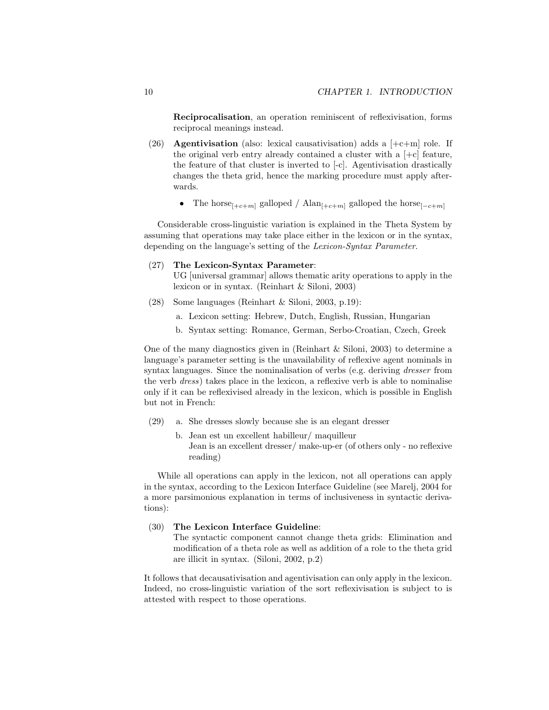Reciprocalisation, an operation reminiscent of reflexivisation, forms reciprocal meanings instead.

- (26) **Agentivisation** (also: lexical causativisation) adds a  $[-c+m]$  role. If the original verb entry already contained a cluster with a  $[+c]$  feature, the feature of that cluster is inverted to [-c]. Agentivisation drastically changes the theta grid, hence the marking procedure must apply afterwards.
	- The horse<sub>[+c+m]</sub> galloped / Alan<sub>[+c+m]</sub> galloped the horse<sub>[-c+m]</sub>

Considerable cross-linguistic variation is explained in the Theta System by assuming that operations may take place either in the lexicon or in the syntax, depending on the language's setting of the Lexicon-Syntax Parameter.

#### (27) The Lexicon-Syntax Parameter:

UG [universal grammar] allows thematic arity operations to apply in the lexicon or in syntax. (Reinhart & Siloni, 2003)

- (28) Some languages (Reinhart & Siloni, 2003, p.19):
	- a. Lexicon setting: Hebrew, Dutch, English, Russian, Hungarian
	- b. Syntax setting: Romance, German, Serbo-Croatian, Czech, Greek

One of the many diagnostics given in (Reinhart & Siloni, 2003) to determine a language's parameter setting is the unavailability of reflexive agent nominals in syntax languages. Since the nominalisation of verbs (e.g. deriving dresser from the verb dress) takes place in the lexicon, a reflexive verb is able to nominalise only if it can be reflexivised already in the lexicon, which is possible in English but not in French:

- (29) a. She dresses slowly because she is an elegant dresser
	- b. Jean est un excellent habilleur/ maquilleur Jean is an excellent dresser/ make-up-er (of others only - no reflexive reading)

While all operations can apply in the lexicon, not all operations can apply in the syntax, according to the Lexicon Interface Guideline (see Marelj, 2004 for a more parsimonious explanation in terms of inclusiveness in syntactic derivations):

#### (30) The Lexicon Interface Guideline:

The syntactic component cannot change theta grids: Elimination and modification of a theta role as well as addition of a role to the theta grid are illicit in syntax. (Siloni, 2002, p.2)

It follows that decausativisation and agentivisation can only apply in the lexicon. Indeed, no cross-linguistic variation of the sort reflexivisation is subject to is attested with respect to those operations.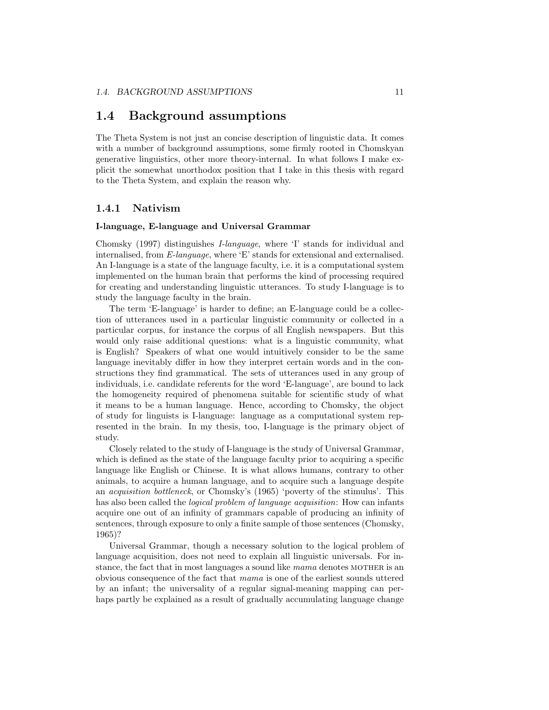### 1.4 Background assumptions

The Theta System is not just an concise description of linguistic data. It comes with a number of background assumptions, some firmly rooted in Chomskyan generative linguistics, other more theory-internal. In what follows I make explicit the somewhat unorthodox position that I take in this thesis with regard to the Theta System, and explain the reason why.

#### 1.4.1 Nativism

#### I-language, E-language and Universal Grammar

Chomsky (1997) distinguishes I-language, where 'I' stands for individual and internalised, from E-language, where 'E' stands for extensional and externalised. An I-language is a state of the language faculty, i.e. it is a computational system implemented on the human brain that performs the kind of processing required for creating and understanding linguistic utterances. To study I-language is to study the language faculty in the brain.

The term 'E-language' is harder to define; an E-language could be a collection of utterances used in a particular linguistic community or collected in a particular corpus, for instance the corpus of all English newspapers. But this would only raise additional questions: what is a linguistic community, what is English? Speakers of what one would intuitively consider to be the same language inevitably differ in how they interpret certain words and in the constructions they find grammatical. The sets of utterances used in any group of individuals, i.e. candidate referents for the word 'E-language', are bound to lack the homogeneity required of phenomena suitable for scientific study of what it means to be a human language. Hence, according to Chomsky, the object of study for linguists is I-language: language as a computational system represented in the brain. In my thesis, too, I-language is the primary object of study.

Closely related to the study of I-language is the study of Universal Grammar, which is defined as the state of the language faculty prior to acquiring a specific language like English or Chinese. It is what allows humans, contrary to other animals, to acquire a human language, and to acquire such a language despite an acquisition bottleneck, or Chomsky's (1965) 'poverty of the stimulus'. This has also been called the *logical problem of language acquisition*: How can infants acquire one out of an infinity of grammars capable of producing an infinity of sentences, through exposure to only a finite sample of those sentences (Chomsky, 1965)?

Universal Grammar, though a necessary solution to the logical problem of language acquisition, does not need to explain all linguistic universals. For instance, the fact that in most languages a sound like mama denotes MOTHER is an obvious consequence of the fact that mama is one of the earliest sounds uttered by an infant; the universality of a regular signal-meaning mapping can perhaps partly be explained as a result of gradually accumulating language change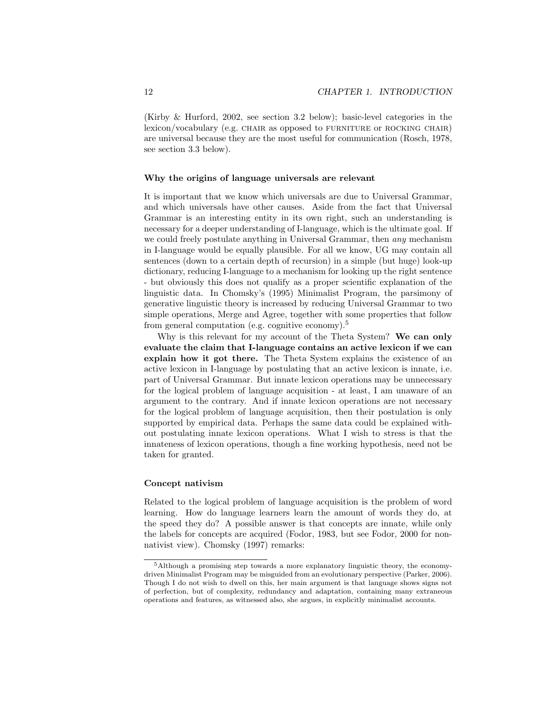(Kirby & Hurford, 2002, see section 3.2 below); basic-level categories in the  $lexicon/vocabulary$  (e.g. CHAIR as opposed to FURNITURE or ROCKING CHAIR) are universal because they are the most useful for communication (Rosch, 1978, see section 3.3 below).

#### Why the origins of language universals are relevant

It is important that we know which universals are due to Universal Grammar, and which universals have other causes. Aside from the fact that Universal Grammar is an interesting entity in its own right, such an understanding is necessary for a deeper understanding of I-language, which is the ultimate goal. If we could freely postulate anything in Universal Grammar, then *any* mechanism in I-language would be equally plausible. For all we know, UG may contain all sentences (down to a certain depth of recursion) in a simple (but huge) look-up dictionary, reducing I-language to a mechanism for looking up the right sentence - but obviously this does not qualify as a proper scientific explanation of the linguistic data. In Chomsky's (1995) Minimalist Program, the parsimony of generative linguistic theory is increased by reducing Universal Grammar to two simple operations, Merge and Agree, together with some properties that follow from general computation (e.g. cognitive economy).<sup>5</sup>

Why is this relevant for my account of the Theta System? We can only evaluate the claim that I-language contains an active lexicon if we can explain how it got there. The Theta System explains the existence of an active lexicon in I-language by postulating that an active lexicon is innate, i.e. part of Universal Grammar. But innate lexicon operations may be unnecessary for the logical problem of language acquisition - at least, I am unaware of an argument to the contrary. And if innate lexicon operations are not necessary for the logical problem of language acquisition, then their postulation is only supported by empirical data. Perhaps the same data could be explained without postulating innate lexicon operations. What I wish to stress is that the innateness of lexicon operations, though a fine working hypothesis, need not be taken for granted.

#### Concept nativism

Related to the logical problem of language acquisition is the problem of word learning. How do language learners learn the amount of words they do, at the speed they do? A possible answer is that concepts are innate, while only the labels for concepts are acquired (Fodor, 1983, but see Fodor, 2000 for nonnativist view). Chomsky (1997) remarks:

<sup>5</sup>Although a promising step towards a more explanatory linguistic theory, the economydriven Minimalist Program may be misguided from an evolutionary perspective (Parker, 2006). Though I do not wish to dwell on this, her main argument is that language shows signs not of perfection, but of complexity, redundancy and adaptation, containing many extraneous operations and features, as witnessed also, she argues, in explicitly minimalist accounts.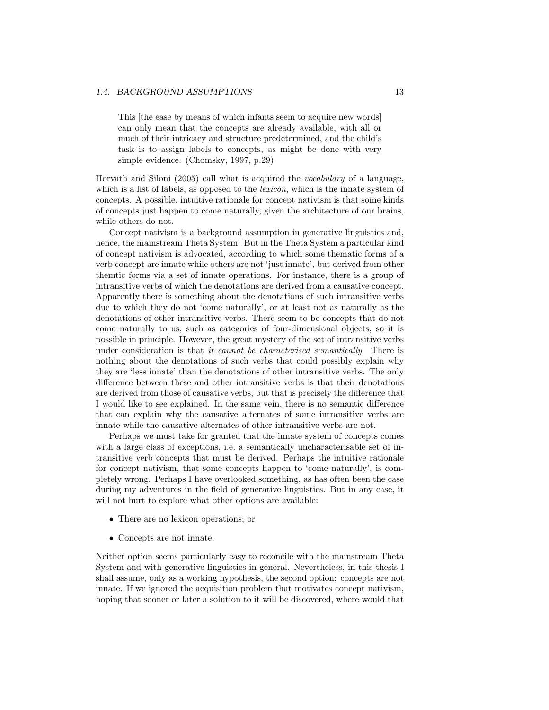#### 1.4. BACKGROUND ASSUMPTIONS 13

This [the ease by means of which infants seem to acquire new words] can only mean that the concepts are already available, with all or much of their intricacy and structure predetermined, and the child's task is to assign labels to concepts, as might be done with very simple evidence. (Chomsky, 1997, p.29)

Horvath and Siloni (2005) call what is acquired the vocabulary of a language, which is a list of labels, as opposed to the *lexicon*, which is the innate system of concepts. A possible, intuitive rationale for concept nativism is that some kinds of concepts just happen to come naturally, given the architecture of our brains, while others do not.

Concept nativism is a background assumption in generative linguistics and, hence, the mainstream Theta System. But in the Theta System a particular kind of concept nativism is advocated, according to which some thematic forms of a verb concept are innate while others are not 'just innate', but derived from other themtic forms via a set of innate operations. For instance, there is a group of intransitive verbs of which the denotations are derived from a causative concept. Apparently there is something about the denotations of such intransitive verbs due to which they do not 'come naturally', or at least not as naturally as the denotations of other intransitive verbs. There seem to be concepts that do not come naturally to us, such as categories of four-dimensional objects, so it is possible in principle. However, the great mystery of the set of intransitive verbs under consideration is that it cannot be characterised semantically. There is nothing about the denotations of such verbs that could possibly explain why they are 'less innate' than the denotations of other intransitive verbs. The only difference between these and other intransitive verbs is that their denotations are derived from those of causative verbs, but that is precisely the difference that I would like to see explained. In the same vein, there is no semantic difference that can explain why the causative alternates of some intransitive verbs are innate while the causative alternates of other intransitive verbs are not.

Perhaps we must take for granted that the innate system of concepts comes with a large class of exceptions, i.e. a semantically uncharacterisable set of intransitive verb concepts that must be derived. Perhaps the intuitive rationale for concept nativism, that some concepts happen to 'come naturally', is completely wrong. Perhaps I have overlooked something, as has often been the case during my adventures in the field of generative linguistics. But in any case, it will not hurt to explore what other options are available:

- There are no lexicon operations; or
- Concepts are not innate.

Neither option seems particularly easy to reconcile with the mainstream Theta System and with generative linguistics in general. Nevertheless, in this thesis I shall assume, only as a working hypothesis, the second option: concepts are not innate. If we ignored the acquisition problem that motivates concept nativism, hoping that sooner or later a solution to it will be discovered, where would that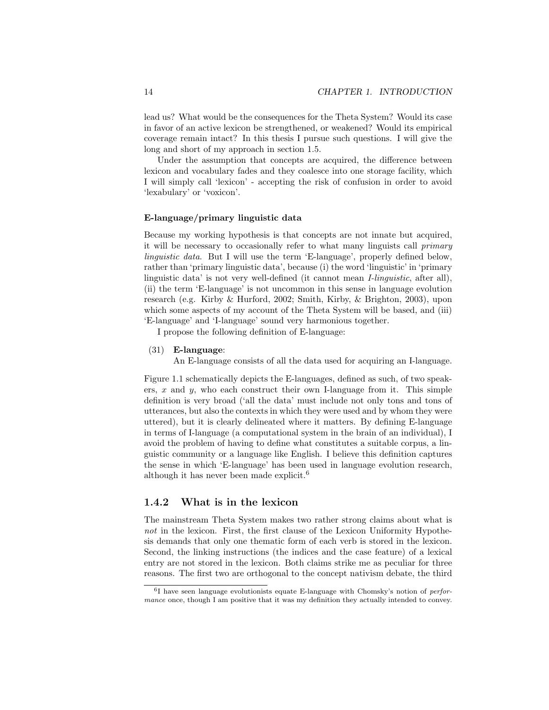lead us? What would be the consequences for the Theta System? Would its case in favor of an active lexicon be strengthened, or weakened? Would its empirical coverage remain intact? In this thesis I pursue such questions. I will give the long and short of my approach in section 1.5.

Under the assumption that concepts are acquired, the difference between lexicon and vocabulary fades and they coalesce into one storage facility, which I will simply call 'lexicon' - accepting the risk of confusion in order to avoid 'lexabulary' or 'voxicon'.

#### E-language/primary linguistic data

Because my working hypothesis is that concepts are not innate but acquired, it will be necessary to occasionally refer to what many linguists call primary linguistic data. But I will use the term 'E-language', properly defined below, rather than 'primary linguistic data', because (i) the word 'linguistic' in 'primary linguistic data' is not very well-defined (it cannot mean I-linguistic, after all), (ii) the term 'E-language' is not uncommon in this sense in language evolution research (e.g. Kirby & Hurford, 2002; Smith, Kirby, & Brighton, 2003), upon which some aspects of my account of the Theta System will be based, and (iii) 'E-language' and 'I-language' sound very harmonious together.

I propose the following definition of E-language:

#### (31) E-language:

An E-language consists of all the data used for acquiring an I-language.

Figure 1.1 schematically depicts the E-languages, defined as such, of two speakers,  $x$  and  $y$ , who each construct their own I-language from it. This simple definition is very broad ('all the data' must include not only tons and tons of utterances, but also the contexts in which they were used and by whom they were uttered), but it is clearly delineated where it matters. By defining E-language in terms of I-language (a computational system in the brain of an individual), I avoid the problem of having to define what constitutes a suitable corpus, a linguistic community or a language like English. I believe this definition captures the sense in which 'E-language' has been used in language evolution research, although it has never been made explicit.<sup>6</sup>

#### 1.4.2 What is in the lexicon

The mainstream Theta System makes two rather strong claims about what is not in the lexicon. First, the first clause of the Lexicon Uniformity Hypothesis demands that only one thematic form of each verb is stored in the lexicon. Second, the linking instructions (the indices and the case feature) of a lexical entry are not stored in the lexicon. Both claims strike me as peculiar for three reasons. The first two are orthogonal to the concept nativism debate, the third

<sup>&</sup>lt;sup>6</sup>I have seen language evolutionists equate E-language with Chomsky's notion of *perfor*mance once, though I am positive that it was my definition they actually intended to convey.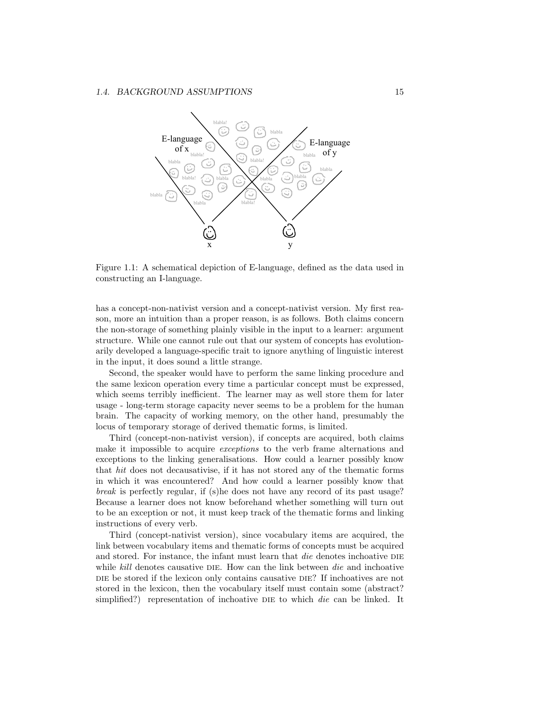

Figure 1.1: A schematical depiction of E-language, defined as the data used in constructing an I-language.

has a concept-non-nativist version and a concept-nativist version. My first reason, more an intuition than a proper reason, is as follows. Both claims concern the non-storage of something plainly visible in the input to a learner: argument structure. While one cannot rule out that our system of concepts has evolutionarily developed a language-specific trait to ignore anything of linguistic interest in the input, it does sound a little strange.

Second, the speaker would have to perform the same linking procedure and the same lexicon operation every time a particular concept must be expressed, which seems terribly inefficient. The learner may as well store them for later usage - long-term storage capacity never seems to be a problem for the human brain. The capacity of working memory, on the other hand, presumably the locus of temporary storage of derived thematic forms, is limited.

Third (concept-non-nativist version), if concepts are acquired, both claims make it impossible to acquire exceptions to the verb frame alternations and exceptions to the linking generalisations. How could a learner possibly know that hit does not decausativise, if it has not stored any of the thematic forms in which it was encountered? And how could a learner possibly know that break is perfectly regular, if (s)he does not have any record of its past usage? Because a learner does not know beforehand whether something will turn out to be an exception or not, it must keep track of the thematic forms and linking instructions of every verb.

Third (concept-nativist version), since vocabulary items are acquired, the link between vocabulary items and thematic forms of concepts must be acquired and stored. For instance, the infant must learn that *die* denotes inchoative DIE while kill denotes causative DIE. How can the link between die and inchoative die be stored if the lexicon only contains causative die? If inchoatives are not stored in the lexicon, then the vocabulary itself must contain some (abstract? simplified?) representation of inchoative DIE to which die can be linked. It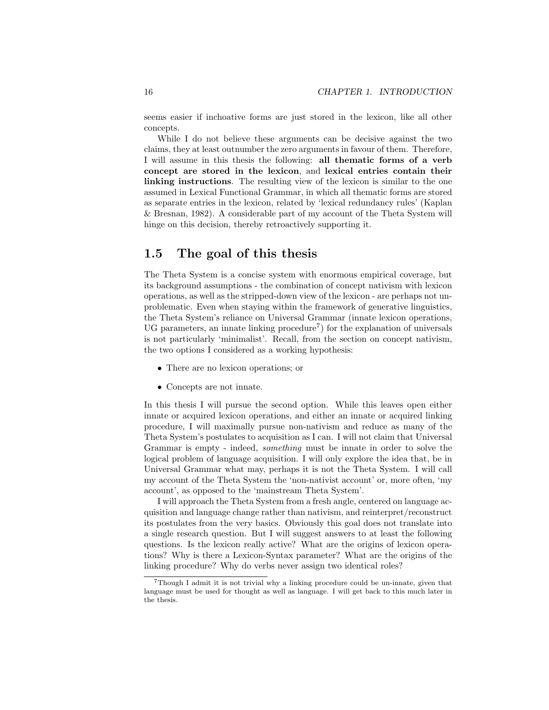seems easier if inchoative forms are just stored in the lexicon, like all other concepts.

While I do not believe these arguments can be decisive against the two claims, they at least outnumber the zero arguments in favour of them. Therefore, I will assume in this thesis the following: all thematic forms of a verb concept are stored in the lexicon, and lexical entries contain their linking instructions. The resulting view of the lexicon is similar to the one assumed in Lexical Functional Grammar, in which all thematic forms are stored as separate entries in the lexicon, related by 'lexical redundancy rules' (Kaplan & Bresnan, 1982). A considerable part of my account of the Theta System will hinge on this decision, thereby retroactively supporting it.

### 1.5 The goal of this thesis

The Theta System is a concise system with enormous empirical coverage, but its background assumptions - the combination of concept nativism with lexicon operations, as well as the stripped-down view of the lexicon - are perhaps not unproblematic. Even when staying within the framework of generative linguistics, the Theta System's reliance on Universal Grammar (innate lexicon operations, UG parameters, an innate linking procedure<sup>7</sup>) for the explanation of universals is not particularly 'minimalist'. Recall, from the section on concept nativism, the two options I considered as a working hypothesis:

- There are no lexicon operations; or
- Concepts are not innate.

In this thesis I will pursue the second option. While this leaves open either innate or acquired lexicon operations, and either an innate or acquired linking procedure, I will maximally pursue non-nativism and reduce as many of the Theta System's postulates to acquisition as I can. I will not claim that Universal Grammar is empty - indeed, something must be innate in order to solve the logical problem of language acquisition. I will only explore the idea that, be in Universal Grammar what may, perhaps it is not the Theta System. I will call my account of the Theta System the 'non-nativist account' or, more often, 'my account', as opposed to the 'mainstream Theta System'.

I will approach the Theta System from a fresh angle, centered on language acquisition and language change rather than nativism, and reinterpret/reconstruct its postulates from the very basics. Obviously this goal does not translate into a single research question. But I will suggest answers to at least the following questions. Is the lexicon really active? What are the origins of lexicon operations? Why is there a Lexicon-Syntax parameter? What are the origins of the linking procedure? Why do verbs never assign two identical roles?

<sup>7</sup>Though I admit it is not trivial why a linking procedure could be un-innate, given that language must be used for thought as well as language. I will get back to this much later in the thesis.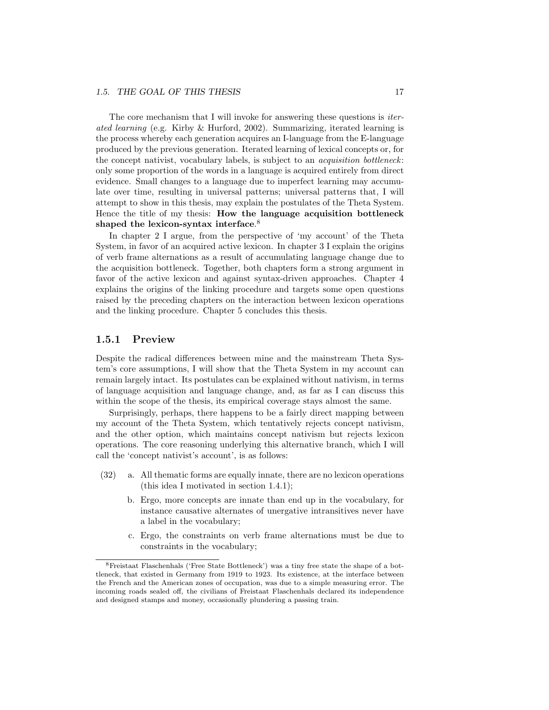The core mechanism that I will invoke for answering these questions is *iter*ated learning (e.g. Kirby & Hurford, 2002). Summarizing, iterated learning is the process whereby each generation acquires an I-language from the E-language produced by the previous generation. Iterated learning of lexical concepts or, for the concept nativist, vocabulary labels, is subject to an acquisition bottleneck: only some proportion of the words in a language is acquired entirely from direct evidence. Small changes to a language due to imperfect learning may accumulate over time, resulting in universal patterns; universal patterns that, I will attempt to show in this thesis, may explain the postulates of the Theta System. Hence the title of my thesis: How the language acquisition bottleneck shaped the lexicon-syntax interface.<sup>8</sup>

In chapter 2 I argue, from the perspective of 'my account' of the Theta System, in favor of an acquired active lexicon. In chapter 3 I explain the origins of verb frame alternations as a result of accumulating language change due to the acquisition bottleneck. Together, both chapters form a strong argument in favor of the active lexicon and against syntax-driven approaches. Chapter 4 explains the origins of the linking procedure and targets some open questions raised by the preceding chapters on the interaction between lexicon operations and the linking procedure. Chapter 5 concludes this thesis.

#### 1.5.1 Preview

Despite the radical differences between mine and the mainstream Theta System's core assumptions, I will show that the Theta System in my account can remain largely intact. Its postulates can be explained without nativism, in terms of language acquisition and language change, and, as far as I can discuss this within the scope of the thesis, its empirical coverage stays almost the same.

Surprisingly, perhaps, there happens to be a fairly direct mapping between my account of the Theta System, which tentatively rejects concept nativism, and the other option, which maintains concept nativism but rejects lexicon operations. The core reasoning underlying this alternative branch, which I will call the 'concept nativist's account', is as follows:

- (32) a. All thematic forms are equally innate, there are no lexicon operations (this idea I motivated in section 1.4.1);
	- b. Ergo, more concepts are innate than end up in the vocabulary, for instance causative alternates of unergative intransitives never have a label in the vocabulary;
	- c. Ergo, the constraints on verb frame alternations must be due to constraints in the vocabulary;

<sup>8</sup>Freistaat Flaschenhals ('Free State Bottleneck') was a tiny free state the shape of a bottleneck, that existed in Germany from 1919 to 1923. Its existence, at the interface between the French and the American zones of occupation, was due to a simple measuring error. The incoming roads sealed off, the civilians of Freistaat Flaschenhals declared its independence and designed stamps and money, occasionally plundering a passing train.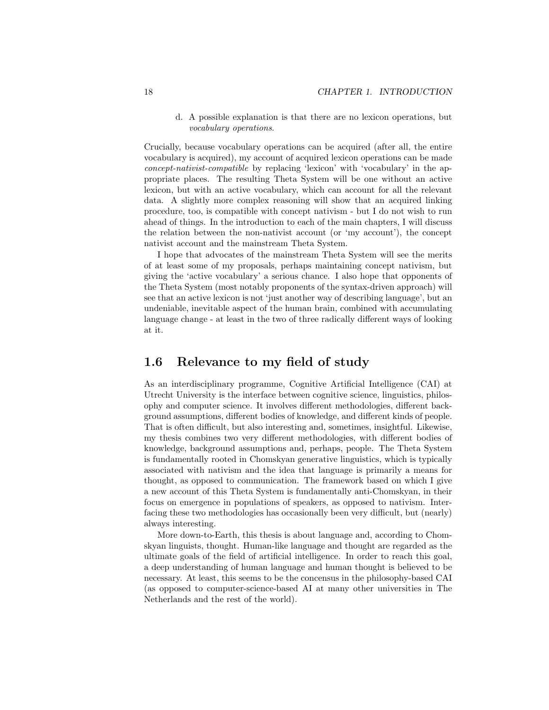d. A possible explanation is that there are no lexicon operations, but vocabulary operations.

Crucially, because vocabulary operations can be acquired (after all, the entire vocabulary is acquired), my account of acquired lexicon operations can be made concept-nativist-compatible by replacing 'lexicon' with 'vocabulary' in the appropriate places. The resulting Theta System will be one without an active lexicon, but with an active vocabulary, which can account for all the relevant data. A slightly more complex reasoning will show that an acquired linking procedure, too, is compatible with concept nativism - but I do not wish to run ahead of things. In the introduction to each of the main chapters, I will discuss the relation between the non-nativist account (or 'my account'), the concept nativist account and the mainstream Theta System.

I hope that advocates of the mainstream Theta System will see the merits of at least some of my proposals, perhaps maintaining concept nativism, but giving the 'active vocabulary' a serious chance. I also hope that opponents of the Theta System (most notably proponents of the syntax-driven approach) will see that an active lexicon is not 'just another way of describing language', but an undeniable, inevitable aspect of the human brain, combined with accumulating language change - at least in the two of three radically different ways of looking at it.

### 1.6 Relevance to my field of study

As an interdisciplinary programme, Cognitive Artificial Intelligence (CAI) at Utrecht University is the interface between cognitive science, linguistics, philosophy and computer science. It involves different methodologies, different background assumptions, different bodies of knowledge, and different kinds of people. That is often difficult, but also interesting and, sometimes, insightful. Likewise, my thesis combines two very different methodologies, with different bodies of knowledge, background assumptions and, perhaps, people. The Theta System is fundamentally rooted in Chomskyan generative linguistics, which is typically associated with nativism and the idea that language is primarily a means for thought, as opposed to communication. The framework based on which I give a new account of this Theta System is fundamentally anti-Chomskyan, in their focus on emergence in populations of speakers, as opposed to nativism. Interfacing these two methodologies has occasionally been very difficult, but (nearly) always interesting.

More down-to-Earth, this thesis is about language and, according to Chomskyan linguists, thought. Human-like language and thought are regarded as the ultimate goals of the field of artificial intelligence. In order to reach this goal, a deep understanding of human language and human thought is believed to be necessary. At least, this seems to be the concensus in the philosophy-based CAI (as opposed to computer-science-based AI at many other universities in The Netherlands and the rest of the world).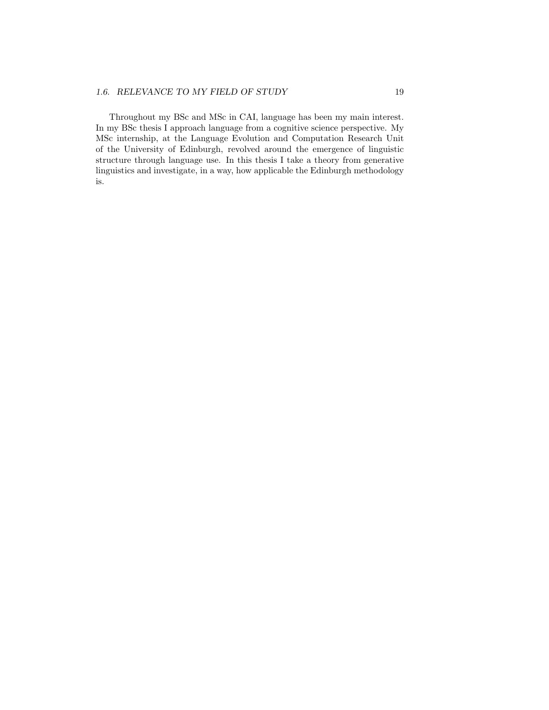#### 1.6. RELEVANCE TO MY FIELD OF STUDY 19

Throughout my BSc and MSc in CAI, language has been my main interest. In my BSc thesis I approach language from a cognitive science perspective. My MSc internship, at the Language Evolution and Computation Research Unit of the University of Edinburgh, revolved around the emergence of linguistic structure through language use. In this thesis I take a theory from generative linguistics and investigate, in a way, how applicable the Edinburgh methodology is.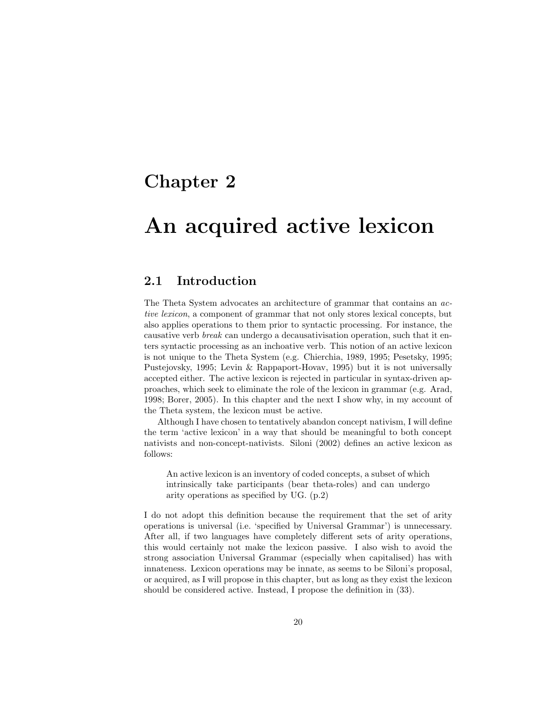## Chapter 2

## An acquired active lexicon

## 2.1 Introduction

The Theta System advocates an architecture of grammar that contains an active lexicon, a component of grammar that not only stores lexical concepts, but also applies operations to them prior to syntactic processing. For instance, the causative verb break can undergo a decausativisation operation, such that it enters syntactic processing as an inchoative verb. This notion of an active lexicon is not unique to the Theta System (e.g. Chierchia, 1989, 1995; Pesetsky, 1995; Pustejovsky, 1995; Levin & Rappaport-Hovav, 1995) but it is not universally accepted either. The active lexicon is rejected in particular in syntax-driven approaches, which seek to eliminate the role of the lexicon in grammar (e.g. Arad, 1998; Borer, 2005). In this chapter and the next I show why, in my account of the Theta system, the lexicon must be active.

Although I have chosen to tentatively abandon concept nativism, I will define the term 'active lexicon' in a way that should be meaningful to both concept nativists and non-concept-nativists. Siloni (2002) defines an active lexicon as follows:

An active lexicon is an inventory of coded concepts, a subset of which intrinsically take participants (bear theta-roles) and can undergo arity operations as specified by UG. (p.2)

I do not adopt this definition because the requirement that the set of arity operations is universal (i.e. 'specified by Universal Grammar') is unnecessary. After all, if two languages have completely different sets of arity operations, this would certainly not make the lexicon passive. I also wish to avoid the strong association Universal Grammar (especially when capitalised) has with innateness. Lexicon operations may be innate, as seems to be Siloni's proposal, or acquired, as I will propose in this chapter, but as long as they exist the lexicon should be considered active. Instead, I propose the definition in (33).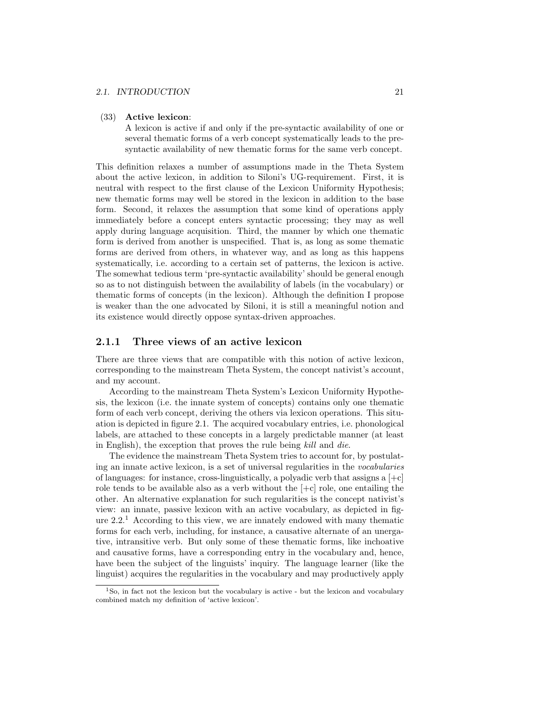#### 2.1. INTRODUCTION 21

#### (33) Active lexicon:

A lexicon is active if and only if the pre-syntactic availability of one or several thematic forms of a verb concept systematically leads to the presyntactic availability of new thematic forms for the same verb concept.

This definition relaxes a number of assumptions made in the Theta System about the active lexicon, in addition to Siloni's UG-requirement. First, it is neutral with respect to the first clause of the Lexicon Uniformity Hypothesis; new thematic forms may well be stored in the lexicon in addition to the base form. Second, it relaxes the assumption that some kind of operations apply immediately before a concept enters syntactic processing; they may as well apply during language acquisition. Third, the manner by which one thematic form is derived from another is unspecified. That is, as long as some thematic forms are derived from others, in whatever way, and as long as this happens systematically, i.e. according to a certain set of patterns, the lexicon is active. The somewhat tedious term 'pre-syntactic availability' should be general enough so as to not distinguish between the availability of labels (in the vocabulary) or thematic forms of concepts (in the lexicon). Although the definition I propose is weaker than the one advocated by Siloni, it is still a meaningful notion and its existence would directly oppose syntax-driven approaches.

#### 2.1.1 Three views of an active lexicon

There are three views that are compatible with this notion of active lexicon, corresponding to the mainstream Theta System, the concept nativist's account, and my account.

According to the mainstream Theta System's Lexicon Uniformity Hypothesis, the lexicon (i.e. the innate system of concepts) contains only one thematic form of each verb concept, deriving the others via lexicon operations. This situation is depicted in figure 2.1. The acquired vocabulary entries, i.e. phonological labels, are attached to these concepts in a largely predictable manner (at least in English), the exception that proves the rule being kill and die.

The evidence the mainstream Theta System tries to account for, by postulating an innate active lexicon, is a set of universal regularities in the vocabularies of languages: for instance, cross-linguistically, a polyadic verb that assigns a  $[+c]$ role tends to be available also as a verb without the  $[+c]$  role, one entailing the other. An alternative explanation for such regularities is the concept nativist's view: an innate, passive lexicon with an active vocabulary, as depicted in figure  $2.2<sup>1</sup>$  According to this view, we are innately endowed with many thematic forms for each verb, including, for instance, a causative alternate of an unergative, intransitive verb. But only some of these thematic forms, like inchoative and causative forms, have a corresponding entry in the vocabulary and, hence, have been the subject of the linguists' inquiry. The language learner (like the linguist) acquires the regularities in the vocabulary and may productively apply

<sup>&</sup>lt;sup>1</sup>So, in fact not the lexicon but the vocabulary is active - but the lexicon and vocabulary combined match my definition of 'active lexicon'.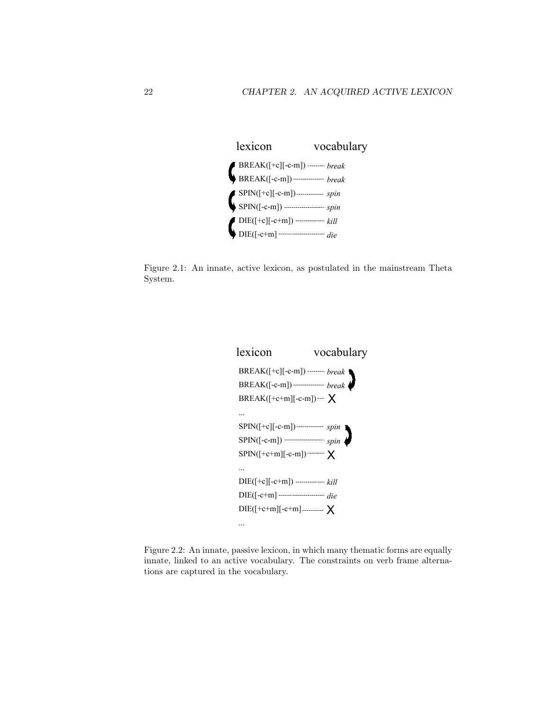

Figure 2.1: An innate, active lexicon, as postulated in the mainstream Theta System.



Figure 2.2: An innate, passive lexicon, in which many thematic forms are equally innate, linked to an active vocabulary. The constraints on verb frame alternations are captured in the vocabulary.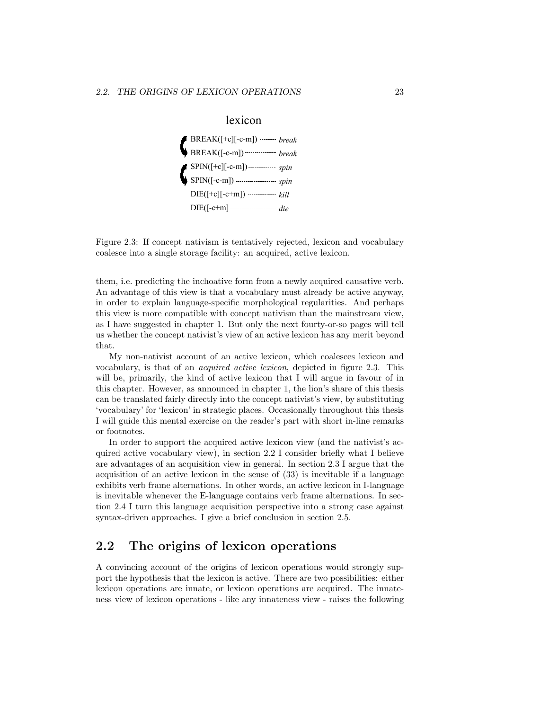

Figure 2.3: If concept nativism is tentatively rejected, lexicon and vocabulary coalesce into a single storage facility: an acquired, active lexicon.

them, i.e. predicting the inchoative form from a newly acquired causative verb. An advantage of this view is that a vocabulary must already be active anyway, in order to explain language-specific morphological regularities. And perhaps this view is more compatible with concept nativism than the mainstream view, as I have suggested in chapter 1. But only the next fourty-or-so pages will tell us whether the concept nativist's view of an active lexicon has any merit beyond that.

My non-nativist account of an active lexicon, which coalesces lexicon and vocabulary, is that of an acquired active lexicon, depicted in figure 2.3. This will be, primarily, the kind of active lexicon that I will argue in favour of in this chapter. However, as announced in chapter 1, the lion's share of this thesis can be translated fairly directly into the concept nativist's view, by substituting 'vocabulary' for 'lexicon' in strategic places. Occasionally throughout this thesis I will guide this mental exercise on the reader's part with short in-line remarks or footnotes.

In order to support the acquired active lexicon view (and the nativist's acquired active vocabulary view), in section 2.2 I consider briefly what I believe are advantages of an acquisition view in general. In section 2.3 I argue that the acquisition of an active lexicon in the sense of (33) is inevitable if a language exhibits verb frame alternations. In other words, an active lexicon in I-language is inevitable whenever the E-language contains verb frame alternations. In section 2.4 I turn this language acquisition perspective into a strong case against syntax-driven approaches. I give a brief conclusion in section 2.5.

## 2.2 The origins of lexicon operations

A convincing account of the origins of lexicon operations would strongly support the hypothesis that the lexicon is active. There are two possibilities: either lexicon operations are innate, or lexicon operations are acquired. The innateness view of lexicon operations - like any innateness view - raises the following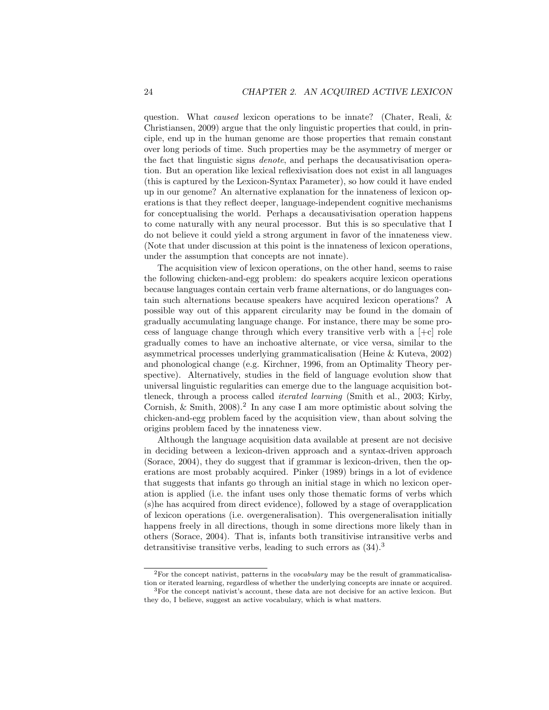question. What caused lexicon operations to be innate? (Chater, Reali, & Christiansen, 2009) argue that the only linguistic properties that could, in principle, end up in the human genome are those properties that remain constant over long periods of time. Such properties may be the asymmetry of merger or the fact that linguistic signs denote, and perhaps the decausativisation operation. But an operation like lexical reflexivisation does not exist in all languages (this is captured by the Lexicon-Syntax Parameter), so how could it have ended up in our genome? An alternative explanation for the innateness of lexicon operations is that they reflect deeper, language-independent cognitive mechanisms for conceptualising the world. Perhaps a decausativisation operation happens to come naturally with any neural processor. But this is so speculative that I do not believe it could yield a strong argument in favor of the innateness view. (Note that under discussion at this point is the innateness of lexicon operations, under the assumption that concepts are not innate).

The acquisition view of lexicon operations, on the other hand, seems to raise the following chicken-and-egg problem: do speakers acquire lexicon operations because languages contain certain verb frame alternations, or do languages contain such alternations because speakers have acquired lexicon operations? A possible way out of this apparent circularity may be found in the domain of gradually accumulating language change. For instance, there may be some process of language change through which every transitive verb with a  $[+c]$  role gradually comes to have an inchoative alternate, or vice versa, similar to the asymmetrical processes underlying grammaticalisation (Heine & Kuteva, 2002) and phonological change (e.g. Kirchner, 1996, from an Optimality Theory perspective). Alternatively, studies in the field of language evolution show that universal linguistic regularities can emerge due to the language acquisition bottleneck, through a process called iterated learning (Smith et al., 2003; Kirby, Cornish,  $\&$  Smith, 2008).<sup>2</sup> In any case I am more optimistic about solving the chicken-and-egg problem faced by the acquisition view, than about solving the origins problem faced by the innateness view.

Although the language acquisition data available at present are not decisive in deciding between a lexicon-driven approach and a syntax-driven approach (Sorace, 2004), they do suggest that if grammar is lexicon-driven, then the operations are most probably acquired. Pinker (1989) brings in a lot of evidence that suggests that infants go through an initial stage in which no lexicon operation is applied (i.e. the infant uses only those thematic forms of verbs which (s)he has acquired from direct evidence), followed by a stage of overapplication of lexicon operations (i.e. overgeneralisation). This overgeneralisation initially happens freely in all directions, though in some directions more likely than in others (Sorace, 2004). That is, infants both transitivise intransitive verbs and detransitivise transitive verbs, leading to such errors as  $(34)$ .<sup>3</sup>

 ${}^{2}$ For the concept nativist, patterns in the *vocabulary* may be the result of grammaticalisation or iterated learning, regardless of whether the underlying concepts are innate or acquired.

<sup>3</sup>For the concept nativist's account, these data are not decisive for an active lexicon. But they do, I believe, suggest an active vocabulary, which is what matters.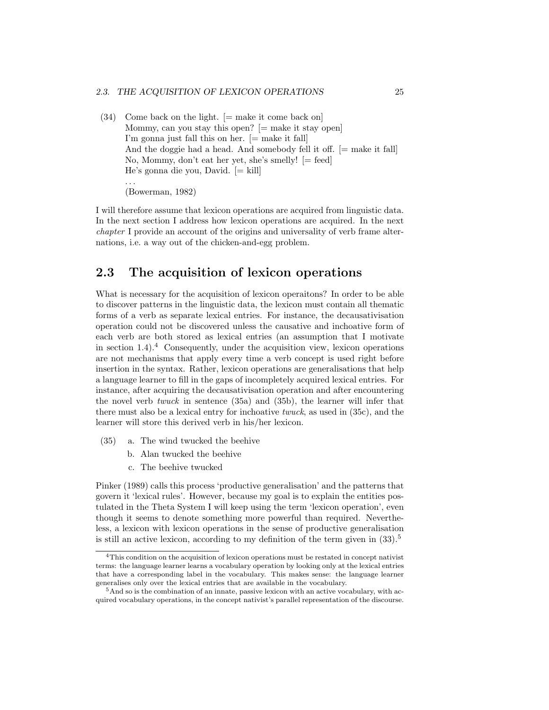$(34)$  Come back on the light.  $[=$  make it come back on Mommy, can you stay this open?  $[=$  make it stay open] I'm gonna just fall this on her.  $[=$  make it fall And the doggie had a head. And somebody fell it off.  $[=$  make it fall No, Mommy, don't eat her yet, she's smelly! [= feed] He's gonna die you, David. [= kill] . . . (Bowerman, 1982)

I will therefore assume that lexicon operations are acquired from linguistic data. In the next section I address how lexicon operations are acquired. In the next chapter I provide an account of the origins and universality of verb frame alternations, i.e. a way out of the chicken-and-egg problem.

## 2.3 The acquisition of lexicon operations

What is necessary for the acquisition of lexicon operaitons? In order to be able to discover patterns in the linguistic data, the lexicon must contain all thematic forms of a verb as separate lexical entries. For instance, the decausativisation operation could not be discovered unless the causative and inchoative form of each verb are both stored as lexical entries (an assumption that I motivate in section  $1.4$ ).<sup>4</sup> Consequently, under the acquisition view, lexicon operations are not mechanisms that apply every time a verb concept is used right before insertion in the syntax. Rather, lexicon operations are generalisations that help a language learner to fill in the gaps of incompletely acquired lexical entries. For instance, after acquiring the decausativisation operation and after encountering the novel verb twuck in sentence (35a) and (35b), the learner will infer that there must also be a lexical entry for inchoative twuck, as used in (35c), and the learner will store this derived verb in his/her lexicon.

- (35) a. The wind twucked the beehive
	- b. Alan twucked the beehive
	- c. The beehive twucked

Pinker (1989) calls this process 'productive generalisation' and the patterns that govern it 'lexical rules'. However, because my goal is to explain the entities postulated in the Theta System I will keep using the term 'lexicon operation', even though it seems to denote something more powerful than required. Nevertheless, a lexicon with lexicon operations in the sense of productive generalisation is still an active lexicon, according to my definition of the term given in  $(33)$ .<sup>5</sup>

<sup>4</sup>This condition on the acquisition of lexicon operations must be restated in concept nativist terms: the language learner learns a vocabulary operation by looking only at the lexical entries that have a corresponding label in the vocabulary. This makes sense: the language learner generalises only over the lexical entries that are available in the vocabulary.

<sup>&</sup>lt;sup>5</sup>And so is the combination of an innate, passive lexicon with an active vocabulary, with acquired vocabulary operations, in the concept nativist's parallel representation of the discourse.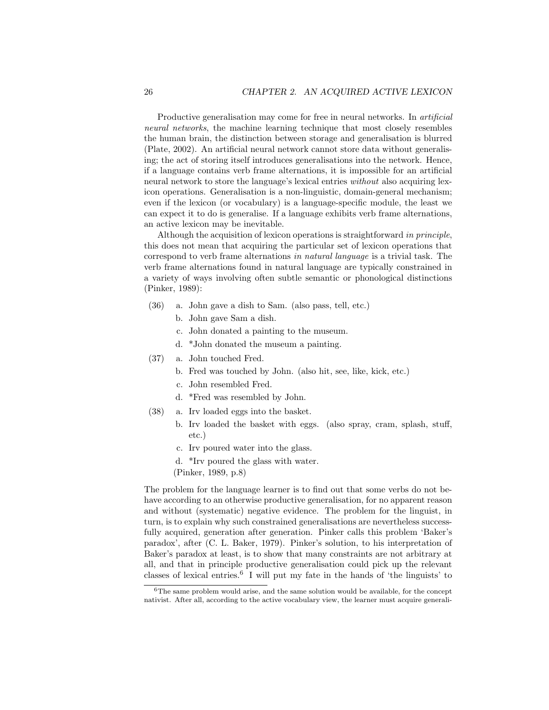Productive generalisation may come for free in neural networks. In *artificial* neural networks, the machine learning technique that most closely resembles the human brain, the distinction between storage and generalisation is blurred (Plate, 2002). An artificial neural network cannot store data without generalising; the act of storing itself introduces generalisations into the network. Hence, if a language contains verb frame alternations, it is impossible for an artificial neural network to store the language's lexical entries without also acquiring lexicon operations. Generalisation is a non-linguistic, domain-general mechanism; even if the lexicon (or vocabulary) is a language-specific module, the least we can expect it to do is generalise. If a language exhibits verb frame alternations, an active lexicon may be inevitable.

Although the acquisition of lexicon operations is straightforward in principle, this does not mean that acquiring the particular set of lexicon operations that correspond to verb frame alternations in natural language is a trivial task. The verb frame alternations found in natural language are typically constrained in a variety of ways involving often subtle semantic or phonological distinctions (Pinker, 1989):

- (36) a. John gave a dish to Sam. (also pass, tell, etc.)
	- b. John gave Sam a dish.
	- c. John donated a painting to the museum.
	- d. \*John donated the museum a painting.
- (37) a. John touched Fred.
	- b. Fred was touched by John. (also hit, see, like, kick, etc.)
	- c. John resembled Fred.
	- d. \*Fred was resembled by John.
- (38) a. Irv loaded eggs into the basket.
	- b. Irv loaded the basket with eggs. (also spray, cram, splash, stuff, etc.)
		- c. Irv poured water into the glass.
		- d. \*Irv poured the glass with water.
	- (Pinker, 1989, p.8)

The problem for the language learner is to find out that some verbs do not behave according to an otherwise productive generalisation, for no apparent reason and without (systematic) negative evidence. The problem for the linguist, in turn, is to explain why such constrained generalisations are nevertheless successfully acquired, generation after generation. Pinker calls this problem 'Baker's paradox', after (C. L. Baker, 1979). Pinker's solution, to his interpretation of Baker's paradox at least, is to show that many constraints are not arbitrary at all, and that in principle productive generalisation could pick up the relevant classes of lexical entries.<sup>6</sup> I will put my fate in the hands of 'the linguists' to

 $6$ The same problem would arise, and the same solution would be available, for the concept nativist. After all, according to the active vocabulary view, the learner must acquire generali-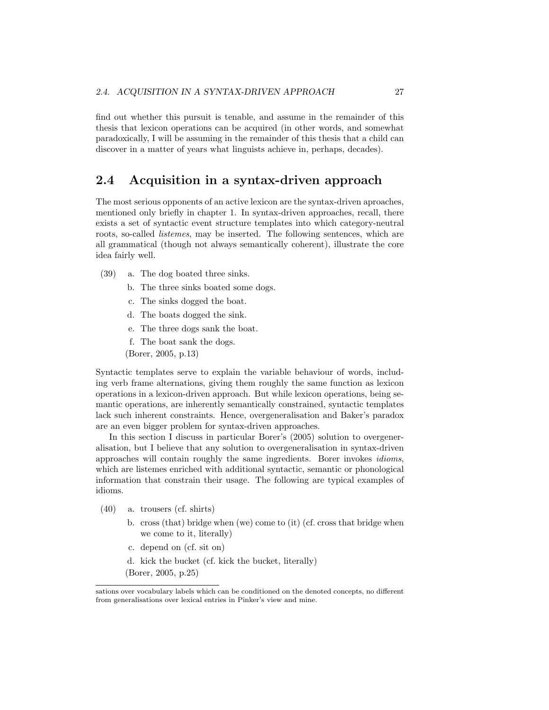find out whether this pursuit is tenable, and assume in the remainder of this thesis that lexicon operations can be acquired (in other words, and somewhat paradoxically, I will be assuming in the remainder of this thesis that a child can discover in a matter of years what linguists achieve in, perhaps, decades).

## 2.4 Acquisition in a syntax-driven approach

The most serious opponents of an active lexicon are the syntax-driven aproaches, mentioned only briefly in chapter 1. In syntax-driven approaches, recall, there exists a set of syntactic event structure templates into which category-neutral roots, so-called listemes, may be inserted. The following sentences, which are all grammatical (though not always semantically coherent), illustrate the core idea fairly well.

- (39) a. The dog boated three sinks.
	- b. The three sinks boated some dogs.
	- c. The sinks dogged the boat.
	- d. The boats dogged the sink.
	- e. The three dogs sank the boat.
	- f. The boat sank the dogs.
	- (Borer, 2005, p.13)

Syntactic templates serve to explain the variable behaviour of words, including verb frame alternations, giving them roughly the same function as lexicon operations in a lexicon-driven approach. But while lexicon operations, being semantic operations, are inherently semantically constrained, syntactic templates lack such inherent constraints. Hence, overgeneralisation and Baker's paradox are an even bigger problem for syntax-driven approaches.

In this section I discuss in particular Borer's (2005) solution to overgeneralisation, but I believe that any solution to overgeneralisation in syntax-driven approaches will contain roughly the same ingredients. Borer invokes idioms, which are listemes enriched with additional syntactic, semantic or phonological information that constrain their usage. The following are typical examples of idioms.

- (40) a. trousers (cf. shirts)
	- b. cross (that) bridge when (we) come to (it) (cf. cross that bridge when we come to it, literally)
	- c. depend on (cf. sit on)
	- d. kick the bucket (cf. kick the bucket, literally) (Borer, 2005, p.25)

sations over vocabulary labels which can be conditioned on the denoted concepts, no different from generalisations over lexical entries in Pinker's view and mine.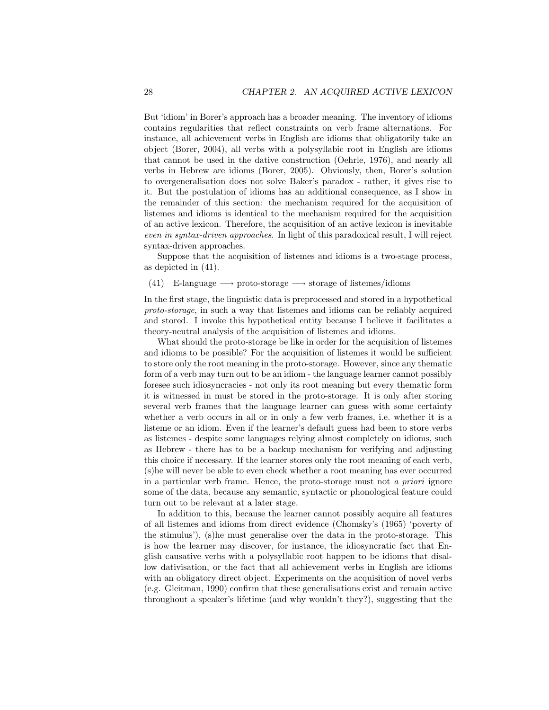But 'idiom' in Borer's approach has a broader meaning. The inventory of idioms contains regularities that reflect constraints on verb frame alternations. For instance, all achievement verbs in English are idioms that obligatorily take an object (Borer, 2004), all verbs with a polysyllabic root in English are idioms that cannot be used in the dative construction (Oehrle, 1976), and nearly all verbs in Hebrew are idioms (Borer, 2005). Obviously, then, Borer's solution to overgeneralisation does not solve Baker's paradox - rather, it gives rise to it. But the postulation of idioms has an additional consequence, as I show in the remainder of this section: the mechanism required for the acquisition of listemes and idioms is identical to the mechanism required for the acquisition of an active lexicon. Therefore, the acquisition of an active lexicon is inevitable even in syntax-driven approaches. In light of this paradoxical result, I will reject syntax-driven approaches.

Suppose that the acquisition of listemes and idioms is a two-stage process, as depicted in (41).

#### (41) E-language  $\longrightarrow$  proto-storage  $\longrightarrow$  storage of listemes/idioms

In the first stage, the linguistic data is preprocessed and stored in a hypothetical proto-storage, in such a way that listemes and idioms can be reliably acquired and stored. I invoke this hypothetical entity because I believe it facilitates a theory-neutral analysis of the acquisition of listemes and idioms.

What should the proto-storage be like in order for the acquisition of listemes and idioms to be possible? For the acquisition of listemes it would be sufficient to store only the root meaning in the proto-storage. However, since any thematic form of a verb may turn out to be an idiom - the language learner cannot possibly foresee such idiosyncracies - not only its root meaning but every thematic form it is witnessed in must be stored in the proto-storage. It is only after storing several verb frames that the language learner can guess with some certainty whether a verb occurs in all or in only a few verb frames, i.e. whether it is a listeme or an idiom. Even if the learner's default guess had been to store verbs as listemes - despite some languages relying almost completely on idioms, such as Hebrew - there has to be a backup mechanism for verifying and adjusting this choice if necessary. If the learner stores only the root meaning of each verb, (s)he will never be able to even check whether a root meaning has ever occurred in a particular verb frame. Hence, the proto-storage must not a priori ignore some of the data, because any semantic, syntactic or phonological feature could turn out to be relevant at a later stage.

In addition to this, because the learner cannot possibly acquire all features of all listemes and idioms from direct evidence (Chomsky's (1965) 'poverty of the stimulus'), (s)he must generalise over the data in the proto-storage. This is how the learner may discover, for instance, the idiosyncratic fact that English causative verbs with a polysyllabic root happen to be idioms that disallow dativisation, or the fact that all achievement verbs in English are idioms with an obligatory direct object. Experiments on the acquisition of novel verbs (e.g. Gleitman, 1990) confirm that these generalisations exist and remain active throughout a speaker's lifetime (and why wouldn't they?), suggesting that the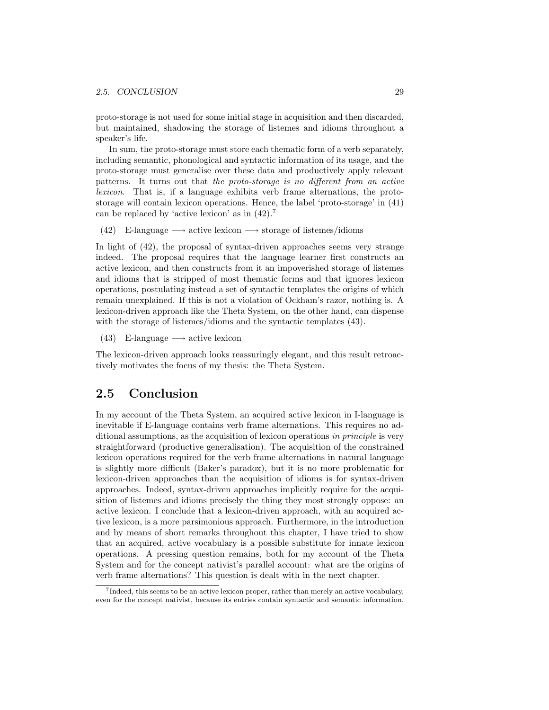proto-storage is not used for some initial stage in acquisition and then discarded, but maintained, shadowing the storage of listemes and idioms throughout a speaker's life.

In sum, the proto-storage must store each thematic form of a verb separately, including semantic, phonological and syntactic information of its usage, and the proto-storage must generalise over these data and productively apply relevant patterns. It turns out that the proto-storage is no different from an active lexicon. That is, if a language exhibits verb frame alternations, the protostorage will contain lexicon operations. Hence, the label 'proto-storage' in (41) can be replaced by 'active lexicon' as in (42).<sup>7</sup>

(42) E-language  $\longrightarrow$  active lexicon  $\longrightarrow$  storage of listemes/idioms

In light of (42), the proposal of syntax-driven approaches seems very strange indeed. The proposal requires that the language learner first constructs an active lexicon, and then constructs from it an impoverished storage of listemes and idioms that is stripped of most thematic forms and that ignores lexicon operations, postulating instead a set of syntactic templates the origins of which remain unexplained. If this is not a violation of Ockham's razor, nothing is. A lexicon-driven approach like the Theta System, on the other hand, can dispense with the storage of listemes/idioms and the syntactic templates  $(43)$ .

(43) E-language  $\longrightarrow$  active lexicon

The lexicon-driven approach looks reassuringly elegant, and this result retroactively motivates the focus of my thesis: the Theta System.

### 2.5 Conclusion

In my account of the Theta System, an acquired active lexicon in I-language is inevitable if E-language contains verb frame alternations. This requires no additional assumptions, as the acquisition of lexicon operations in principle is very straightforward (productive generalisation). The acquisition of the constrained lexicon operations required for the verb frame alternations in natural language is slightly more difficult (Baker's paradox), but it is no more problematic for lexicon-driven approaches than the acquisition of idioms is for syntax-driven approaches. Indeed, syntax-driven approaches implicitly require for the acquisition of listemes and idioms precisely the thing they most strongly oppose: an active lexicon. I conclude that a lexicon-driven approach, with an acquired active lexicon, is a more parsimonious approach. Furthermore, in the introduction and by means of short remarks throughout this chapter, I have tried to show that an acquired, active vocabulary is a possible substitute for innate lexicon operations. A pressing question remains, both for my account of the Theta System and for the concept nativist's parallel account: what are the origins of verb frame alternations? This question is dealt with in the next chapter.

<sup>7</sup> Indeed, this seems to be an active lexicon proper, rather than merely an active vocabulary, even for the concept nativist, because its entries contain syntactic and semantic information.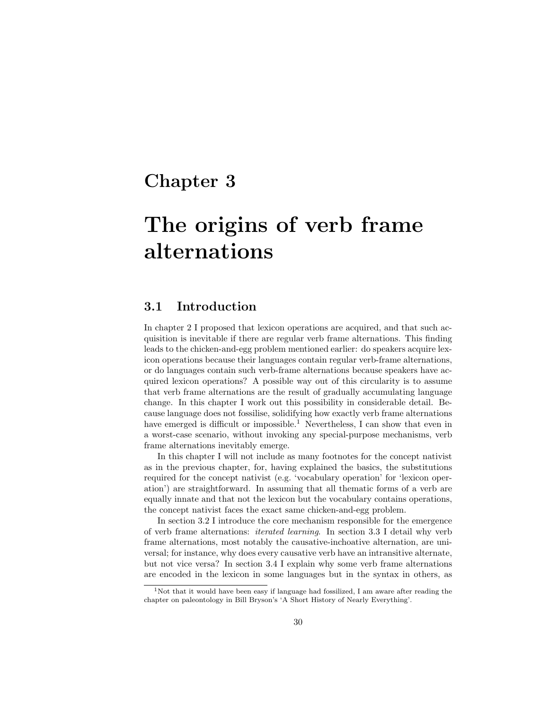## Chapter 3

## The origins of verb frame alternations

### 3.1 Introduction

In chapter 2 I proposed that lexicon operations are acquired, and that such acquisition is inevitable if there are regular verb frame alternations. This finding leads to the chicken-and-egg problem mentioned earlier: do speakers acquire lexicon operations because their languages contain regular verb-frame alternations, or do languages contain such verb-frame alternations because speakers have acquired lexicon operations? A possible way out of this circularity is to assume that verb frame alternations are the result of gradually accumulating language change. In this chapter I work out this possibility in considerable detail. Because language does not fossilise, solidifying how exactly verb frame alternations have emerged is difficult or impossible.<sup>1</sup> Nevertheless, I can show that even in a worst-case scenario, without invoking any special-purpose mechanisms, verb frame alternations inevitably emerge.

In this chapter I will not include as many footnotes for the concept nativist as in the previous chapter, for, having explained the basics, the substitutions required for the concept nativist (e.g. 'vocabulary operation' for 'lexicon operation') are straightforward. In assuming that all thematic forms of a verb are equally innate and that not the lexicon but the vocabulary contains operations, the concept nativist faces the exact same chicken-and-egg problem.

In section 3.2 I introduce the core mechanism responsible for the emergence of verb frame alternations: iterated learning. In section 3.3 I detail why verb frame alternations, most notably the causative-inchoative alternation, are universal; for instance, why does every causative verb have an intransitive alternate, but not vice versa? In section 3.4 I explain why some verb frame alternations are encoded in the lexicon in some languages but in the syntax in others, as

<sup>&</sup>lt;sup>1</sup>Not that it would have been easy if language had fossilized, I am aware after reading the chapter on paleontology in Bill Bryson's 'A Short History of Nearly Everything'.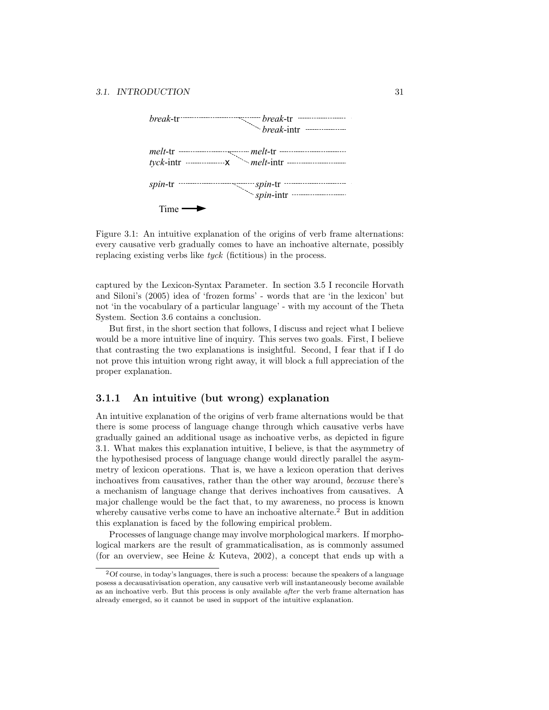

Figure 3.1: An intuitive explanation of the origins of verb frame alternations: every causative verb gradually comes to have an inchoative alternate, possibly replacing existing verbs like tyck (fictitious) in the process.

captured by the Lexicon-Syntax Parameter. In section 3.5 I reconcile Horvath and Siloni's (2005) idea of 'frozen forms' - words that are 'in the lexicon' but not 'in the vocabulary of a particular language' - with my account of the Theta System. Section 3.6 contains a conclusion.

But first, in the short section that follows, I discuss and reject what I believe would be a more intuitive line of inquiry. This serves two goals. First, I believe that contrasting the two explanations is insightful. Second, I fear that if I do not prove this intuition wrong right away, it will block a full appreciation of the proper explanation.

#### 3.1.1 An intuitive (but wrong) explanation

An intuitive explanation of the origins of verb frame alternations would be that there is some process of language change through which causative verbs have gradually gained an additional usage as inchoative verbs, as depicted in figure 3.1. What makes this explanation intuitive, I believe, is that the asymmetry of the hypothesised process of language change would directly parallel the asymmetry of lexicon operations. That is, we have a lexicon operation that derives inchoatives from causatives, rather than the other way around, because there's a mechanism of language change that derives inchoatives from causatives. A major challenge would be the fact that, to my awareness, no process is known whereby causative verbs come to have an inchoative alternate.<sup>2</sup> But in addition this explanation is faced by the following empirical problem.

Processes of language change may involve morphological markers. If morphological markers are the result of grammaticalisation, as is commonly assumed (for an overview, see Heine & Kuteva, 2002), a concept that ends up with a

 $2Of$  course, in today's languages, there is such a process: because the speakers of a language posess a decausativisation operation, any causative verb will instantaneously become available as an inchoative verb. But this process is only available after the verb frame alternation has already emerged, so it cannot be used in support of the intuitive explanation.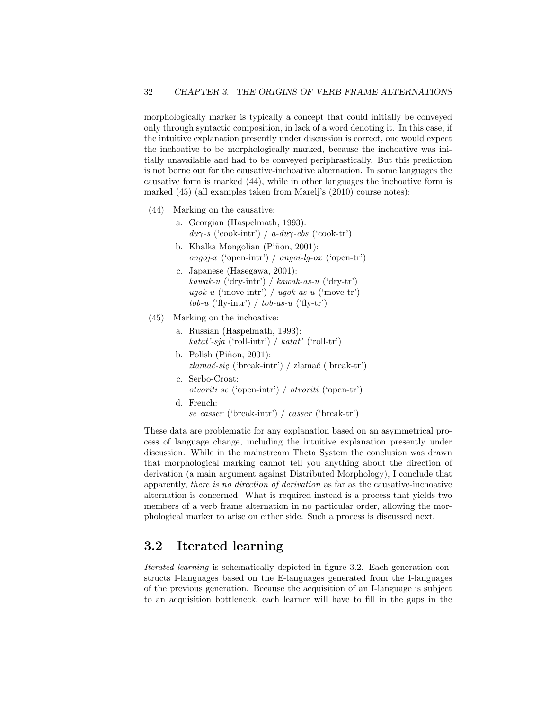morphologically marker is typically a concept that could initially be conveyed only through syntactic composition, in lack of a word denoting it. In this case, if the intuitive explanation presently under discussion is correct, one would expect the inchoative to be morphologically marked, because the inchoative was initially unavailable and had to be conveyed periphrastically. But this prediction is not borne out for the causative-inchoative alternation. In some languages the causative form is marked (44), while in other languages the inchoative form is marked (45) (all examples taken from Marelj's (2010) course notes):

- (44) Marking on the causative:
	- a. Georgian (Haspelmath, 1993):  $du\gamma$ -s ('cook-intr') / a-du $\gamma$ -ebs ('cook-tr') b. Khalka Mongolian (Piñon, 2001):
	- ongoj-x ('open-intr') / ongoi-lg-ox ('open-tr')
	- c. Japanese (Hasegawa, 2001): kawak-u ('dry-intr') / kawak-as-u ('dry-tr') ugok-u ('move-intr') / ugok-as-u ('move-tr')  $tob-u$  ('fly-intr') /  $tob-as-u$  ('fly-tr')
- (45) Marking on the inchoative:
	- a. Russian (Haspelmath, 1993): katat'-sja ('roll-intr') / katat' ('roll-tr')
	- b. Polish  $(Piñon, 2001)$ :  $z$ łamać-się ('break-intr') / złamać ('break-tr')
	- c. Serbo-Croat: otvoriti se ('open-intr') / otvoriti ('open-tr')
	- d. French: se casser ('break-intr') / casser ('break-tr')

These data are problematic for any explanation based on an asymmetrical process of language change, including the intuitive explanation presently under discussion. While in the mainstream Theta System the conclusion was drawn that morphological marking cannot tell you anything about the direction of derivation (a main argument against Distributed Morphology), I conclude that apparently, there is no direction of derivation as far as the causative-inchoative alternation is concerned. What is required instead is a process that yields two members of a verb frame alternation in no particular order, allowing the morphological marker to arise on either side. Such a process is discussed next.

## 3.2 Iterated learning

Iterated learning is schematically depicted in figure 3.2. Each generation constructs I-languages based on the E-languages generated from the I-languages of the previous generation. Because the acquisition of an I-language is subject to an acquisition bottleneck, each learner will have to fill in the gaps in the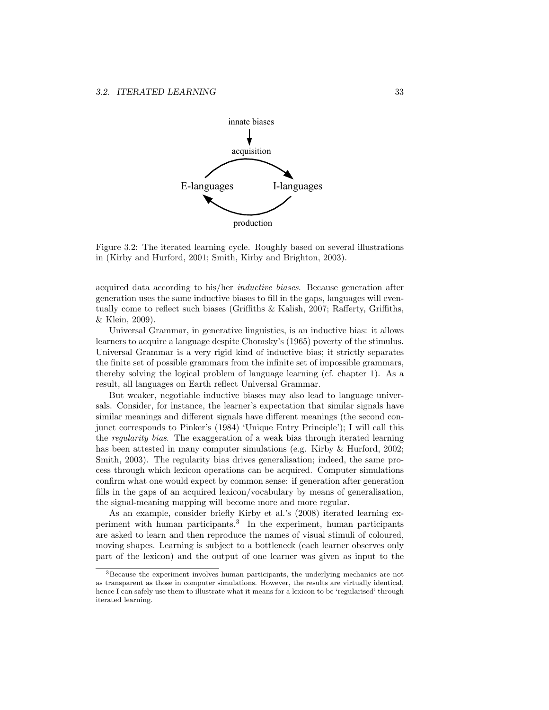

Figure 3.2: The iterated learning cycle. Roughly based on several illustrations in (Kirby and Hurford, 2001; Smith, Kirby and Brighton, 2003).

acquired data according to his/her inductive biases. Because generation after generation uses the same inductive biases to fill in the gaps, languages will eventually come to reflect such biases (Griffiths & Kalish, 2007; Rafferty, Griffiths, & Klein, 2009).

Universal Grammar, in generative linguistics, is an inductive bias: it allows learners to acquire a language despite Chomsky's (1965) poverty of the stimulus. Universal Grammar is a very rigid kind of inductive bias; it strictly separates the finite set of possible grammars from the infinite set of impossible grammars, thereby solving the logical problem of language learning (cf. chapter 1). As a result, all languages on Earth reflect Universal Grammar.

But weaker, negotiable inductive biases may also lead to language universals. Consider, for instance, the learner's expectation that similar signals have similar meanings and different signals have different meanings (the second conjunct corresponds to Pinker's (1984) 'Unique Entry Principle'); I will call this the regularity bias. The exaggeration of a weak bias through iterated learning has been attested in many computer simulations (e.g. Kirby & Hurford, 2002; Smith, 2003). The regularity bias drives generalisation; indeed, the same process through which lexicon operations can be acquired. Computer simulations confirm what one would expect by common sense: if generation after generation fills in the gaps of an acquired lexicon/vocabulary by means of generalisation, the signal-meaning mapping will become more and more regular.

As an example, consider briefly Kirby et al.'s (2008) iterated learning experiment with human participants.<sup>3</sup> In the experiment, human participants are asked to learn and then reproduce the names of visual stimuli of coloured, moving shapes. Learning is subject to a bottleneck (each learner observes only part of the lexicon) and the output of one learner was given as input to the

<sup>&</sup>lt;sup>3</sup>Because the experiment involves human participants, the underlying mechanics are not as transparent as those in computer simulations. However, the results are virtually identical, hence I can safely use them to illustrate what it means for a lexicon to be 'regularised' through iterated learning.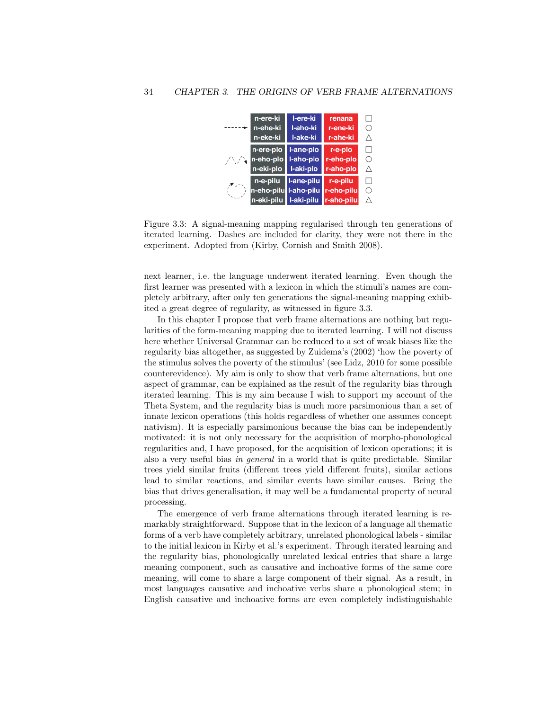

Figure 3.3: A signal-meaning mapping regularised through ten generations of iterated learning. Dashes are included for clarity, they were not there in the experiment. Adopted from (Kirby, Cornish and Smith 2008).

next learner, i.e. the language underwent iterated learning. Even though the first learner was presented with a lexicon in which the stimuli's names are completely arbitrary, after only ten generations the signal-meaning mapping exhibited a great degree of regularity, as witnessed in figure 3.3.

In this chapter I propose that verb frame alternations are nothing but regularities of the form-meaning mapping due to iterated learning. I will not discuss here whether Universal Grammar can be reduced to a set of weak biases like the regularity bias altogether, as suggested by Zuidema's (2002) 'how the poverty of the stimulus solves the poverty of the stimulus' (see Lidz, 2010 for some possible counterevidence). My aim is only to show that verb frame alternations, but one aspect of grammar, can be explained as the result of the regularity bias through iterated learning. This is my aim because I wish to support my account of the Theta System, and the regularity bias is much more parsimonious than a set of innate lexicon operations (this holds regardless of whether one assumes concept nativism). It is especially parsimonious because the bias can be independently motivated: it is not only necessary for the acquisition of morpho-phonological regularities and, I have proposed, for the acquisition of lexicon operations; it is also a very useful bias in general in a world that is quite predictable. Similar trees yield similar fruits (different trees yield different fruits), similar actions lead to similar reactions, and similar events have similar causes. Being the bias that drives generalisation, it may well be a fundamental property of neural processing.

The emergence of verb frame alternations through iterated learning is remarkably straightforward. Suppose that in the lexicon of a language all thematic forms of a verb have completely arbitrary, unrelated phonological labels - similar to the initial lexicon in Kirby et al.'s experiment. Through iterated learning and the regularity bias, phonologically unrelated lexical entries that share a large meaning component, such as causative and inchoative forms of the same core meaning, will come to share a large component of their signal. As a result, in most languages causative and inchoative verbs share a phonological stem; in English causative and inchoative forms are even completely indistinguishable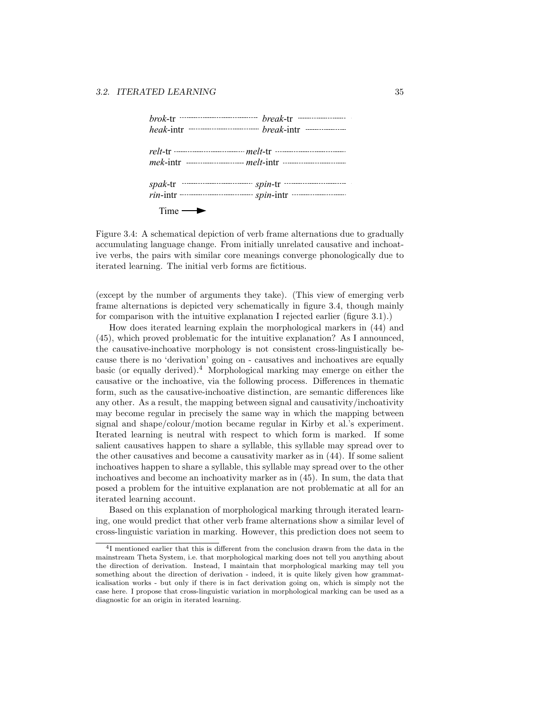|                        | $relt$ -tr                            |  |  |
|------------------------|---------------------------------------|--|--|
|                        |                                       |  |  |
|                        |                                       |  |  |
|                        | $rin$ -intr $spin$ -intr $spin$ -intr |  |  |
| $Time \longrightarrow$ |                                       |  |  |

Figure 3.4: A schematical depiction of verb frame alternations due to gradually accumulating language change. From initially unrelated causative and inchoative verbs, the pairs with similar core meanings converge phonologically due to iterated learning. The initial verb forms are fictitious.

(except by the number of arguments they take). (This view of emerging verb frame alternations is depicted very schematically in figure 3.4, though mainly for comparison with the intuitive explanation I rejected earlier (figure 3.1).)

How does iterated learning explain the morphological markers in (44) and (45), which proved problematic for the intuitive explanation? As I announced, the causative-inchoative morphology is not consistent cross-linguistically because there is no 'derivation' going on - causatives and inchoatives are equally basic (or equally derived).<sup>4</sup> Morphological marking may emerge on either the causative or the inchoative, via the following process. Differences in thematic form, such as the causative-inchoative distinction, are semantic differences like any other. As a result, the mapping between signal and causativity/inchoativity may become regular in precisely the same way in which the mapping between signal and shape/colour/motion became regular in Kirby et al.'s experiment. Iterated learning is neutral with respect to which form is marked. If some salient causatives happen to share a syllable, this syllable may spread over to the other causatives and become a causativity marker as in (44). If some salient inchoatives happen to share a syllable, this syllable may spread over to the other inchoatives and become an inchoativity marker as in (45). In sum, the data that posed a problem for the intuitive explanation are not problematic at all for an iterated learning account.

Based on this explanation of morphological marking through iterated learning, one would predict that other verb frame alternations show a similar level of cross-linguistic variation in marking. However, this prediction does not seem to

<sup>4</sup> I mentioned earlier that this is different from the conclusion drawn from the data in the mainstream Theta System, i.e. that morphological marking does not tell you anything about the direction of derivation. Instead, I maintain that morphological marking may tell you something about the direction of derivation - indeed, it is quite likely given how grammaticalisation works - but only if there is in fact derivation going on, which is simply not the case here. I propose that cross-linguistic variation in morphological marking can be used as a diagnostic for an origin in iterated learning.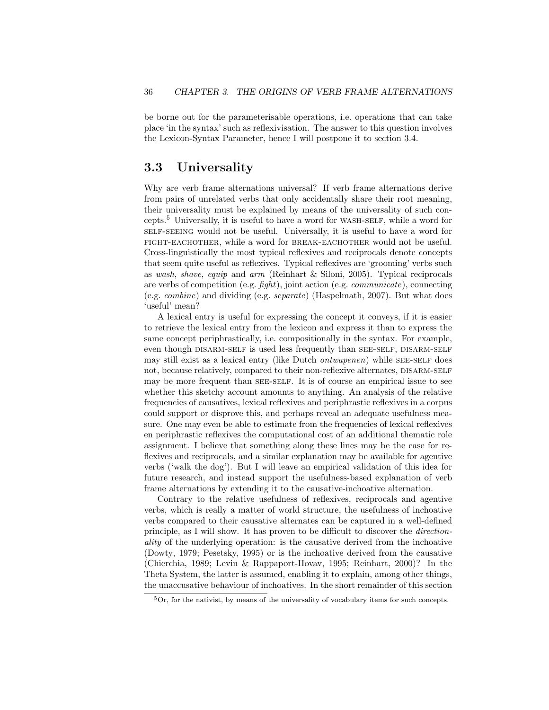be borne out for the parameterisable operations, i.e. operations that can take place 'in the syntax' such as reflexivisation. The answer to this question involves the Lexicon-Syntax Parameter, hence I will postpone it to section 3.4.

## 3.3 Universality

Why are verb frame alternations universal? If verb frame alternations derive from pairs of unrelated verbs that only accidentally share their root meaning, their universality must be explained by means of the universality of such concepts.<sup>5</sup> Universally, it is useful to have a word for wash-self, while a word for self-seeing would not be useful. Universally, it is useful to have a word for fight-eachother, while a word for break-eachother would not be useful. Cross-linguistically the most typical reflexives and reciprocals denote concepts that seem quite useful as reflexives. Typical reflexives are 'grooming' verbs such as wash, shave, equip and arm (Reinhart & Siloni, 2005). Typical reciprocals are verbs of competition (e.g. fight), joint action (e.g. communicate), connecting (e.g. combine) and dividing (e.g. separate) (Haspelmath, 2007). But what does 'useful' mean?

A lexical entry is useful for expressing the concept it conveys, if it is easier to retrieve the lexical entry from the lexicon and express it than to express the same concept periphrastically, i.e. compositionally in the syntax. For example, even though DISARM-SELF is used less frequently than SEE-SELF, DISARM-SELF may still exist as a lexical entry (like Dutch *ontwapenen*) while SEE-SELF does not, because relatively, compared to their non-reflexive alternates, DISARM-SELF may be more frequent than SEE-SELF. It is of course an empirical issue to see whether this sketchy account amounts to anything. An analysis of the relative frequencies of causatives, lexical reflexives and periphrastic reflexives in a corpus could support or disprove this, and perhaps reveal an adequate usefulness measure. One may even be able to estimate from the frequencies of lexical reflexives en periphrastic reflexives the computational cost of an additional thematic role assignment. I believe that something along these lines may be the case for reflexives and reciprocals, and a similar explanation may be available for agentive verbs ('walk the dog'). But I will leave an empirical validation of this idea for future research, and instead support the usefulness-based explanation of verb frame alternations by extending it to the causative-inchoative alternation.

Contrary to the relative usefulness of reflexives, reciprocals and agentive verbs, which is really a matter of world structure, the usefulness of inchoative verbs compared to their causative alternates can be captured in a well-defined principle, as I will show. It has proven to be difficult to discover the directionality of the underlying operation: is the causative derived from the inchoative (Dowty, 1979; Pesetsky, 1995) or is the inchoative derived from the causative (Chierchia, 1989; Levin & Rappaport-Hovav, 1995; Reinhart, 2000)? In the Theta System, the latter is assumed, enabling it to explain, among other things, the unaccusative behaviour of inchoatives. In the short remainder of this section

<sup>5</sup>Or, for the nativist, by means of the universality of vocabulary items for such concepts.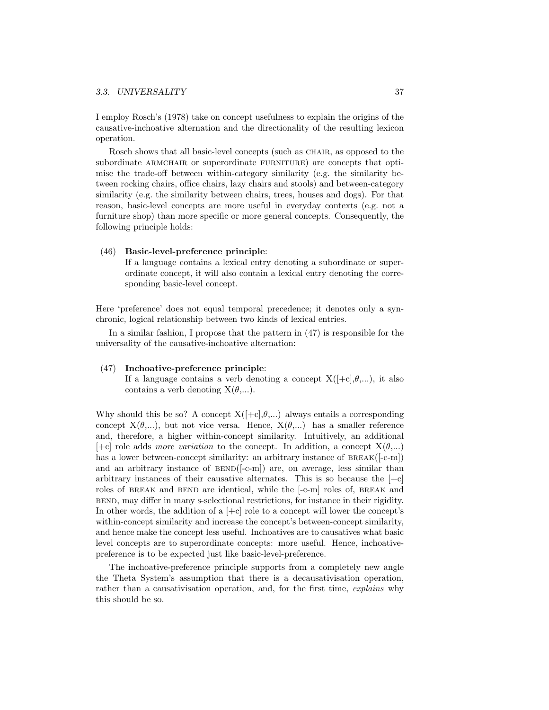I employ Rosch's (1978) take on concept usefulness to explain the origins of the causative-inchoative alternation and the directionality of the resulting lexicon operation.

Rosch shows that all basic-level concepts (such as CHAIR, as opposed to the subordinate ARMCHAIR or superordinate FURNITURE) are concepts that optimise the trade-off between within-category similarity (e.g. the similarity between rocking chairs, office chairs, lazy chairs and stools) and between-category similarity (e.g. the similarity between chairs, trees, houses and dogs). For that reason, basic-level concepts are more useful in everyday contexts (e.g. not a furniture shop) than more specific or more general concepts. Consequently, the following principle holds:

#### (46) Basic-level-preference principle:

If a language contains a lexical entry denoting a subordinate or superordinate concept, it will also contain a lexical entry denoting the corresponding basic-level concept.

Here 'preference' does not equal temporal precedence; it denotes only a synchronic, logical relationship between two kinds of lexical entries.

In a similar fashion, I propose that the pattern in (47) is responsible for the universality of the causative-inchoative alternation:

#### (47) Inchoative-preference principle:

If a language contains a verb denoting a concept  $X([-c], \theta, ...)$ , it also contains a verb denoting  $X(\theta,...)$ .

Why should this be so? A concept  $X([-c], \theta, ...)$  always entails a corresponding concept  $X(\theta,...)$ , but not vice versa. Hence,  $X(\theta,...)$  has a smaller reference and, therefore, a higher within-concept similarity. Intuitively, an additional  $[-c]$  role adds more variation to the concept. In addition, a concept  $X(\theta,...)$ has a lower between-concept similarity: an arbitrary instance of BREAK([-c-m]) and an arbitrary instance of  $BEND([-c-m])$  are, on average, less similar than arbitrary instances of their causative alternates. This is so because the  $[+c]$ roles of BREAK and BEND are identical, while the [-c-m] roles of, BREAK and bend, may differ in many s-selectional restrictions, for instance in their rigidity. In other words, the addition of a  $[+c]$  role to a concept will lower the concept's within-concept similarity and increase the concept's between-concept similarity, and hence make the concept less useful. Inchoatives are to causatives what basic level concepts are to superordinate concepts: more useful. Hence, inchoativepreference is to be expected just like basic-level-preference.

The inchoative-preference principle supports from a completely new angle the Theta System's assumption that there is a decausativisation operation, rather than a causativisation operation, and, for the first time, explains why this should be so.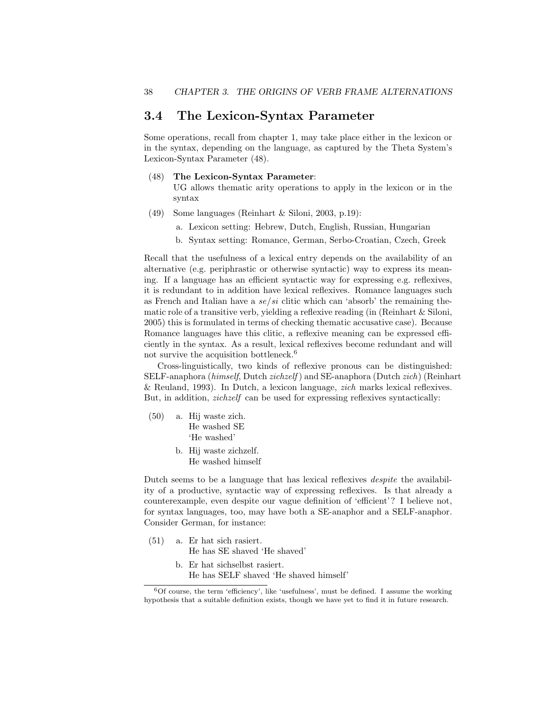## 3.4 The Lexicon-Syntax Parameter

Some operations, recall from chapter 1, may take place either in the lexicon or in the syntax, depending on the language, as captured by the Theta System's Lexicon-Syntax Parameter (48).

## (48) The Lexicon-Syntax Parameter:

UG allows thematic arity operations to apply in the lexicon or in the syntax

- (49) Some languages (Reinhart & Siloni, 2003, p.19):
	- a. Lexicon setting: Hebrew, Dutch, English, Russian, Hungarian
	- b. Syntax setting: Romance, German, Serbo-Croatian, Czech, Greek

Recall that the usefulness of a lexical entry depends on the availability of an alternative (e.g. periphrastic or otherwise syntactic) way to express its meaning. If a language has an efficient syntactic way for expressing e.g. reflexives, it is redundant to in addition have lexical reflexives. Romance languages such as French and Italian have a  $se/si$  clitic which can 'absorb' the remaining thematic role of a transitive verb, yielding a reflexive reading (in (Reinhart & Siloni, 2005) this is formulated in terms of checking thematic accusative case). Because Romance languages have this clitic, a reflexive meaning can be expressed efficiently in the syntax. As a result, lexical reflexives become redundant and will not survive the acquisition bottleneck.<sup>6</sup>

Cross-linguistically, two kinds of reflexive pronous can be distinguished: SELF-anaphora (himself, Dutch zichzelf ) and SE-anaphora (Dutch zich) (Reinhart & Reuland, 1993). In Dutch, a lexicon language, zich marks lexical reflexives. But, in addition, *zichzelf* can be used for expressing reflexives syntactically:

- (50) a. Hij waste zich. He washed SE 'He washed'
	- b. Hij waste zichzelf. He washed himself

Dutch seems to be a language that has lexical reflexives despite the availability of a productive, syntactic way of expressing reflexives. Is that already a counterexample, even despite our vague definition of 'efficient'? I believe not, for syntax languages, too, may have both a SE-anaphor and a SELF-anaphor. Consider German, for instance:

- (51) a. Er hat sich rasiert. He has SE shaved 'He shaved'
	- b. Er hat sichselbst rasiert. He has SELF shaved 'He shaved himself'

 $6$ Of course, the term 'efficiency', like 'usefulness', must be defined. I assume the working hypothesis that a suitable definition exists, though we have yet to find it in future research.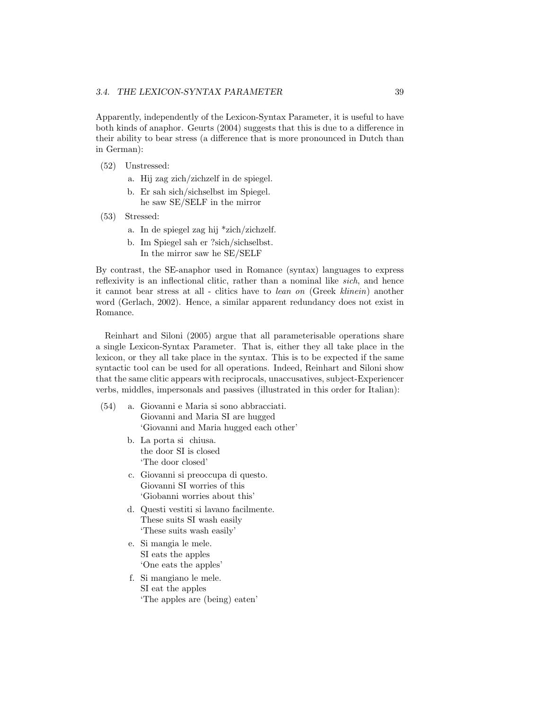Apparently, independently of the Lexicon-Syntax Parameter, it is useful to have both kinds of anaphor. Geurts (2004) suggests that this is due to a difference in their ability to bear stress (a difference that is more pronounced in Dutch than in German):

- (52) Unstressed:
	- a. Hij zag zich/zichzelf in de spiegel.
	- b. Er sah sich/sichselbst im Spiegel. he saw SE/SELF in the mirror
- (53) Stressed:
	- a. In de spiegel zag hij \*zich/zichzelf.
	- b. Im Spiegel sah er ?sich/sichselbst. In the mirror saw he SE/SELF

By contrast, the SE-anaphor used in Romance (syntax) languages to express reflexivity is an inflectional clitic, rather than a nominal like sich, and hence it cannot bear stress at all - clitics have to lean on (Greek klinein) another word (Gerlach, 2002). Hence, a similar apparent redundancy does not exist in Romance.

Reinhart and Siloni (2005) argue that all parameterisable operations share a single Lexicon-Syntax Parameter. That is, either they all take place in the lexicon, or they all take place in the syntax. This is to be expected if the same syntactic tool can be used for all operations. Indeed, Reinhart and Siloni show that the same clitic appears with reciprocals, unaccusatives, subject-Experiencer verbs, middles, impersonals and passives (illustrated in this order for Italian):

- (54) a. Giovanni e Maria si sono abbracciati. Giovanni and Maria SI are hugged 'Giovanni and Maria hugged each other'
	- b. La porta si chiusa. the door SI is closed 'The door closed'
	- c. Giovanni si preoccupa di questo. Giovanni SI worries of this 'Giobanni worries about this'
	- d. Questi vestiti si lavano facilmente. These suits SI wash easily 'These suits wash easily'
	- e. Si mangia le mele. SI eats the apples 'One eats the apples'
	- f. Si mangiano le mele. SI eat the apples 'The apples are (being) eaten'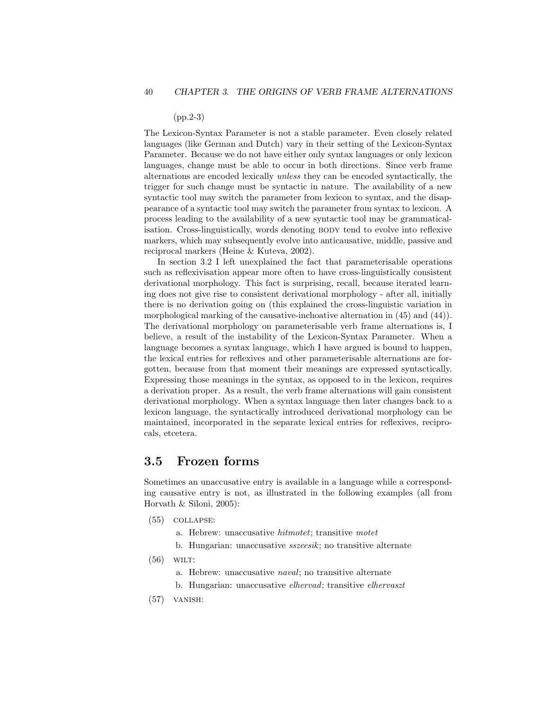### (pp.2-3)

The Lexicon-Syntax Parameter is not a stable parameter. Even closely related languages (like German and Dutch) vary in their setting of the Lexicon-Syntax Parameter. Because we do not have either only syntax languages or only lexicon languages, change must be able to occur in both directions. Since verb frame alternations are encoded lexically unless they can be encoded syntactically, the trigger for such change must be syntactic in nature. The availability of a new syntactic tool may switch the parameter from lexicon to syntax, and the disappearance of a syntactic tool may switch the parameter from syntax to lexicon. A process leading to the availability of a new syntactic tool may be grammaticalisation. Cross-linguistically, words denoting body tend to evolve into reflexive markers, which may subsequently evolve into anticausative, middle, passive and reciprocal markers (Heine & Kuteva, 2002).

In section 3.2 I left unexplained the fact that parameterisable operations such as reflexivisation appear more often to have cross-linguistically consistent derivational morphology. This fact is surprising, recall, because iterated learning does not give rise to consistent derivational morphology - after all, initially there is no derivation going on (this explained the cross-linguistic variation in morphological marking of the causative-inchoative alternation in (45) and (44)). The derivational morphology on parameterisable verb frame alternations is, I believe, a result of the instability of the Lexicon-Syntax Parameter. When a language becomes a syntax language, which I have argued is bound to happen, the lexical entries for reflexives and other parameterisable alternations are forgotten, because from that moment their meanings are expressed syntactically. Expressing those meanings in the syntax, as opposed to in the lexicon, requires a derivation proper. As a result, the verb frame alternations will gain consistent derivational morphology. When a syntax language then later changes back to a lexicon language, the syntactically introduced derivational morphology can be maintained, incorporated in the separate lexical entries for reflexives, reciprocals, etcetera.

## 3.5 Frozen forms

Sometimes an unaccusative entry is available in a language while a corresponding causative entry is not, as illustrated in the following examples (all from Horvath & Siloni, 2005):

- (55) collapse:
	- a. Hebrew: unaccusative hitmotet; transitive motet
	- b. Hungarian: unaccusative sszeesik; no transitive alternate
- $(56)$  WILT:
	- a. Hebrew: unaccusative naval; no transitive alternate
	- b. Hungarian: unaccusative elhervad; transitive elhervaszt
- $(57)$  VANISH: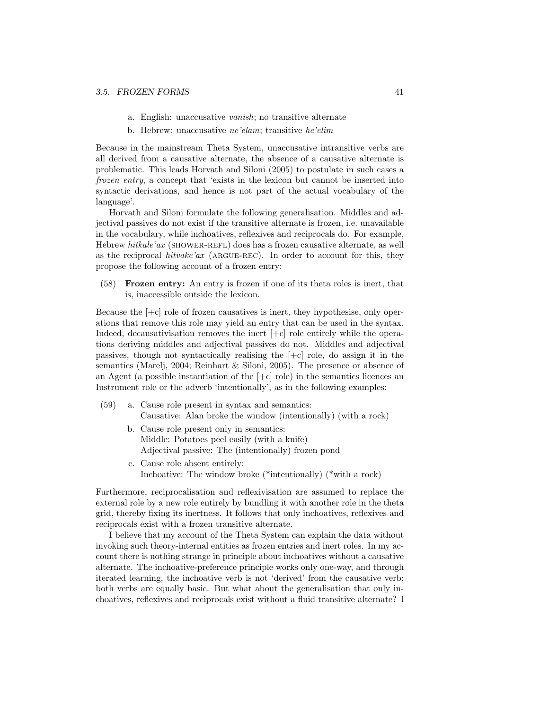- a. English: unaccusative vanish; no transitive alternate
- b. Hebrew: unaccusative ne'elam; transitive he'elim

Because in the mainstream Theta System, unaccusative intransitive verbs are all derived from a causative alternate, the absence of a causative alternate is problematic. This leads Horvath and Siloni (2005) to postulate in such cases a frozen entry, a concept that 'exists in the lexicon but cannot be inserted into syntactic derivations, and hence is not part of the actual vocabulary of the language'.

Horvath and Siloni formulate the following generalisation. Middles and adjectival passives do not exist if the transitive alternate is frozen, i.e. unavailable in the vocabulary, while inchoatives, reflexives and reciprocals do. For example, Hebrew hitkale'ax (SHOWER-REFL) does has a frozen causative alternate, as well as the reciprocal hitvake'ax (ARGUE-REC). In order to account for this, they propose the following account of a frozen entry:

(58) Frozen entry: An entry is frozen if one of its theta roles is inert, that is, inaccessible outside the lexicon.

Because the  $[-c]$  role of frozen causatives is inert, they hypothesise, only operations that remove this role may yield an entry that can be used in the syntax. Indeed, decausativisation removes the inert  $[-c]$  role entirely while the operations deriving middles and adjectival passives do not. Middles and adjectival passives, though not syntactically realising the [+c] role, do assign it in the semantics (Marelj, 2004; Reinhart & Siloni, 2005). The presence or absence of an Agent (a possible instantiation of the  $[-c]$  role) in the semantics licences an Instrument role or the adverb 'intentionally', as in the following examples:

- (59) a. Cause role present in syntax and semantics: Causative: Alan broke the window (intentionally) (with a rock)
	- b. Cause role present only in semantics: Middle: Potatoes peel easily (with a knife) Adjectival passive: The (intentionally) frozen pond
	- c. Cause role absent entirely: Inchoative: The window broke (\*intentionally) (\*with a rock)

Furthermore, reciprocalisation and reflexivisation are assumed to replace the external role by a new role entirely by bundling it with another role in the theta grid, thereby fixing its inertness. It follows that only inchoatives, reflexives and reciprocals exist with a frozen transitive alternate.

I believe that my account of the Theta System can explain the data without invoking such theory-internal entities as frozen entries and inert roles. In my account there is nothing strange in principle about inchoatives without a causative alternate. The inchoative-preference principle works only one-way, and through iterated learning, the inchoative verb is not 'derived' from the causative verb; both verbs are equally basic. But what about the generalisation that only inchoatives, reflexives and reciprocals exist without a fluid transitive alternate? I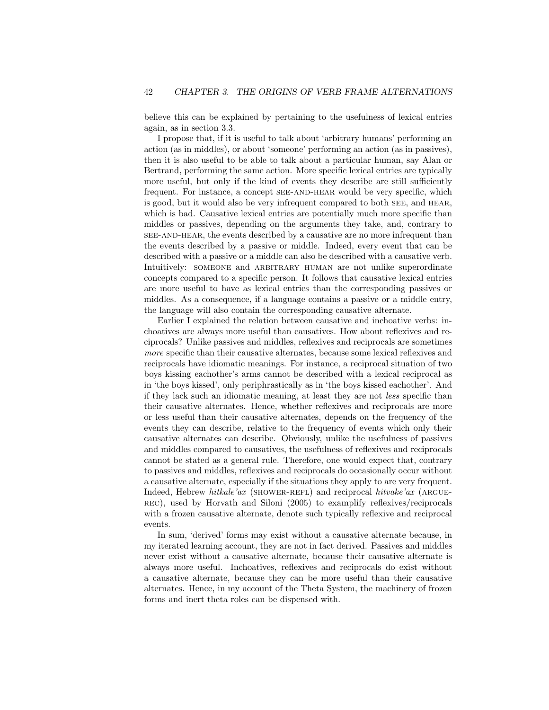believe this can be explained by pertaining to the usefulness of lexical entries again, as in section 3.3.

I propose that, if it is useful to talk about 'arbitrary humans' performing an action (as in middles), or about 'someone' performing an action (as in passives), then it is also useful to be able to talk about a particular human, say Alan or Bertrand, performing the same action. More specific lexical entries are typically more useful, but only if the kind of events they describe are still sufficiently frequent. For instance, a concept see-and-hear would be very specific, which is good, but it would also be very infrequent compared to both see, and hear, which is bad. Causative lexical entries are potentially much more specific than middles or passives, depending on the arguments they take, and, contrary to see-and-hear, the events described by a causative are no more infrequent than the events described by a passive or middle. Indeed, every event that can be described with a passive or a middle can also be described with a causative verb. Intuitively: SOMEONE and ARBITRARY HUMAN are not unlike superordinate concepts compared to a specific person. It follows that causative lexical entries are more useful to have as lexical entries than the corresponding passives or middles. As a consequence, if a language contains a passive or a middle entry, the language will also contain the corresponding causative alternate.

Earlier I explained the relation between causative and inchoative verbs: inchoatives are always more useful than causatives. How about reflexives and reciprocals? Unlike passives and middles, reflexives and reciprocals are sometimes more specific than their causative alternates, because some lexical reflexives and reciprocals have idiomatic meanings. For instance, a reciprocal situation of two boys kissing eachother's arms cannot be described with a lexical reciprocal as in 'the boys kissed', only periphrastically as in 'the boys kissed eachother'. And if they lack such an idiomatic meaning, at least they are not less specific than their causative alternates. Hence, whether reflexives and reciprocals are more or less useful than their causative alternates, depends on the frequency of the events they can describe, relative to the frequency of events which only their causative alternates can describe. Obviously, unlike the usefulness of passives and middles compared to causatives, the usefulness of reflexives and reciprocals cannot be stated as a general rule. Therefore, one would expect that, contrary to passives and middles, reflexives and reciprocals do occasionally occur without a causative alternate, especially if the situations they apply to are very frequent. Indeed, Hebrew hitkale'ax (SHOWER-REFL) and reciprocal hitvake'ax (ARGUErec), used by Horvath and Siloni (2005) to examplify reflexives/reciprocals with a frozen causative alternate, denote such typically reflexive and reciprocal events.

In sum, 'derived' forms may exist without a causative alternate because, in my iterated learning account, they are not in fact derived. Passives and middles never exist without a causative alternate, because their causative alternate is always more useful. Inchoatives, reflexives and reciprocals do exist without a causative alternate, because they can be more useful than their causative alternates. Hence, in my account of the Theta System, the machinery of frozen forms and inert theta roles can be dispensed with.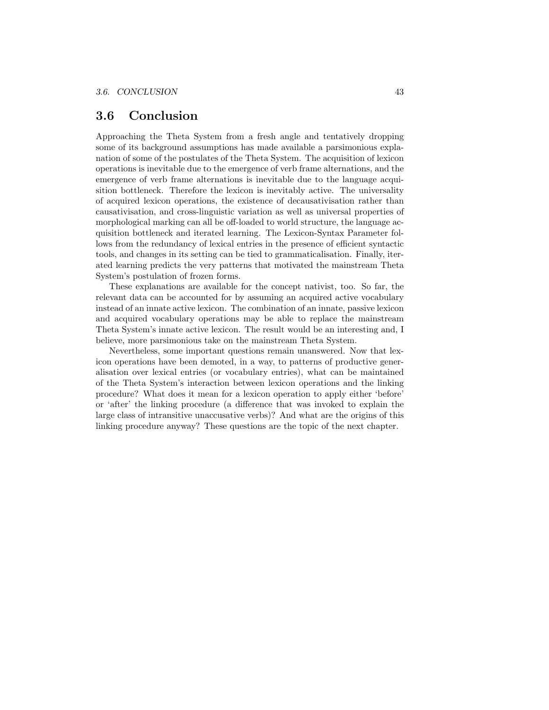## 3.6 Conclusion

Approaching the Theta System from a fresh angle and tentatively dropping some of its background assumptions has made available a parsimonious explanation of some of the postulates of the Theta System. The acquisition of lexicon operations is inevitable due to the emergence of verb frame alternations, and the emergence of verb frame alternations is inevitable due to the language acquisition bottleneck. Therefore the lexicon is inevitably active. The universality of acquired lexicon operations, the existence of decausativisation rather than causativisation, and cross-linguistic variation as well as universal properties of morphological marking can all be off-loaded to world structure, the language acquisition bottleneck and iterated learning. The Lexicon-Syntax Parameter follows from the redundancy of lexical entries in the presence of efficient syntactic tools, and changes in its setting can be tied to grammaticalisation. Finally, iterated learning predicts the very patterns that motivated the mainstream Theta System's postulation of frozen forms.

These explanations are available for the concept nativist, too. So far, the relevant data can be accounted for by assuming an acquired active vocabulary instead of an innate active lexicon. The combination of an innate, passive lexicon and acquired vocabulary operations may be able to replace the mainstream Theta System's innate active lexicon. The result would be an interesting and, I believe, more parsimonious take on the mainstream Theta System.

Nevertheless, some important questions remain unanswered. Now that lexicon operations have been demoted, in a way, to patterns of productive generalisation over lexical entries (or vocabulary entries), what can be maintained of the Theta System's interaction between lexicon operations and the linking procedure? What does it mean for a lexicon operation to apply either 'before' or 'after' the linking procedure (a difference that was invoked to explain the large class of intransitive unaccusative verbs)? And what are the origins of this linking procedure anyway? These questions are the topic of the next chapter.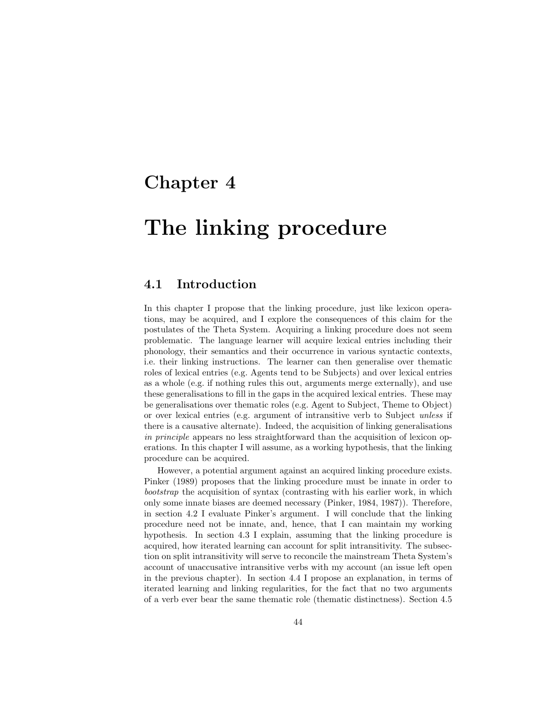## Chapter 4

# The linking procedure

## 4.1 Introduction

In this chapter I propose that the linking procedure, just like lexicon operations, may be acquired, and I explore the consequences of this claim for the postulates of the Theta System. Acquiring a linking procedure does not seem problematic. The language learner will acquire lexical entries including their phonology, their semantics and their occurrence in various syntactic contexts, i.e. their linking instructions. The learner can then generalise over thematic roles of lexical entries (e.g. Agents tend to be Subjects) and over lexical entries as a whole (e.g. if nothing rules this out, arguments merge externally), and use these generalisations to fill in the gaps in the acquired lexical entries. These may be generalisations over thematic roles (e.g. Agent to Subject, Theme to Object) or over lexical entries (e.g. argument of intransitive verb to Subject unless if there is a causative alternate). Indeed, the acquisition of linking generalisations in principle appears no less straightforward than the acquisition of lexicon operations. In this chapter I will assume, as a working hypothesis, that the linking procedure can be acquired.

However, a potential argument against an acquired linking procedure exists. Pinker (1989) proposes that the linking procedure must be innate in order to bootstrap the acquisition of syntax (contrasting with his earlier work, in which only some innate biases are deemed necessary (Pinker, 1984, 1987)). Therefore, in section 4.2 I evaluate Pinker's argument. I will conclude that the linking procedure need not be innate, and, hence, that I can maintain my working hypothesis. In section 4.3 I explain, assuming that the linking procedure is acquired, how iterated learning can account for split intransitivity. The subsection on split intransitivity will serve to reconcile the mainstream Theta System's account of unaccusative intransitive verbs with my account (an issue left open in the previous chapter). In section 4.4 I propose an explanation, in terms of iterated learning and linking regularities, for the fact that no two arguments of a verb ever bear the same thematic role (thematic distinctness). Section 4.5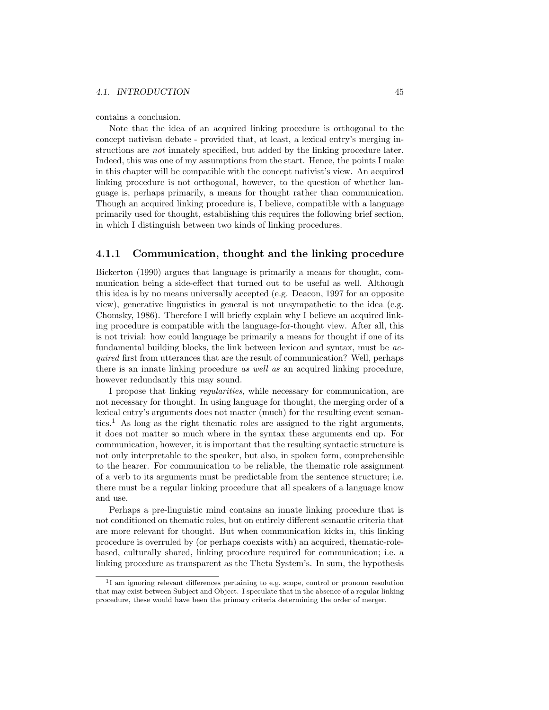#### 4.1. INTRODUCTION 45

contains a conclusion.

Note that the idea of an acquired linking procedure is orthogonal to the concept nativism debate - provided that, at least, a lexical entry's merging instructions are not innately specified, but added by the linking procedure later. Indeed, this was one of my assumptions from the start. Hence, the points I make in this chapter will be compatible with the concept nativist's view. An acquired linking procedure is not orthogonal, however, to the question of whether language is, perhaps primarily, a means for thought rather than communication. Though an acquired linking procedure is, I believe, compatible with a language primarily used for thought, establishing this requires the following brief section, in which I distinguish between two kinds of linking procedures.

## 4.1.1 Communication, thought and the linking procedure

Bickerton (1990) argues that language is primarily a means for thought, communication being a side-effect that turned out to be useful as well. Although this idea is by no means universally accepted (e.g. Deacon, 1997 for an opposite view), generative linguistics in general is not unsympathetic to the idea (e.g. Chomsky, 1986). Therefore I will briefly explain why I believe an acquired linking procedure is compatible with the language-for-thought view. After all, this is not trivial: how could language be primarily a means for thought if one of its fundamental building blocks, the link between lexicon and syntax, must be acquired first from utterances that are the result of communication? Well, perhaps there is an innate linking procedure as well as an acquired linking procedure, however redundantly this may sound.

I propose that linking regularities, while necessary for communication, are not necessary for thought. In using language for thought, the merging order of a lexical entry's arguments does not matter (much) for the resulting event semantics.<sup>1</sup> As long as the right thematic roles are assigned to the right arguments, it does not matter so much where in the syntax these arguments end up. For communication, however, it is important that the resulting syntactic structure is not only interpretable to the speaker, but also, in spoken form, comprehensible to the hearer. For communication to be reliable, the thematic role assignment of a verb to its arguments must be predictable from the sentence structure; i.e. there must be a regular linking procedure that all speakers of a language know and use.

Perhaps a pre-linguistic mind contains an innate linking procedure that is not conditioned on thematic roles, but on entirely different semantic criteria that are more relevant for thought. But when communication kicks in, this linking procedure is overruled by (or perhaps coexists with) an acquired, thematic-rolebased, culturally shared, linking procedure required for communication; i.e. a linking procedure as transparent as the Theta System's. In sum, the hypothesis

<sup>&</sup>lt;sup>1</sup>I am ignoring relevant differences pertaining to e.g. scope, control or pronoun resolution that may exist between Subject and Object. I speculate that in the absence of a regular linking procedure, these would have been the primary criteria determining the order of merger.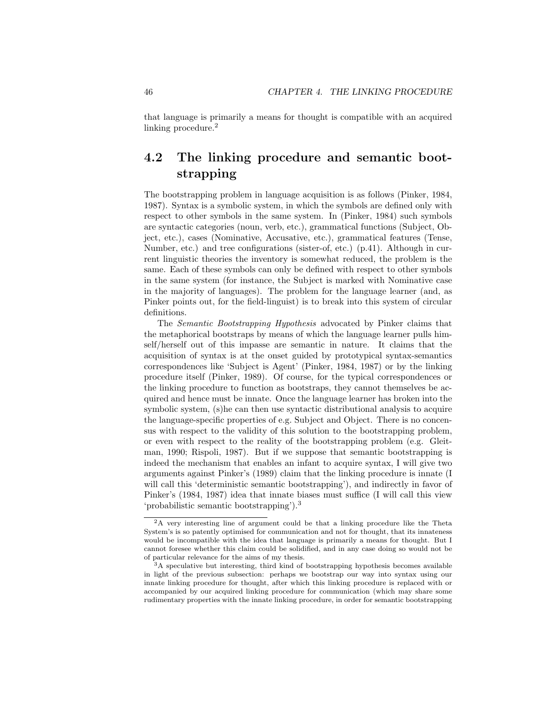that language is primarily a means for thought is compatible with an acquired linking procedure.<sup>2</sup>

## 4.2 The linking procedure and semantic bootstrapping

The bootstrapping problem in language acquisition is as follows (Pinker, 1984, 1987). Syntax is a symbolic system, in which the symbols are defined only with respect to other symbols in the same system. In (Pinker, 1984) such symbols are syntactic categories (noun, verb, etc.), grammatical functions (Subject, Object, etc.), cases (Nominative, Accusative, etc.), grammatical features (Tense, Number, etc.) and tree configurations (sister-of, etc.) (p.41). Although in current linguistic theories the inventory is somewhat reduced, the problem is the same. Each of these symbols can only be defined with respect to other symbols in the same system (for instance, the Subject is marked with Nominative case in the majority of languages). The problem for the language learner (and, as Pinker points out, for the field-linguist) is to break into this system of circular definitions.

The Semantic Bootstrapping Hypothesis advocated by Pinker claims that the metaphorical bootstraps by means of which the language learner pulls himself/herself out of this impasse are semantic in nature. It claims that the acquisition of syntax is at the onset guided by prototypical syntax-semantics correspondences like 'Subject is Agent' (Pinker, 1984, 1987) or by the linking procedure itself (Pinker, 1989). Of course, for the typical correspondences or the linking procedure to function as bootstraps, they cannot themselves be acquired and hence must be innate. Once the language learner has broken into the symbolic system, (s)he can then use syntactic distributional analysis to acquire the language-specific properties of e.g. Subject and Object. There is no concensus with respect to the validity of this solution to the bootstrapping problem, or even with respect to the reality of the bootstrapping problem (e.g. Gleitman, 1990; Rispoli, 1987). But if we suppose that semantic bootstrapping is indeed the mechanism that enables an infant to acquire syntax, I will give two arguments against Pinker's (1989) claim that the linking procedure is innate (I will call this 'deterministic semantic bootstrapping'), and indirectly in favor of Pinker's (1984, 1987) idea that innate biases must suffice (I will call this view 'probabilistic semantic bootstrapping').<sup>3</sup>

<sup>2</sup>A very interesting line of argument could be that a linking procedure like the Theta System's is so patently optimised for communication and not for thought, that its innateness would be incompatible with the idea that language is primarily a means for thought. But I cannot foresee whether this claim could be solidified, and in any case doing so would not be of particular relevance for the aims of my thesis.

 $3A$  speculative but interesting, third kind of bootstrapping hypothesis becomes available in light of the previous subsection: perhaps we bootstrap our way into syntax using our innate linking procedure for thought, after which this linking procedure is replaced with or accompanied by our acquired linking procedure for communication (which may share some rudimentary properties with the innate linking procedure, in order for semantic bootstrapping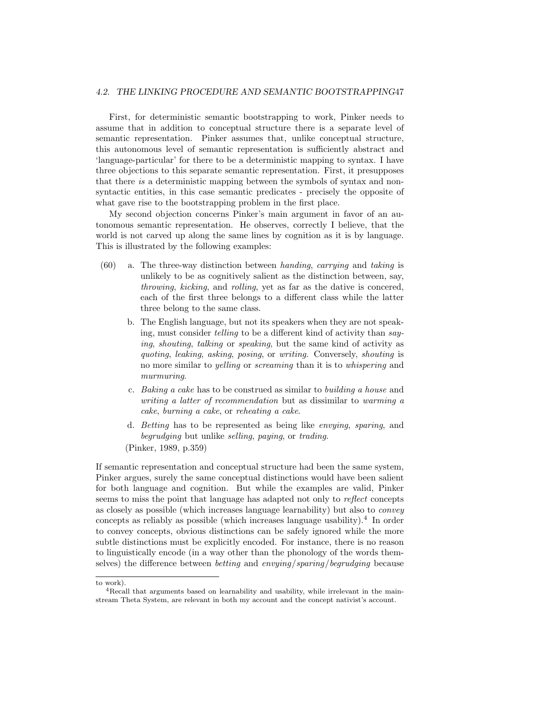#### 4.2. THE LINKING PROCEDURE AND SEMANTIC BOOTSTRAPPING47

First, for deterministic semantic bootstrapping to work, Pinker needs to assume that in addition to conceptual structure there is a separate level of semantic representation. Pinker assumes that, unlike conceptual structure, this autonomous level of semantic representation is sufficiently abstract and 'language-particular' for there to be a deterministic mapping to syntax. I have three objections to this separate semantic representation. First, it presupposes that there is a deterministic mapping between the symbols of syntax and nonsyntactic entities, in this case semantic predicates - precisely the opposite of what gave rise to the bootstrapping problem in the first place.

My second objection concerns Pinker's main argument in favor of an autonomous semantic representation. He observes, correctly I believe, that the world is not carved up along the same lines by cognition as it is by language. This is illustrated by the following examples:

- (60) a. The three-way distinction between handing, carrying and taking is unlikely to be as cognitively salient as the distinction between, say, throwing, kicking, and rolling, yet as far as the dative is concered, each of the first three belongs to a different class while the latter three belong to the same class.
	- b. The English language, but not its speakers when they are not speaking, must consider telling to be a different kind of activity than saying, shouting, talking or speaking, but the same kind of activity as quoting, leaking, asking, posing, or writing. Conversely, shouting is no more similar to yelling or screaming than it is to whispering and murmuring.
	- c. Baking a cake has to be construed as similar to building a house and writing a latter of recommendation but as dissimilar to warming a cake, burning a cake, or reheating a cake.
	- d. Betting has to be represented as being like envying, sparing, and begrudging but unlike selling, paying, or trading.

(Pinker, 1989, p.359)

If semantic representation and conceptual structure had been the same system, Pinker argues, surely the same conceptual distinctions would have been salient for both language and cognition. But while the examples are valid, Pinker seems to miss the point that language has adapted not only to reflect concepts as closely as possible (which increases language learnability) but also to convey concepts as reliably as possible (which increases language usability).<sup>4</sup> In order to convey concepts, obvious distinctions can be safely ignored while the more subtle distinctions must be explicitly encoded. For instance, there is no reason to linguistically encode (in a way other than the phonology of the words themselves) the difference between betting and envying/sparing/begrudging because

to work).

<sup>&</sup>lt;sup>4</sup>Recall that arguments based on learnability and usability, while irrelevant in the mainstream Theta System, are relevant in both my account and the concept nativist's account.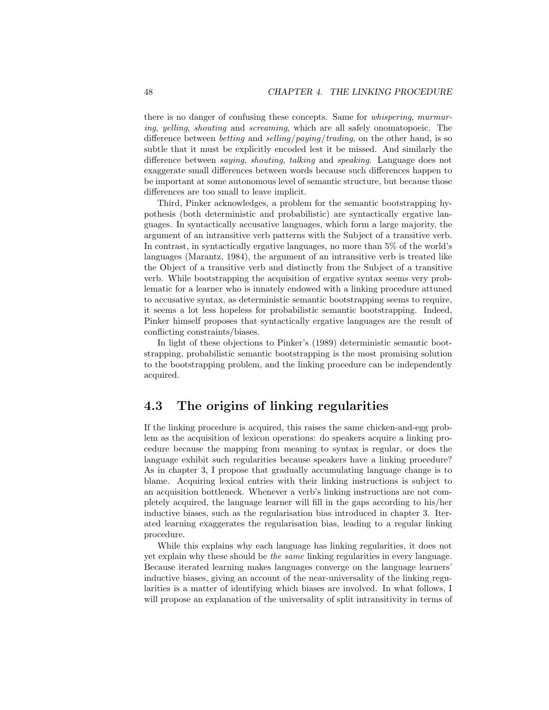there is no danger of confusing these concepts. Same for whispering, murmuring, yelling, shouting and screaming, which are all safely onomatopoeic. The difference between *betting* and *selling/paying/trading*, on the other hand, is so subtle that it must be explicitly encoded lest it be missed. And similarly the difference between saying, shouting, talking and speaking. Language does not exaggerate small differences between words because such differences happen to be important at some autonomous level of semantic structure, but because those differences are too small to leave implicit.

Third, Pinker acknowledges, a problem for the semantic bootstrapping hypothesis (both deterministic and probabilistic) are syntactically ergative languages. In syntactically accusative languages, which form a large majority, the argument of an intransitive verb patterns with the Subject of a transitive verb. In contrast, in syntactically ergative languages, no more than 5% of the world's languages (Marantz, 1984), the argument of an intransitive verb is treated like the Object of a transitive verb and distinctly from the Subject of a transitive verb. While bootstrapping the acquisition of ergative syntax seems very problematic for a learner who is innately endowed with a linking procedure attuned to accusative syntax, as deterministic semantic bootstrapping seems to require, it seems a lot less hopeless for probabilistic semantic bootstrapping. Indeed, Pinker himself proposes that syntactically ergative languages are the result of conflicting constraints/biases.

In light of these objections to Pinker's (1989) deterministic semantic bootstrapping, probabilistic semantic bootstrapping is the most promising solution to the bootstrapping problem, and the linking procedure can be independently acquired.

## 4.3 The origins of linking regularities

If the linking procedure is acquired, this raises the same chicken-and-egg problem as the acquisition of lexicon operations: do speakers acquire a linking procedure because the mapping from meaning to syntax is regular, or does the language exhibit such regularities because speakers have a linking procedure? As in chapter 3, I propose that gradually accumulating language change is to blame. Acquiring lexical entries with their linking instructions is subject to an acquisition bottleneck. Whenever a verb's linking instructions are not completely acquired, the language learner will fill in the gaps according to his/her inductive biases, such as the regularisation bias introduced in chapter 3. Iterated learning exaggerates the regularisation bias, leading to a regular linking procedure.

While this explains why each language has linking regularities, it does not yet explain why these should be the same linking regularities in every language. Because iterated learning makes languages converge on the language learners' inductive biases, giving an account of the near-universality of the linking regularities is a matter of identifying which biases are involved. In what follows, I will propose an explanation of the universality of split intransitivity in terms of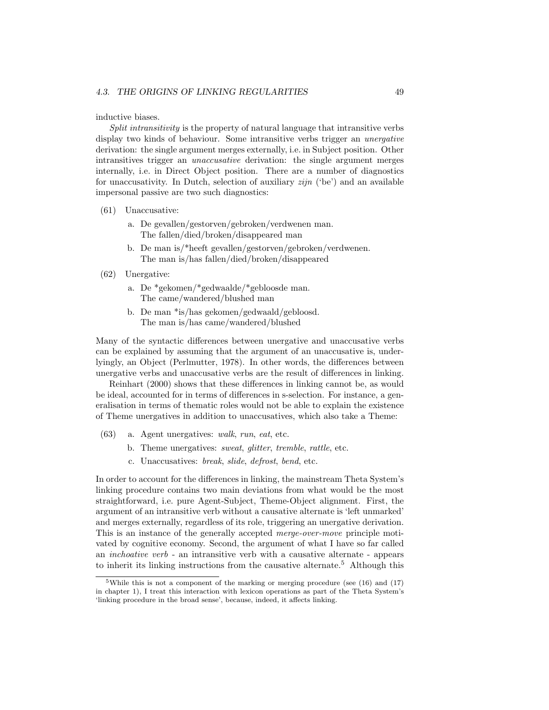### inductive biases.

Split intransitivity is the property of natural language that intransitive verbs display two kinds of behaviour. Some intransitive verbs trigger an *unergative* derivation: the single argument merges externally, i.e. in Subject position. Other intransitives trigger an unaccusative derivation: the single argument merges internally, i.e. in Direct Object position. There are a number of diagnostics for unaccusativity. In Dutch, selection of auxiliary  $zijn$  ('be') and an available impersonal passive are two such diagnostics:

- (61) Unaccusative:
	- a. De gevallen/gestorven/gebroken/verdwenen man. The fallen/died/broken/disappeared man
	- b. De man is/\*heeft gevallen/gestorven/gebroken/verdwenen. The man is/has fallen/died/broken/disappeared

#### (62) Unergative:

- a. De \*gekomen/\*gedwaalde/\*gebloosde man. The came/wandered/blushed man
- b. De man \*is/has gekomen/gedwaald/gebloosd. The man is/has came/wandered/blushed

Many of the syntactic differences between unergative and unaccusative verbs can be explained by assuming that the argument of an unaccusative is, underlyingly, an Object (Perlmutter, 1978). In other words, the differences between unergative verbs and unaccusative verbs are the result of differences in linking.

Reinhart (2000) shows that these differences in linking cannot be, as would be ideal, accounted for in terms of differences in s-selection. For instance, a generalisation in terms of thematic roles would not be able to explain the existence of Theme unergatives in addition to unaccusatives, which also take a Theme:

- (63) a. Agent unergatives: walk, run, eat, etc.
	- b. Theme unergatives: sweat, glitter, tremble, rattle, etc.
	- c. Unaccusatives: break, slide, defrost, bend, etc.

In order to account for the differences in linking, the mainstream Theta System's linking procedure contains two main deviations from what would be the most straightforward, i.e. pure Agent-Subject, Theme-Object alignment. First, the argument of an intransitive verb without a causative alternate is 'left unmarked' and merges externally, regardless of its role, triggering an unergative derivation. This is an instance of the generally accepted merge-over-move principle motivated by cognitive economy. Second, the argument of what I have so far called an inchoative verb - an intransitive verb with a causative alternate - appears to inherit its linking instructions from the causative alternate.<sup>5</sup> Although this

<sup>5</sup>While this is not a component of the marking or merging procedure (see (16) and (17) in chapter 1), I treat this interaction with lexicon operations as part of the Theta System's 'linking procedure in the broad sense', because, indeed, it affects linking.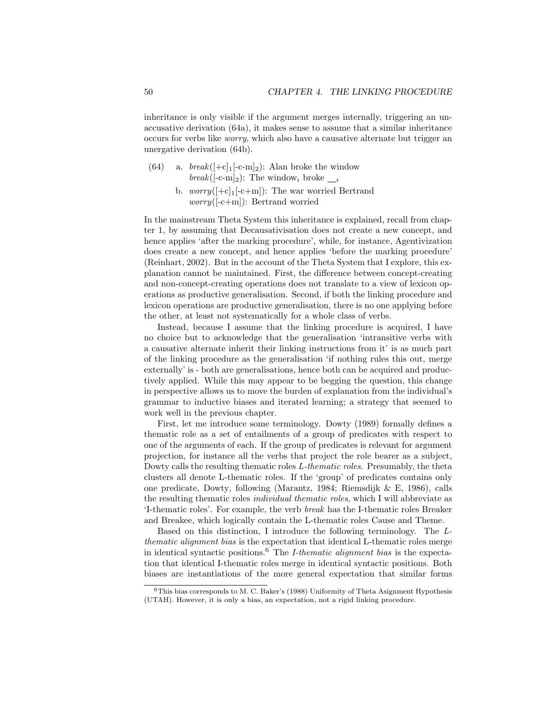inheritance is only visible if the argument merges internally, triggering an unaccusative derivation (64a), it makes sense to assume that a similar inheritance occurs for verbs like worry, which also have a causative alternate but trigger an unergative derivation (64b).

- (64) a.  $break([+c]_1[-c-m]_2)$ : Alan broke the window break( $[-c-m]_2$ ): The window<sub>i</sub> broke <sub>i</sub>
	- b.  $worry([-c]_1[-c+m])$ : The war worried Bertrand worry([-c+m]): Bertrand worried

In the mainstream Theta System this inheritance is explained, recall from chapter 1, by assuming that Decausativisation does not create a new concept, and hence applies 'after the marking procedure', while, for instance, Agentivization does create a new concept, and hence applies 'before the marking procedure' (Reinhart, 2002). But in the account of the Theta System that I explore, this explanation cannot be maintained. First, the difference between concept-creating and non-concept-creating operations does not translate to a view of lexicon operations as productive generalisation. Second, if both the linking procedure and lexicon operations are productive generalisation, there is no one applying before the other, at least not systematically for a whole class of verbs.

Instead, because I assume that the linking procedure is acquired, I have no choice but to acknowledge that the generalisation 'intransitive verbs with a causative alternate inherit their linking instructions from it' is as much part of the linking procedure as the generalisation 'if nothing rules this out, merge externally' is - both are generalisations, hence both can be acquired and productively applied. While this may appear to be begging the question, this change in perspective allows us to move the burden of explanation from the individual's grammar to inductive biases and iterated learning; a strategy that seemed to work well in the previous chapter.

First, let me introduce some terminology. Dowty (1989) formally defines a thematic role as a set of entailments of a group of predicates with respect to one of the arguments of each. If the group of predicates is relevant for argument projection, for instance all the verbs that project the role bearer as a subject, Dowty calls the resulting thematic roles L-thematic roles. Presumably, the theta clusters all denote L-thematic roles. If the 'group' of predicates contains only one predicate, Dowty, following (Marantz, 1984; Riemsdijk & E, 1986), calls the resulting thematic roles *individual thematic roles*, which I will abbreviate as 'I-thematic roles'. For example, the verb break has the I-thematic roles Breaker and Breakee, which logically contain the L-thematic roles Cause and Theme.

Based on this distinction, I introduce the following terminology. The Lthematic alignment bias is the expectation that identical L-thematic roles merge in identical syntactic positions.<sup>6</sup> The I-thematic alignment bias is the expectation that identical I-thematic roles merge in identical syntactic positions. Both biases are instantiations of the more general expectation that similar forms

<sup>6</sup>This bias corresponds to M. C. Baker's (1988) Uniformity of Theta Asignment Hypothesis (UTAH). However, it is only a bias, an expectation, not a rigid linking procedure.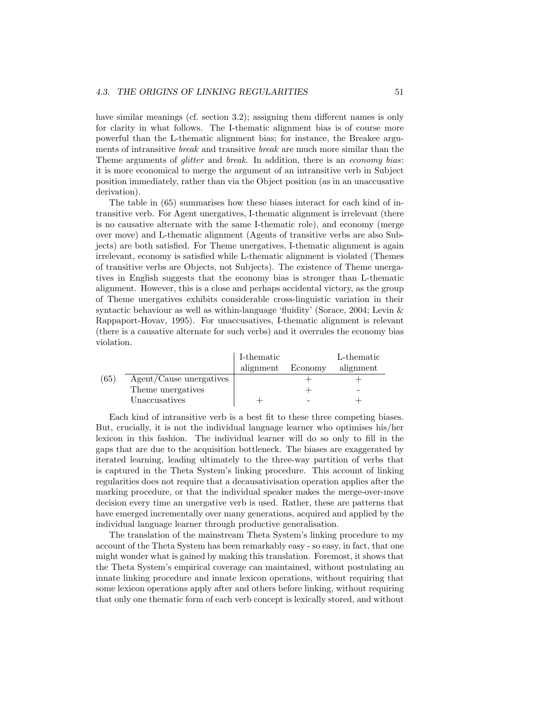have similar meanings (cf. section 3.2); assigning them different names is only for clarity in what follows. The I-thematic alignment bias is of course more powerful than the L-thematic alignment bias; for instance, the Breakee arguments of intransitive break and transitive break are much more similar than the Theme arguments of *glitter* and *break*. In addition, there is an *economy bias:* it is more economical to merge the argument of an intransitive verb in Subject position immediately, rather than via the Object position (as in an unaccusative derivation).

The table in (65) summarises how these biases interact for each kind of intransitive verb. For Agent unergatives, I-thematic alignment is irrelevant (there is no causative alternate with the same I-thematic role), and economy (merge over move) and L-thematic alignment (Agents of transitive verbs are also Subjects) are both satisfied. For Theme unergatives, I-thematic alignment is again irrelevant, economy is satisfied while L-thematic alignment is violated (Themes of transitive verbs are Objects, not Subjects). The existence of Theme unergatives in English suggests that the economy bias is stronger than L-thematic alignment. However, this is a close and perhaps accidental victory, as the group of Theme unergatives exhibits considerable cross-linguistic variation in their syntactic behaviour as well as within-language 'fluidity' (Sorace, 2004; Levin & Rappaport-Hovav, 1995). For unaccusatives, I-thematic alignment is relevant (there is a causative alternate for such verbs) and it overrules the economy bias violation.

|      |                         | I-thematic |         | L-thematic |
|------|-------------------------|------------|---------|------------|
|      |                         | alignment  | Economy | alignment  |
| (65) | Agent/Cause unergatives |            |         |            |
|      | Theme unergatives       |            |         |            |
|      | Unaccusatives           |            |         |            |

Each kind of intransitive verb is a best fit to these three competing biases. But, crucially, it is not the individual language learner who optimises his/her lexicon in this fashion. The individual learner will do so only to fill in the gaps that are due to the acquisition bottleneck. The biases are exaggerated by iterated learning, leading ultimately to the three-way partition of verbs that is captured in the Theta System's linking procedure. This account of linking regularities does not require that a decausativisation operation applies after the marking procedure, or that the individual speaker makes the merge-over-move decision every time an unergative verb is used. Rather, these are patterns that have emerged incrementally over many generations, acquired and applied by the individual language learner through productive generalisation.

The translation of the mainstream Theta System's linking procedure to my account of the Theta System has been remarkably easy - so easy, in fact, that one might wonder what is gained by making this translation. Foremost, it shows that the Theta System's empirical coverage can maintained, without postulating an innate linking procedure and innate lexicon operations, without requiring that some lexicon operations apply after and others before linking, without requiring that only one thematic form of each verb concept is lexically stored, and without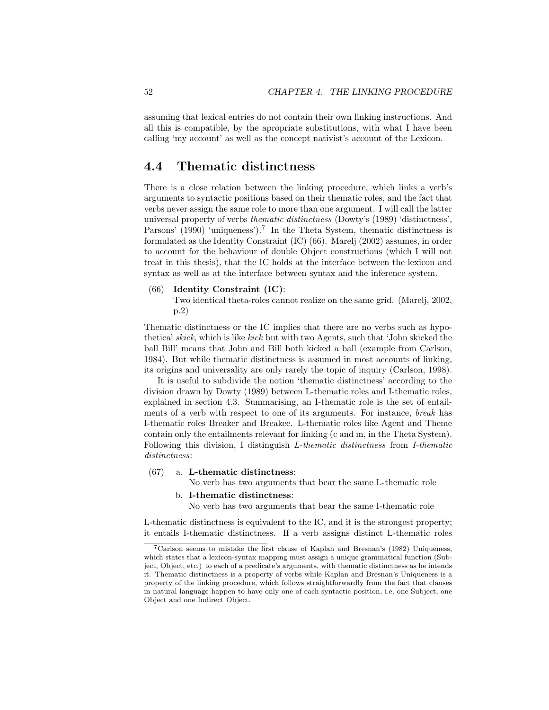assuming that lexical entries do not contain their own linking instructions. And all this is compatible, by the apropriate substitutions, with what I have been calling 'my account' as well as the concept nativist's account of the Lexicon.

## 4.4 Thematic distinctness

There is a close relation between the linking procedure, which links a verb's arguments to syntactic positions based on their thematic roles, and the fact that verbs never assign the same role to more than one argument. I will call the latter universal property of verbs thematic distinctness (Dowty's (1989) 'distinctness', Parsons' (1990) 'uniqueness').<sup>7</sup> In the Theta System, thematic distinctness is formulated as the Identity Constraint (IC) (66). Marelj (2002) assumes, in order to account for the behaviour of double Object constructions (which I will not treat in this thesis), that the IC holds at the interface between the lexicon and syntax as well as at the interface between syntax and the inference system.

#### (66) Identity Constraint (IC):

Two identical theta-roles cannot realize on the same grid. (Marelj, 2002, p.2)

Thematic distinctness or the IC implies that there are no verbs such as hypothetical skick, which is like kick but with two Agents, such that 'John skicked the ball Bill' means that John and Bill both kicked a ball (example from Carlson, 1984). But while thematic distinctness is assumed in most accounts of linking, its origins and universality are only rarely the topic of inquiry (Carlson, 1998).

It is useful to subdivide the notion 'thematic distinctness' according to the division drawn by Dowty (1989) between L-thematic roles and I-thematic roles, explained in section 4.3. Summarising, an I-thematic role is the set of entailments of a verb with respect to one of its arguments. For instance, break has I-thematic roles Breaker and Breakee. L-thematic roles like Agent and Theme contain only the entailments relevant for linking (c and m, in the Theta System). Following this division, I distinguish L-thematic distinctness from I-thematic distinctness:

## (67) a. L-thematic distinctness:

No verb has two arguments that bear the same L-thematic role

#### b. I-thematic distinctness:

No verb has two arguments that bear the same I-thematic role

L-thematic distinctness is equivalent to the IC, and it is the strongest property; it entails I-thematic distinctness. If a verb assigns distinct L-thematic roles

<sup>7</sup>Carlson seems to mistake the first clause of Kaplan and Bresnan's (1982) Uniqueness, which states that a lexicon-syntax mapping must assign a unique grammatical function (Subject, Object, etc.) to each of a predicate's arguments, with thematic distinctness as he intends it. Thematic distinctness is a property of verbs while Kaplan and Bresnan's Uniqueness is a property of the linking procedure, which follows straightforwardly from the fact that clauses in natural language happen to have only one of each syntactic position, i.e. one Subject, one Object and one Indirect Object.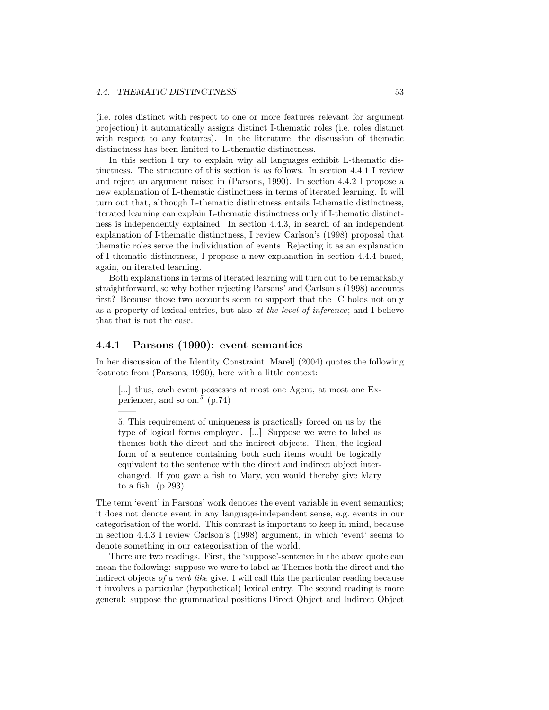(i.e. roles distinct with respect to one or more features relevant for argument projection) it automatically assigns distinct I-thematic roles (i.e. roles distinct with respect to any features). In the literature, the discussion of thematic distinctness has been limited to L-thematic distinctness.

In this section I try to explain why all languages exhibit L-thematic distinctness. The structure of this section is as follows. In section 4.4.1 I review and reject an argument raised in (Parsons, 1990). In section 4.4.2 I propose a new explanation of L-thematic distinctness in terms of iterated learning. It will turn out that, although L-thematic distinctness entails I-thematic distinctness, iterated learning can explain L-thematic distinctness only if I-thematic distinctness is independently explained. In section 4.4.3, in search of an independent explanation of I-thematic distinctness, I review Carlson's (1998) proposal that thematic roles serve the individuation of events. Rejecting it as an explanation of I-thematic distinctness, I propose a new explanation in section 4.4.4 based, again, on iterated learning.

Both explanations in terms of iterated learning will turn out to be remarkably straightforward, so why bother rejecting Parsons' and Carlson's (1998) accounts first? Because those two accounts seem to support that the IC holds not only as a property of lexical entries, but also at the level of inference; and I believe that that is not the case.

## 4.4.1 Parsons (1990): event semantics

——

In her discussion of the Identity Constraint, Marelj (2004) quotes the following footnote from (Parsons, 1990), here with a little context:

[...] thus, each event possesses at most one Agent, at most one Experiencer, and so on.<sup>5</sup> (p.74)

5. This requirement of uniqueness is practically forced on us by the type of logical forms employed. [...] Suppose we were to label as themes both the direct and the indirect objects. Then, the logical form of a sentence containing both such items would be logically equivalent to the sentence with the direct and indirect object interchanged. If you gave a fish to Mary, you would thereby give Mary to a fish. (p.293)

The term 'event' in Parsons' work denotes the event variable in event semantics; it does not denote event in any language-independent sense, e.g. events in our categorisation of the world. This contrast is important to keep in mind, because in section 4.4.3 I review Carlson's (1998) argument, in which 'event' seems to denote something in our categorisation of the world.

There are two readings. First, the 'suppose'-sentence in the above quote can mean the following: suppose we were to label as Themes both the direct and the indirect objects of a verb like give. I will call this the particular reading because it involves a particular (hypothetical) lexical entry. The second reading is more general: suppose the grammatical positions Direct Object and Indirect Object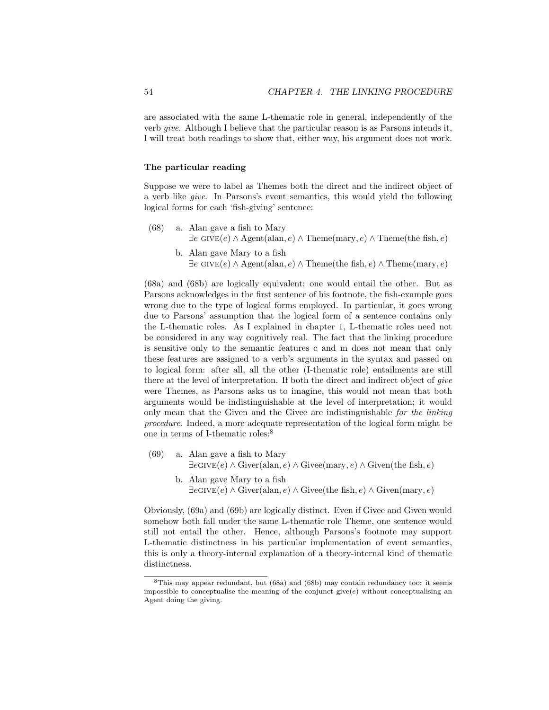are associated with the same L-thematic role in general, independently of the verb give. Although I believe that the particular reason is as Parsons intends it, I will treat both readings to show that, either way, his argument does not work.

## The particular reading

Suppose we were to label as Themes both the direct and the indirect object of a verb like give. In Parsons's event semantics, this would yield the following logical forms for each 'fish-giving' sentence:

- (68) a. Alan gave a fish to Mary  $\exists e \text{ GIVE}(e) \land \text{Agent}(\text{alan}, e) \land \text{Theme}(\text{mary}, e) \land \text{Theme}(\text{the fish}, e)$ 
	- b. Alan gave Mary to a fish  $\exists e \text{ GIVE}(e) \land \text{Agent}(\text{alan}, e) \land \text{Then}(e)$   $\land$  Theme(mary, e)

(68a) and (68b) are logically equivalent; one would entail the other. But as Parsons acknowledges in the first sentence of his footnote, the fish-example goes wrong due to the type of logical forms employed. In particular, it goes wrong due to Parsons' assumption that the logical form of a sentence contains only the L-thematic roles. As I explained in chapter 1, L-thematic roles need not be considered in any way cognitively real. The fact that the linking procedure is sensitive only to the semantic features c and m does not mean that only these features are assigned to a verb's arguments in the syntax and passed on to logical form: after all, all the other (I-thematic role) entailments are still there at the level of interpretation. If both the direct and indirect object of give were Themes, as Parsons asks us to imagine, this would not mean that both arguments would be indistinguishable at the level of interpretation; it would only mean that the Given and the Givee are indistinguishable for the linking procedure. Indeed, a more adequate representation of the logical form might be one in terms of I-thematic roles:<sup>8</sup>

- (69) a. Alan gave a fish to Mary  $\exists e$ GIVE $(e) \wedge$ Giver(alan, e)  $\wedge$ Givee(mary, e)  $\wedge$ Given(the fish, e)
	- b. Alan gave Mary to a fish  $\exists e$ GIVE $(e) \wedge$ Giver(alan, e)  $\wedge$ Givee(the fish, e)  $\wedge$ Given(mary, e)

Obviously, (69a) and (69b) are logically distinct. Even if Givee and Given would somehow both fall under the same L-thematic role Theme, one sentence would still not entail the other. Hence, although Parsons's footnote may support L-thematic distinctness in his particular implementation of event semantics, this is only a theory-internal explanation of a theory-internal kind of thematic distinctness.

<sup>8</sup>This may appear redundant, but (68a) and (68b) may contain redundancy too: it seems impossible to conceptualise the meaning of the conjunct give $(e)$  without conceptualising an Agent doing the giving.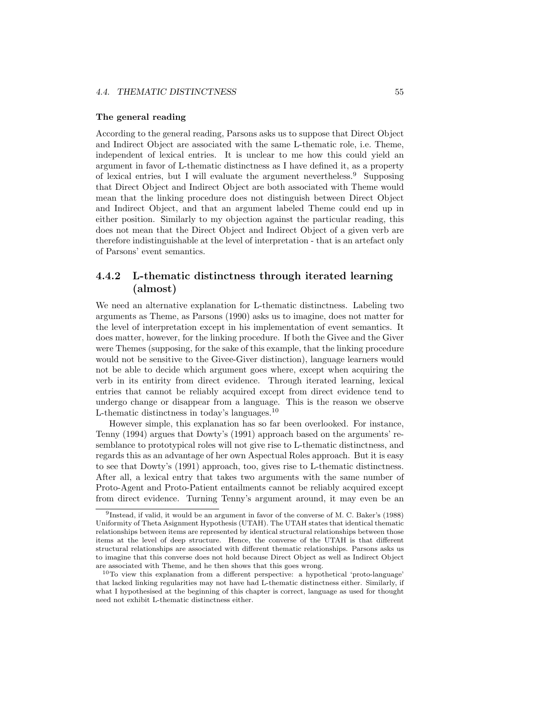### The general reading

According to the general reading, Parsons asks us to suppose that Direct Object and Indirect Object are associated with the same L-thematic role, i.e. Theme, independent of lexical entries. It is unclear to me how this could yield an argument in favor of L-thematic distinctness as I have defined it, as a property of lexical entries, but I will evaluate the argument nevertheless.  $9$  Supposing that Direct Object and Indirect Object are both associated with Theme would mean that the linking procedure does not distinguish between Direct Object and Indirect Object, and that an argument labeled Theme could end up in either position. Similarly to my objection against the particular reading, this does not mean that the Direct Object and Indirect Object of a given verb are therefore indistinguishable at the level of interpretation - that is an artefact only of Parsons' event semantics.

## 4.4.2 L-thematic distinctness through iterated learning (almost)

We need an alternative explanation for L-thematic distinctness. Labeling two arguments as Theme, as Parsons (1990) asks us to imagine, does not matter for the level of interpretation except in his implementation of event semantics. It does matter, however, for the linking procedure. If both the Givee and the Giver were Themes (supposing, for the sake of this example, that the linking procedure would not be sensitive to the Givee-Giver distinction), language learners would not be able to decide which argument goes where, except when acquiring the verb in its entirity from direct evidence. Through iterated learning, lexical entries that cannot be reliably acquired except from direct evidence tend to undergo change or disappear from a language. This is the reason we observe L-thematic distinctness in today's languages.<sup>10</sup>

However simple, this explanation has so far been overlooked. For instance, Tenny (1994) argues that Dowty's (1991) approach based on the arguments' resemblance to prototypical roles will not give rise to L-thematic distinctness, and regards this as an advantage of her own Aspectual Roles approach. But it is easy to see that Dowty's (1991) approach, too, gives rise to L-thematic distinctness. After all, a lexical entry that takes two arguments with the same number of Proto-Agent and Proto-Patient entailments cannot be reliably acquired except from direct evidence. Turning Tenny's argument around, it may even be an

<sup>9</sup> Instead, if valid, it would be an argument in favor of the converse of M. C. Baker's (1988) Uniformity of Theta Asignment Hypothesis (UTAH). The UTAH states that identical thematic relationships between items are represented by identical structural relationships between those items at the level of deep structure. Hence, the converse of the UTAH is that different structural relationships are associated with different thematic relationships. Parsons asks us to imagine that this converse does not hold because Direct Object as well as Indirect Object are associated with Theme, and he then shows that this goes wrong.

 $10$ To view this explanation from a different perspective: a hypothetical 'proto-language' that lacked linking regularities may not have had L-thematic distinctness either. Similarly, if what I hypothesised at the beginning of this chapter is correct, language as used for thought need not exhibit L-thematic distinctness either.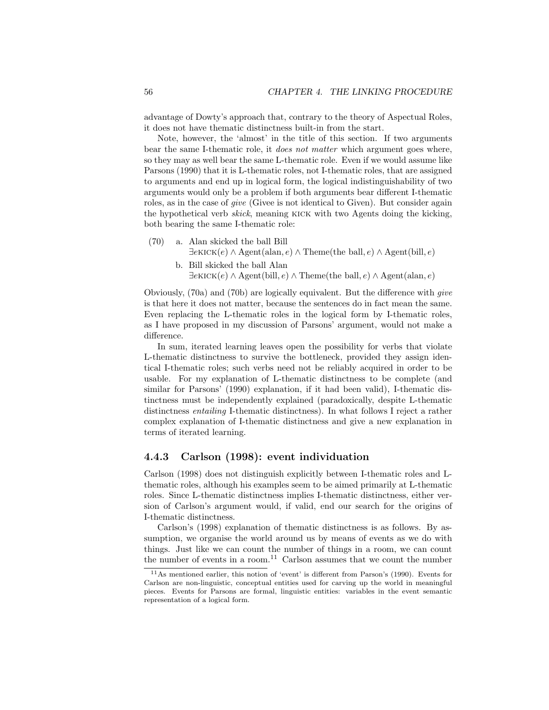advantage of Dowty's approach that, contrary to the theory of Aspectual Roles, it does not have thematic distinctness built-in from the start.

Note, however, the 'almost' in the title of this section. If two arguments bear the same I-thematic role, it does not matter which argument goes where, so they may as well bear the same L-thematic role. Even if we would assume like Parsons (1990) that it is L-thematic roles, not I-thematic roles, that are assigned to arguments and end up in logical form, the logical indistinguishability of two arguments would only be a problem if both arguments bear different I-thematic roles, as in the case of *give* (Givee is not identical to Given). But consider again the hypothetical verb skick, meaning kick with two Agents doing the kicking, both bearing the same I-thematic role:

- (70) a. Alan skicked the ball Bill  $\exists e$ KICK $(e) \land \text{Agent}(\text{alan}, e) \land \text{Then}(\text{the ball}, e) \land \text{Agent}(\text{bill}, e)$ 
	- b. Bill skicked the ball Alan  $\exists e$ KICK $(e) \land \text{Agent}(\text{bill}, e) \land \text{Then}(\text{the ball}, e) \land \text{Agent}(\text{alan}, e)$

Obviously, (70a) and (70b) are logically equivalent. But the difference with give is that here it does not matter, because the sentences do in fact mean the same. Even replacing the L-thematic roles in the logical form by I-thematic roles, as I have proposed in my discussion of Parsons' argument, would not make a difference.

In sum, iterated learning leaves open the possibility for verbs that violate L-thematic distinctness to survive the bottleneck, provided they assign identical I-thematic roles; such verbs need not be reliably acquired in order to be usable. For my explanation of L-thematic distinctness to be complete (and similar for Parsons' (1990) explanation, if it had been valid), I-thematic distinctness must be independently explained (paradoxically, despite L-thematic distinctness entailing I-thematic distinctness). In what follows I reject a rather complex explanation of I-thematic distinctness and give a new explanation in terms of iterated learning.

## 4.4.3 Carlson (1998): event individuation

Carlson (1998) does not distinguish explicitly between I-thematic roles and Lthematic roles, although his examples seem to be aimed primarily at L-thematic roles. Since L-thematic distinctness implies I-thematic distinctness, either version of Carlson's argument would, if valid, end our search for the origins of I-thematic distinctness.

Carlson's (1998) explanation of thematic distinctness is as follows. By assumption, we organise the world around us by means of events as we do with things. Just like we can count the number of things in a room, we can count the number of events in a room.<sup>11</sup> Carlson assumes that we count the number

<sup>11</sup>As mentioned earlier, this notion of 'event' is different from Parson's (1990). Events for Carlson are non-linguistic, conceptual entities used for carving up the world in meaningful pieces. Events for Parsons are formal, linguistic entities: variables in the event semantic representation of a logical form.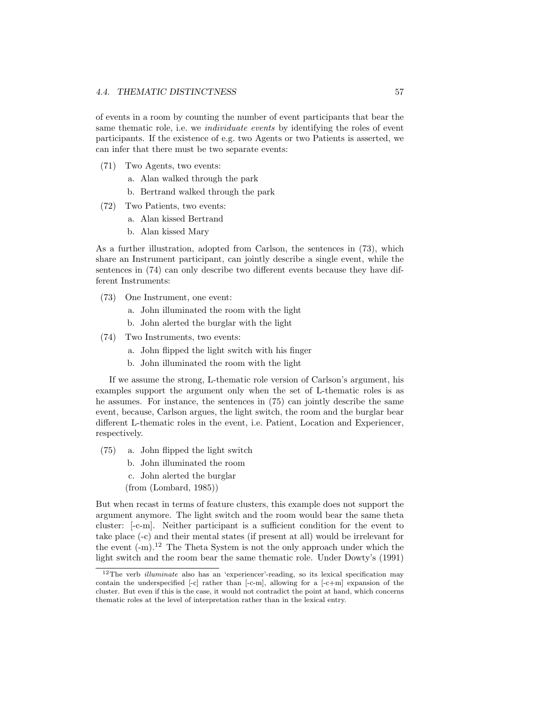of events in a room by counting the number of event participants that bear the same thematic role, i.e. we *individuate events* by identifying the roles of event participants. If the existence of e.g. two Agents or two Patients is asserted, we can infer that there must be two separate events:

- (71) Two Agents, two events:
	- a. Alan walked through the park
	- b. Bertrand walked through the park
- (72) Two Patients, two events:
	- a. Alan kissed Bertrand
	- b. Alan kissed Mary

As a further illustration, adopted from Carlson, the sentences in (73), which share an Instrument participant, can jointly describe a single event, while the sentences in (74) can only describe two different events because they have different Instruments:

- (73) One Instrument, one event:
	- a. John illuminated the room with the light
	- b. John alerted the burglar with the light
- (74) Two Instruments, two events:
	- a. John flipped the light switch with his finger
	- b. John illuminated the room with the light

If we assume the strong, L-thematic role version of Carlson's argument, his examples support the argument only when the set of L-thematic roles is as he assumes. For instance, the sentences in (75) can jointly describe the same event, because, Carlson argues, the light switch, the room and the burglar bear different L-thematic roles in the event, i.e. Patient, Location and Experiencer, respectively.

- (75) a. John flipped the light switch
	- b. John illuminated the room
	- c. John alerted the burglar
	- (from (Lombard, 1985))

But when recast in terms of feature clusters, this example does not support the argument anymore. The light switch and the room would bear the same theta cluster: [-c-m]. Neither participant is a sufficient condition for the event to take place (-c) and their mental states (if present at all) would be irrelevant for the event  $(-m)^{12}$  The Theta System is not the only approach under which the light switch and the room bear the same thematic role. Under Dowty's (1991)

 $12$ The verb *illuminate* also has an 'experiencer'-reading, so its lexical specification may contain the underspecified [-c] rather than [-c-m], allowing for a [-c+m] expansion of the cluster. But even if this is the case, it would not contradict the point at hand, which concerns thematic roles at the level of interpretation rather than in the lexical entry.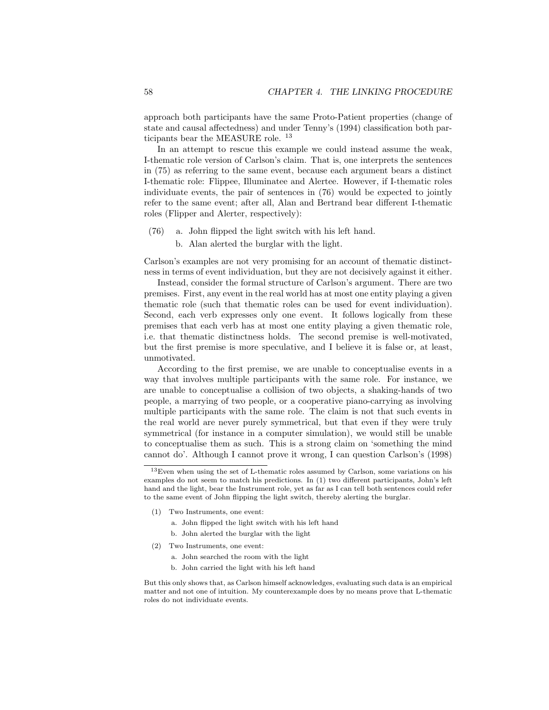approach both participants have the same Proto-Patient properties (change of state and causal affectedness) and under Tenny's (1994) classification both participants bear the MEASURE role. <sup>13</sup>

In an attempt to rescue this example we could instead assume the weak, I-thematic role version of Carlson's claim. That is, one interprets the sentences in (75) as referring to the same event, because each argument bears a distinct I-thematic role: Flippee, Illuminatee and Alertee. However, if I-thematic roles individuate events, the pair of sentences in (76) would be expected to jointly refer to the same event; after all, Alan and Bertrand bear different I-thematic roles (Flipper and Alerter, respectively):

- (76) a. John flipped the light switch with his left hand.
	- b. Alan alerted the burglar with the light.

Carlson's examples are not very promising for an account of thematic distinctness in terms of event individuation, but they are not decisively against it either.

Instead, consider the formal structure of Carlson's argument. There are two premises. First, any event in the real world has at most one entity playing a given thematic role (such that thematic roles can be used for event individuation). Second, each verb expresses only one event. It follows logically from these premises that each verb has at most one entity playing a given thematic role, i.e. that thematic distinctness holds. The second premise is well-motivated, but the first premise is more speculative, and I believe it is false or, at least, unmotivated.

According to the first premise, we are unable to conceptualise events in a way that involves multiple participants with the same role. For instance, we are unable to conceptualise a collision of two objects, a shaking-hands of two people, a marrying of two people, or a cooperative piano-carrying as involving multiple participants with the same role. The claim is not that such events in the real world are never purely symmetrical, but that even if they were truly symmetrical (for instance in a computer simulation), we would still be unable to conceptualise them as such. This is a strong claim on 'something the mind cannot do'. Although I cannot prove it wrong, I can question Carlson's (1998)

- (1) Two Instruments, one event:
	- a. John flipped the light switch with his left hand
	- b. John alerted the burglar with the light
- (2) Two Instruments, one event:
	- a. John searched the room with the light
	- b. John carried the light with his left hand

But this only shows that, as Carlson himself acknowledges, evaluating such data is an empirical matter and not one of intuition. My counterexample does by no means prove that L-thematic roles do not individuate events.

<sup>&</sup>lt;sup>13</sup>Even when using the set of L-thematic roles assumed by Carlson, some variations on his examples do not seem to match his predictions. In (1) two different participants, John's left hand and the light, bear the Instrument role, yet as far as I can tell both sentences could refer to the same event of John flipping the light switch, thereby alerting the burglar.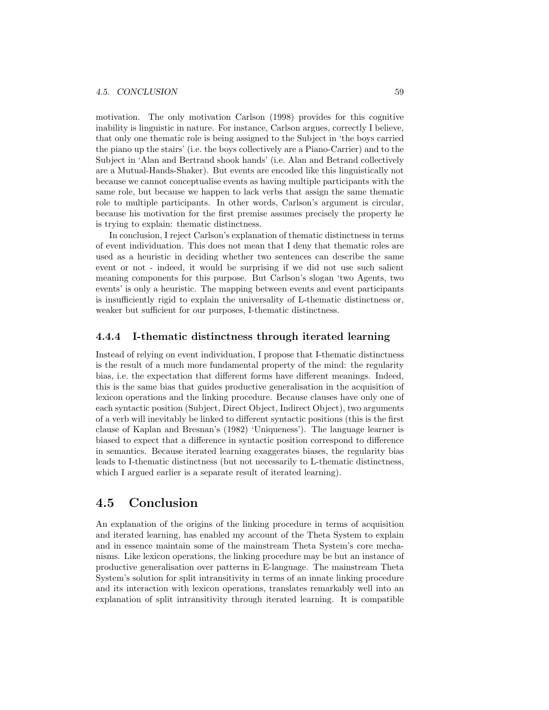motivation. The only motivation Carlson (1998) provides for this cognitive inability is linguistic in nature. For instance, Carlson argues, correctly I believe, that only one thematic role is being assigned to the Subject in 'the boys carried the piano up the stairs' (i.e. the boys collectively are a Piano-Carrier) and to the Subject in 'Alan and Bertrand shook hands' (i.e. Alan and Betrand collectively are a Mutual-Hands-Shaker). But events are encoded like this linguistically not because we cannot conceptualise events as having multiple participants with the same role, but because we happen to lack verbs that assign the same thematic role to multiple participants. In other words, Carlson's argument is circular, because his motivation for the first premise assumes precisely the property he is trying to explain: thematic distinctness.

In conclusion, I reject Carlson's explanation of thematic distinctness in terms of event individuation. This does not mean that I deny that thematic roles are used as a heuristic in deciding whether two sentences can describe the same event or not - indeed, it would be surprising if we did not use such salient meaning components for this purpose. But Carlson's slogan 'two Agents, two events' is only a heuristic. The mapping between events and event participants is insufficiently rigid to explain the universality of L-thematic distinctness or, weaker but sufficient for our purposes, I-thematic distinctness.

## 4.4.4 I-thematic distinctness through iterated learning

Instead of relying on event individuation, I propose that I-thematic distinctness is the result of a much more fundamental property of the mind: the regularity bias, i.e. the expectation that different forms have different meanings. Indeed, this is the same bias that guides productive generalisation in the acquisition of lexicon operations and the linking procedure. Because clauses have only one of each syntactic position (Subject, Direct Object, Indirect Object), two arguments of a verb will inevitably be linked to different syntactic positions (this is the first clause of Kaplan and Bresnan's (1982) 'Uniqueness'). The language learner is biased to expect that a difference in syntactic position correspond to difference in semantics. Because iterated learning exaggerates biases, the regularity bias leads to I-thematic distinctness (but not necessarily to L-thematic distinctness, which I argued earlier is a separate result of iterated learning).

## 4.5 Conclusion

An explanation of the origins of the linking procedure in terms of acquisition and iterated learning, has enabled my account of the Theta System to explain and in essence maintain some of the mainstream Theta System's core mechanisms. Like lexicon operations, the linking procedure may be but an instance of productive generalisation over patterns in E-language. The mainstream Theta System's solution for split intransitivity in terms of an innate linking procedure and its interaction with lexicon operations, translates remarkably well into an explanation of split intransitivity through iterated learning. It is compatible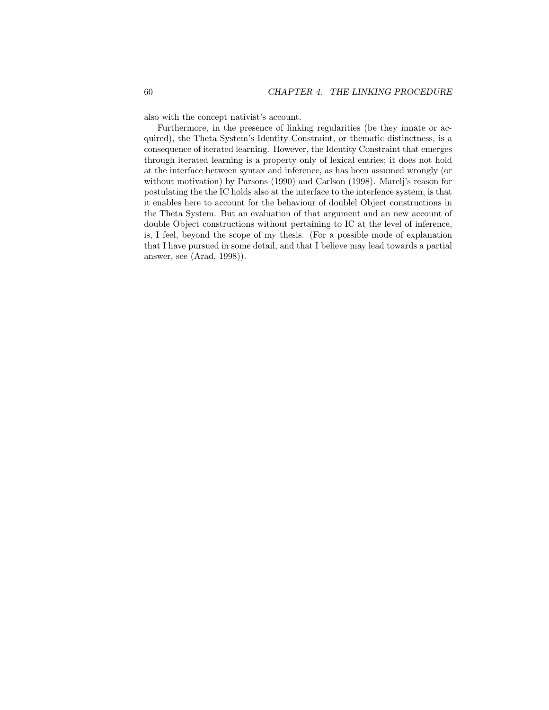also with the concept nativist's account.

Furthermore, in the presence of linking regularities (be they innate or acquired), the Theta System's Identity Constraint, or thematic distinctness, is a consequence of iterated learning. However, the Identity Constraint that emerges through iterated learning is a property only of lexical entries; it does not hold at the interface between syntax and inference, as has been assumed wrongly (or without motivation) by Parsons (1990) and Carlson (1998). Marelj's reason for postulating the the IC holds also at the interface to the interfence system, is that it enables here to account for the behaviour of doublel Object constructions in the Theta System. But an evaluation of that argument and an new account of double Object constructions without pertaining to IC at the level of inference, is, I feel, beyond the scope of my thesis. (For a possible mode of explanation that I have pursued in some detail, and that I believe may lead towards a partial answer, see (Arad, 1998)).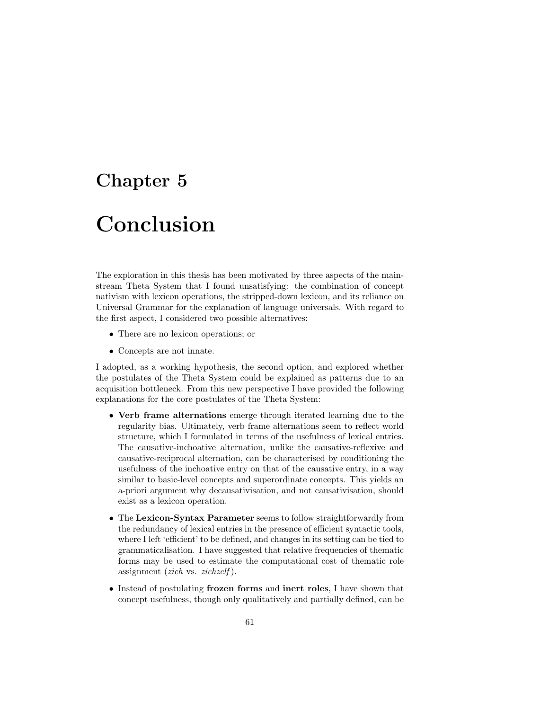## Chapter 5

# Conclusion

The exploration in this thesis has been motivated by three aspects of the mainstream Theta System that I found unsatisfying: the combination of concept nativism with lexicon operations, the stripped-down lexicon, and its reliance on Universal Grammar for the explanation of language universals. With regard to the first aspect, I considered two possible alternatives:

- There are no lexicon operations; or
- Concepts are not innate.

I adopted, as a working hypothesis, the second option, and explored whether the postulates of the Theta System could be explained as patterns due to an acquisition bottleneck. From this new perspective I have provided the following explanations for the core postulates of the Theta System:

- Verb frame alternations emerge through iterated learning due to the regularity bias. Ultimately, verb frame alternations seem to reflect world structure, which I formulated in terms of the usefulness of lexical entries. The causative-inchoative alternation, unlike the causative-reflexive and causative-reciprocal alternation, can be characterised by conditioning the usefulness of the inchoative entry on that of the causative entry, in a way similar to basic-level concepts and superordinate concepts. This yields an a-priori argument why decausativisation, and not causativisation, should exist as a lexicon operation.
- The Lexicon-Syntax Parameter seems to follow straightforwardly from the redundancy of lexical entries in the presence of efficient syntactic tools, where I left 'efficient' to be defined, and changes in its setting can be tied to grammaticalisation. I have suggested that relative frequencies of thematic forms may be used to estimate the computational cost of thematic role assignment (*zich* vs. *zichzelf*).
- Instead of postulating frozen forms and inert roles, I have shown that concept usefulness, though only qualitatively and partially defined, can be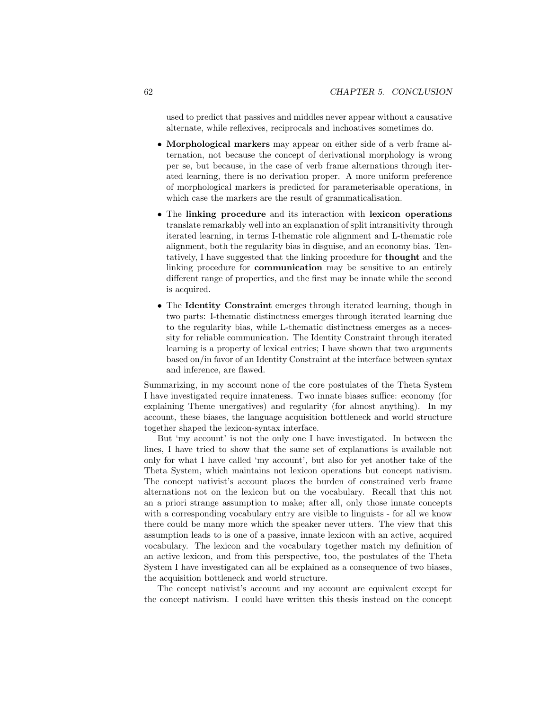used to predict that passives and middles never appear without a causative alternate, while reflexives, reciprocals and inchoatives sometimes do.

- Morphological markers may appear on either side of a verb frame alternation, not because the concept of derivational morphology is wrong per se, but because, in the case of verb frame alternations through iterated learning, there is no derivation proper. A more uniform preference of morphological markers is predicted for parameterisable operations, in which case the markers are the result of grammaticalisation.
- The linking procedure and its interaction with lexicon operations translate remarkably well into an explanation of split intransitivity through iterated learning, in terms I-thematic role alignment and L-thematic role alignment, both the regularity bias in disguise, and an economy bias. Tentatively, I have suggested that the linking procedure for thought and the linking procedure for **communication** may be sensitive to an entirely different range of properties, and the first may be innate while the second is acquired.
- The Identity Constraint emerges through iterated learning, though in two parts: I-thematic distinctness emerges through iterated learning due to the regularity bias, while L-thematic distinctness emerges as a necessity for reliable communication. The Identity Constraint through iterated learning is a property of lexical entries; I have shown that two arguments based on/in favor of an Identity Constraint at the interface between syntax and inference, are flawed.

Summarizing, in my account none of the core postulates of the Theta System I have investigated require innateness. Two innate biases suffice: economy (for explaining Theme unergatives) and regularity (for almost anything). In my account, these biases, the language acquisition bottleneck and world structure together shaped the lexicon-syntax interface.

But 'my account' is not the only one I have investigated. In between the lines, I have tried to show that the same set of explanations is available not only for what I have called 'my account', but also for yet another take of the Theta System, which maintains not lexicon operations but concept nativism. The concept nativist's account places the burden of constrained verb frame alternations not on the lexicon but on the vocabulary. Recall that this not an a priori strange assumption to make; after all, only those innate concepts with a corresponding vocabulary entry are visible to linguists - for all we know there could be many more which the speaker never utters. The view that this assumption leads to is one of a passive, innate lexicon with an active, acquired vocabulary. The lexicon and the vocabulary together match my definition of an active lexicon, and from this perspective, too, the postulates of the Theta System I have investigated can all be explained as a consequence of two biases, the acquisition bottleneck and world structure.

The concept nativist's account and my account are equivalent except for the concept nativism. I could have written this thesis instead on the concept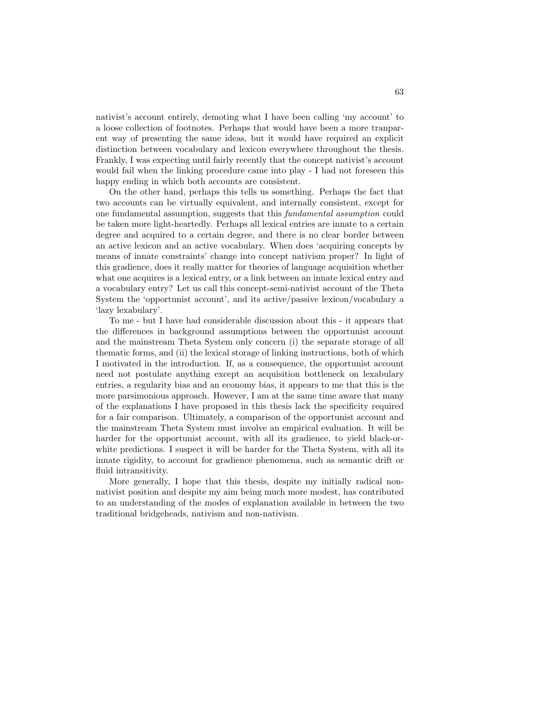nativist's account entirely, demoting what I have been calling 'my account' to a loose collection of footnotes. Perhaps that would have been a more tranparent way of presenting the same ideas, but it would have required an explicit distinction between vocabulary and lexicon everywhere throughout the thesis. Frankly, I was expecting until fairly recently that the concept nativist's account would fail when the linking procedure came into play - I had not foreseen this happy ending in which both accounts are consistent.

On the other hand, perhaps this tells us something. Perhaps the fact that two accounts can be virtually equivalent, and internally consistent, except for one fundamental assumption, suggests that this fundamental assumption could be taken more light-heartedly. Perhaps all lexical entries are innate to a certain degree and acquired to a certain degree, and there is no clear border between an active lexicon and an active vocabulary. When does 'acquiring concepts by means of innate constraints' change into concept nativism proper? In light of this gradience, does it really matter for theories of language acquisition whether what one acquires is a lexical entry, or a link between an innate lexical entry and a vocabulary entry? Let us call this concept-semi-nativist account of the Theta System the 'opportunist account', and its active/passive lexicon/vocabulary a 'lazy lexabulary'.

To me - but I have had considerable discussion about this - it appears that the differences in background assumptions between the opportunist account and the mainstream Theta System only concern (i) the separate storage of all thematic forms, and (ii) the lexical storage of linking instructions, both of which I motivated in the introduction. If, as a consequence, the opportunist account need not postulate anything except an acquisition bottleneck on lexabulary entries, a regularity bias and an economy bias, it appears to me that this is the more parsimonious approach. However, I am at the same time aware that many of the explanations I have proposed in this thesis lack the specificity required for a fair comparison. Ultimately, a comparison of the opportunist account and the mainstream Theta System must involve an empirical evaluation. It will be harder for the opportunist account, with all its gradience, to yield black-orwhite predictions. I suspect it will be harder for the Theta System, with all its innate rigidity, to account for gradience phenomena, such as semantic drift or fluid intransitivity.

More generally, I hope that this thesis, despite my initially radical nonnativist position and despite my aim being much more modest, has contributed to an understanding of the modes of explanation available in between the two traditional bridgeheads, nativism and non-nativism.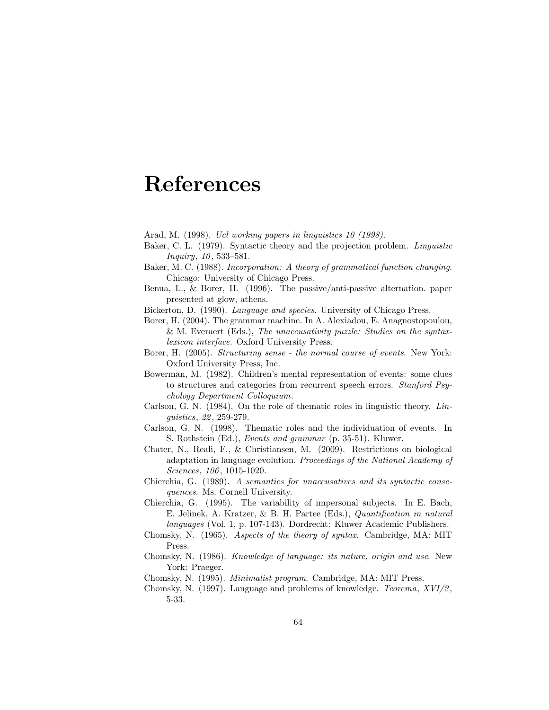## References

Arad, M. (1998). Ucl working papers in linguistics 10 (1998).

- Baker, C. L. (1979). Syntactic theory and the projection problem. Linguistic Inquiry, 10, 533–581.
- Baker, M. C. (1988). Incorporation: A theory of grammatical function changing. Chicago: University of Chicago Press.
- Benua, L., & Borer, H. (1996). The passive/anti-passive alternation. paper presented at glow, athens.
- Bickerton, D. (1990). Language and species. University of Chicago Press.
- Borer, H. (2004). The grammar machine. In A. Alexiadou, E. Anagnostopoulou, & M. Everaert (Eds.), The unaccusativity puzzle: Studies on the syntaxlexicon interface. Oxford University Press.
- Borer, H. (2005). Structuring sense the normal course of events. New York: Oxford University Press, Inc.
- Bowerman, M. (1982). Children's mental representation of events: some clues to structures and categories from recurrent speech errors. Stanford Psychology Department Colloquium.
- Carlson, G. N.  $(1984)$ . On the role of thematic roles in linguistic theory. Linguistics, 22 , 259-279.
- Carlson, G. N. (1998). Thematic roles and the individuation of events. In S. Rothstein (Ed.), Events and grammar (p. 35-51). Kluwer.
- Chater, N., Reali, F., & Christiansen, M. (2009). Restrictions on biological adaptation in language evolution. Proceedings of the National Academy of Sciences, 106, 1015-1020.
- Chierchia, G. (1989). A semantics for unaccusatives and its syntactic consequences. Ms. Cornell University.
- Chierchia, G. (1995). The variability of impersonal subjects. In E. Bach, E. Jelinek, A. Kratzer, & B. H. Partee (Eds.), Quantification in natural languages (Vol. 1, p. 107-143). Dordrecht: Kluwer Academic Publishers.
- Chomsky, N. (1965). Aspects of the theory of syntax. Cambridge, MA: MIT Press.
- Chomsky, N. (1986). Knowledge of language: its nature, origin and use. New York: Praeger.
- Chomsky, N. (1995). Minimalist program. Cambridge, MA: MIT Press.
- Chomsky, N. (1997). Language and problems of knowledge. *Teorema*,  $XVI/2$ , 5-33.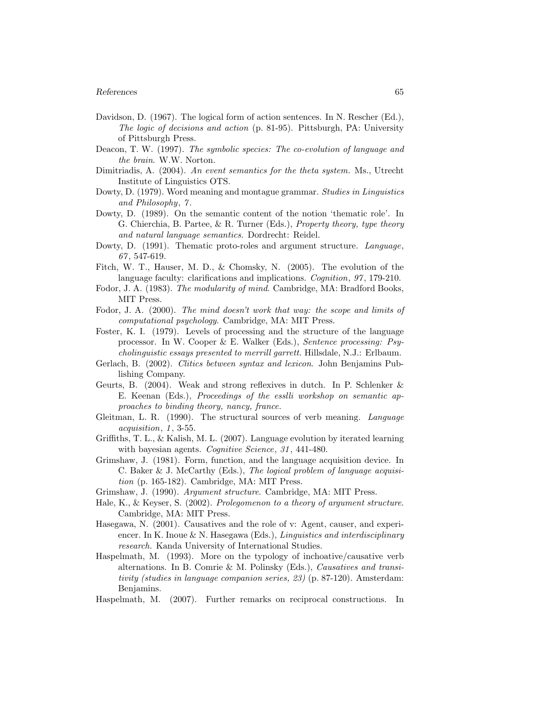#### References 65

- Davidson, D. (1967). The logical form of action sentences. In N. Rescher (Ed.), The logic of decisions and action (p. 81-95). Pittsburgh, PA: University of Pittsburgh Press.
- Deacon, T. W. (1997). The symbolic species: The co-evolution of language and the brain. W.W. Norton.
- Dimitriadis, A. (2004). An event semantics for the theta system. Ms., Utrecht Institute of Linguistics OTS.
- Dowty, D. (1979). Word meaning and montague grammar. Studies in Linguistics and Philosophy, 7 .
- Dowty, D. (1989). On the semantic content of the notion 'thematic role'. In G. Chierchia, B. Partee, & R. Turner (Eds.), Property theory, type theory and natural language semantics. Dordrecht: Reidel.
- Dowty, D. (1991). Thematic proto-roles and argument structure. Language, 67 , 547-619.
- Fitch, W. T., Hauser, M. D., & Chomsky, N. (2005). The evolution of the language faculty: clarifications and implications. *Cognition*, 97, 179-210.
- Fodor, J. A. (1983). The modularity of mind. Cambridge, MA: Bradford Books, MIT Press.
- Fodor, J. A. (2000). The mind doesn't work that way: the scope and limits of computational psychology. Cambridge, MA: MIT Press.
- Foster, K. I. (1979). Levels of processing and the structure of the language processor. In W. Cooper & E. Walker (Eds.), Sentence processing: Psycholinguistic essays presented to merrill garrett. Hillsdale, N.J.: Erlbaum.
- Gerlach, B. (2002). Clitics between syntax and lexicon. John Benjamins Publishing Company.
- Geurts, B. (2004). Weak and strong reflexives in dutch. In P. Schlenker & E. Keenan (Eds.), *Proceedings of the essili workshop on semantic ap*proaches to binding theory, nancy, france.
- Gleitman, L. R. (1990). The structural sources of verb meaning. Language acquisition, 1, 3-55.
- Griffiths, T. L., & Kalish, M. L. (2007). Language evolution by iterated learning with bayesian agents. Cognitive Science, 31, 441-480.
- Grimshaw, J. (1981). Form, function, and the language acquisition device. In C. Baker & J. McCarthy (Eds.), The logical problem of language acquisition (p. 165-182). Cambridge, MA: MIT Press.
- Grimshaw, J. (1990). Argument structure. Cambridge, MA: MIT Press.
- Hale, K., & Keyser, S. (2002). Prolegomenon to a theory of argument structure. Cambridge, MA: MIT Press.
- Hasegawa, N. (2001). Causatives and the role of v: Agent, causer, and experiencer. In K. Inoue  $\&$  N. Hasegawa (Eds.), *Linguistics and interdisciplinary* research. Kanda University of International Studies.
- Haspelmath, M. (1993). More on the typology of inchoative/causative verb alternations. In B. Comrie & M. Polinsky (Eds.), Causatives and transitivity (studies in language companion series, 23) (p. 87-120). Amsterdam: Benjamins.
- Haspelmath, M. (2007). Further remarks on reciprocal constructions. In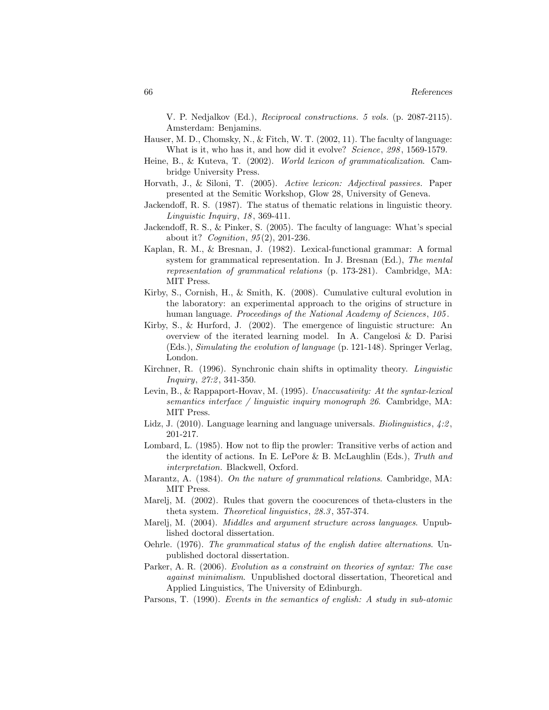V. P. Nedjalkov (Ed.), Reciprocal constructions. 5 vols. (p. 2087-2115). Amsterdam: Benjamins.

- Hauser, M. D., Chomsky, N., & Fitch, W. T. (2002, 11). The faculty of language: What is it, who has it, and how did it evolve? Science, 298, 1569-1579.
- Heine, B., & Kuteva, T. (2002). World lexicon of grammaticalization. Cambridge University Press.
- Horvath, J., & Siloni, T. (2005). Active lexicon: Adjectival passives. Paper presented at the Semitic Workshop, Glow 28, University of Geneva.
- Jackendoff, R. S. (1987). The status of thematic relations in linguistic theory. Linguistic Inquiry, 18 , 369-411.
- Jackendoff, R. S., & Pinker, S. (2005). The faculty of language: What's special about it? *Cognition*,  $95(2)$ , 201-236.
- Kaplan, R. M., & Bresnan, J. (1982). Lexical-functional grammar: A formal system for grammatical representation. In J. Bresnan (Ed.), The mental representation of grammatical relations (p. 173-281). Cambridge, MA: MIT Press.
- Kirby, S., Cornish, H., & Smith, K. (2008). Cumulative cultural evolution in the laboratory: an experimental approach to the origins of structure in human language. Proceedings of the National Academy of Sciences, 105.
- Kirby, S., & Hurford, J. (2002). The emergence of linguistic structure: An overview of the iterated learning model. In A. Cangelosi & D. Parisi (Eds.), Simulating the evolution of language (p. 121-148). Springer Verlag, London.
- Kirchner, R. (1996). Synchronic chain shifts in optimality theory. Linguistic Inquiry, 27:2, 341-350.
- Levin, B., & Rappaport-Hovav, M. (1995). Unaccusativity: At the syntax-lexical semantics interface / linguistic inquiry monograph 26. Cambridge, MA: MIT Press.
- Lidz, J. (2010). Language learning and language universals. *Biolinguistics*,  $\angle 4:2$ , 201-217.
- Lombard, L. (1985). How not to flip the prowler: Transitive verbs of action and the identity of actions. In E. LePore & B. McLaughlin (Eds.), Truth and interpretation. Blackwell, Oxford.
- Marantz, A. (1984). On the nature of grammatical relations. Cambridge, MA: MIT Press.
- Marelj, M. (2002). Rules that govern the coocurences of theta-clusters in the theta system. Theoretical linguistics, 28.3 , 357-374.
- Marelj, M. (2004). Middles and argument structure across languages. Unpublished doctoral dissertation.
- Oehrle. (1976). The grammatical status of the english dative alternations. Unpublished doctoral dissertation.
- Parker, A. R. (2006). Evolution as a constraint on theories of syntax: The case against minimalism. Unpublished doctoral dissertation, Theoretical and Applied Linguistics, The University of Edinburgh.
- Parsons, T. (1990). Events in the semantics of english: A study in sub-atomic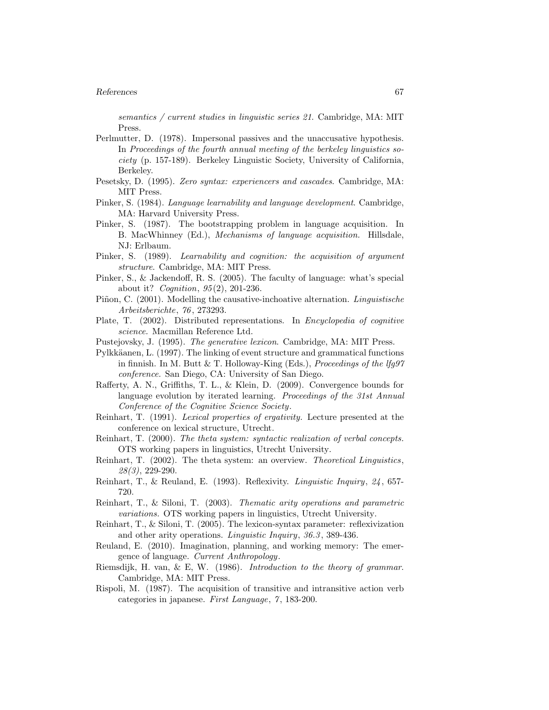#### References 67

semantics / current studies in linguistic series 21. Cambridge, MA: MIT Press.

- Perlmutter, D. (1978). Impersonal passives and the unaccusative hypothesis. In Proceedings of the fourth annual meeting of the berkeley linguistics society (p. 157-189). Berkeley Linguistic Society, University of California, Berkeley.
- Pesetsky, D. (1995). Zero syntax: experiencers and cascades. Cambridge, MA: MIT Press.
- Pinker, S. (1984). Language learnability and language development. Cambridge, MA: Harvard University Press.
- Pinker, S. (1987). The bootstrapping problem in language acquisition. In B. MacWhinney (Ed.), Mechanisms of language acquisition. Hillsdale, NJ: Erlbaum.
- Pinker, S. (1989). Learnability and cognition: the acquisition of argument structure. Cambridge, MA: MIT Press.
- Pinker, S., & Jackendoff, R. S. (2005). The faculty of language: what's special about it? Cognition, 95 (2), 201-236.
- Piñon, C. (2001). Modelling the causative-inchoative alternation. Linguistische Arbeitsberichte, 76 , 273293.
- Plate, T. (2002). Distributed representations. In Encyclopedia of cognitive science. Macmillan Reference Ltd.
- Pustejovsky, J. (1995). The generative lexicon. Cambridge, MA: MIT Press.
- Pylkkäanen, L. (1997). The linking of event structure and grammatical functions in finnish. In M. Butt & T. Holloway-King (Eds.), Proceedings of the  $lfg97$ conference. San Diego, CA: University of San Diego.
- Rafferty, A. N., Griffiths, T. L., & Klein, D. (2009). Convergence bounds for language evolution by iterated learning. Proceedings of the 31st Annual Conference of the Cognitive Science Society.
- Reinhart, T. (1991). Lexical properties of ergativity. Lecture presented at the conference on lexical structure, Utrecht.
- Reinhart, T. (2000). The theta system: syntactic realization of verbal concepts. OTS working papers in linguistics, Utrecht University.
- Reinhart, T. (2002). The theta system: an overview. Theoretical Linguistics, 28(3), 229-290.
- Reinhart, T., & Reuland, E. (1993). Reflexivity. Linguistic Inquiry, 24 , 657- 720.
- Reinhart, T., & Siloni, T. (2003). Thematic arity operations and parametric variations. OTS working papers in linguistics, Utrecht University.
- Reinhart, T., & Siloni, T. (2005). The lexicon-syntax parameter: reflexivization and other arity operations. Linguistic Inquiry, 36.3 , 389-436.
- Reuland, E. (2010). Imagination, planning, and working memory: The emergence of language. Current Anthropology.
- Riemsdijk, H. van, & E, W. (1986). Introduction to the theory of grammar. Cambridge, MA: MIT Press.
- Rispoli, M. (1987). The acquisition of transitive and intransitive action verb categories in japanese. First Language, 7, 183-200.